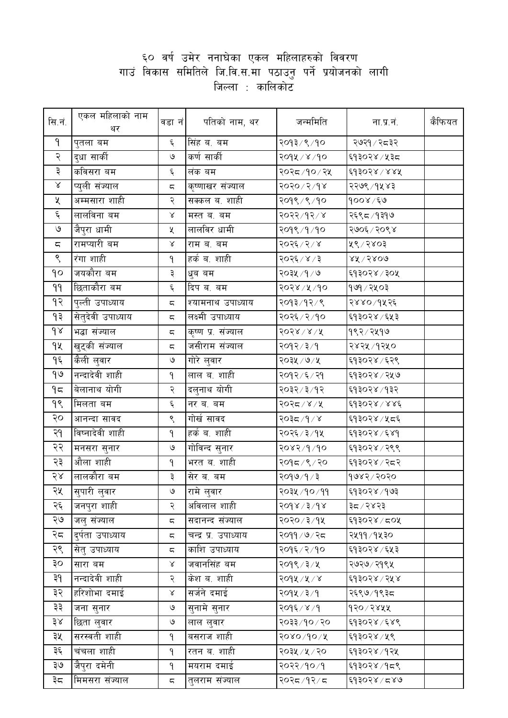## ६० वर्ष उमेर ननाघेका एकल महिलाहरुको विवरण<br>गाउं विकास समितिले जि.वि.स.मा पठाउनु पर्ने प्रयोजनको लागी<br>जिल्ला : कालिकोट

| सि.नं.                 | एकल महिलाको नाम<br>थर | वडा नं                   | पतिको नाम, थर        | जन्ममिति      | ना.प्र.नं.       | कैफियत |
|------------------------|-----------------------|--------------------------|----------------------|---------------|------------------|--------|
| ۹                      | पुतला बम              | ६                        | सिंह ब. बम           | २०१३/९/१०     | २७२१ ⁄ २८३२      |        |
| २                      | दुधा साकी             | ৩                        | कर्ण साकी            | २०१५ / ४ / १० | ६१३०२४ ⁄ ५३८     |        |
| ३                      | कविसरा बम             | ६                        | लंक बम               | २०२८/१०/२५    | ६१३०२४/४४५       |        |
| ${\mathsf X}$          | प्युली संज्याल        | ς                        | कृष्णाखर संज्याल     | २०२० / २ / १४ | २२७९ ⁄ १४४३      |        |
| ५                      | अम्मसारा शाही         | २                        | सक्कल ब. शाही        | २०१९ / १००    | १००४ ⁄ ६७        |        |
| $\xi$                  | लालविना बम            | Χ                        | मस्त ब. बम           | २०२२/१२/४     | २६९८/१३१७        |        |
| $\mathsf{G}$           | जैपुरा धामी           | Κ                        | लालविर धामी          | २०१९/१/१०     | २७०६/२०९४        |        |
| $\overline{\varsigma}$ | रामप्यारी बम          | Χ                        | राम ब. बम            | २०२६ / २ / ४  | ५९/२४०३          |        |
| ९                      | रंगा शाही             | ۹                        | हर्क ब. शाही         | २०२६ / ४ / ३  | $88\sqrt{580}$ ଡ |        |
| ٩o                     | जयकौरा बम             | ३                        | धुब बम               | २०३५ /१/७     | ६१३०२४ / ३०५     |        |
| 99                     | छिताकौरा बम           | $\epsilon$               | दिप ब. बम            | २०२४ ⁄ ५ ⁄ १० | १७१ ⁄ २५०३       |        |
| $\delta$               | पुल्ती उपाध्याय       | ς                        | श्यामनाथ उपाध्याय    | २०१३/१२/९     | २४४०/१५२६        |        |
| ۹₹                     | सेतुदेवी उपाध्याय     | ς                        | लक्ष्मी उपाध्याय     | २०२६ ⁄ २ ⁄ १० | ६१३०२४ ⁄ ६५३     |        |
| $\delta$               | भद्धा संज्याल         | $\overline{\phantom{m}}$ | कृष्ण प्र. संज्याल   | २०२४ / ४ / ५  | १९२ ⁄ २५१७       |        |
| 9X                     | खुट्की संज्याल        | ς                        | जसीराम संज्याल       | २०१२/३/१      | २४२५ / १२५०      |        |
| ۹६                     | केेली लुवार           | $\mathcal{O}$            | गोरे लुवार           | २०३५ / ७/ ५   | ६१३०२४ ⁄ ६२९     |        |
| १७                     | नन्दादेवी शाही        | ۹                        | लाल ब. शाही          | २०१२ ⁄ ६ ⁄ २१ | ६१३०२४ ⁄ २५७     |        |
| ۹≂                     | बेलानाथ योगी          | २                        | दलुनाथ योगी          | २०३२ ⁄ ३ ⁄ १२ | ६१३०२४ ⁄ १३२     |        |
| 99                     | मिलता बम              | ६                        | नर ब. बम             | २०२८ / ४ / ५  | ६१३०२४/४४६       |        |
| २०                     | आनन्दा सावद           | ९                        | गोर्ख सावद           | २०३८ ⁄ १ ∕ ४  | ६१३०२४ ⁄ ५८६     |        |
| २१                     | विष्नादेवी शाही       | ۹                        | हर्क ब. शाही         | २०२६ ⁄ ३ ⁄ १५ | ६१३०२४ ⁄ ६४१     |        |
| २२                     | मनसरा सुनार           | ও                        | गोविन्द सुनार        | २०४२/१/१०     | ६१३०२४ / २९९     |        |
| २३                     | औला शाही              | ۹                        | भरत ब. शाही          | २०१८/१/२०     | ६१३०२४ ⁄ २८२     |        |
| 58                     | लालकौरा बम            | ३                        | सेर ब. बम            | २०१७∕१ ∕ ३    | १७४२ ⁄ २०२०      |        |
| २५                     | सुपारी लुवार          | $\mathcal{O}$            | रामे लुवार           | २०३५ /१० /११  | ६१३०२४ ⁄ १७३     |        |
| २६                     | जनपुरा शाही           | २                        | अविलाल शाही          | 89x/3         | ३८४२२३           |        |
| २७                     | जलु संज्याल           | ς                        | सदानन्द संज्याल      | २०२० ⁄ ३ ⁄ १५ | ६१३०२४ ⁄ ८०५     |        |
| २८                     | दुर्पता उपाध्याय      | ς                        | चन्द्र प्र. उपाध्याय | २०११ / ७ / २८ | २५११ ⁄ १५३०      |        |
| २९                     | सेतु उपाध्याय         | ς                        | काशि उपाध्याय        | २०१६ ⁄ २/१०   | ६१३०२४ ⁄ ६५३     |        |
| ३०                     | सारा बम               | $\propto$                | जवानसिंह बम          | २०१९ ⁄ ३ ⁄ ५  | २७२७ ⁄ २१९५      |        |
| ३१                     | नन्दादेवी शाही        | २                        | केश ब. शाही          | २०१५ / ५ / ४  | ६१३०२४ / २५४     |        |
| ३२                     | हरिशोभा दमाई          | Χ                        | सर्जने दमाई          | २०१५ ⁄ ३ ⁄ १  | २६९७/१९३८        |        |
| ३३                     | जना सुनार             | $\mathcal{O}$            | सुनामे सुनार         | २०१६ / ४ / १  | १२० ⁄ २४५५       |        |
| ३४                     | छिता लुवार            | ও                        | लाल लुवार            | २०३३/१०/२०    | ६१३०२४ ⁄ ६४९     |        |
| ३५                     | सरस्वती शाही          | ۹                        | बसराज शाही           | २०४०/१०/५     | ६१३०२४ ⁄ ५९      |        |
| ३६                     | चंचला शाही            | ۹                        | रतन ब. शाही          | २०३५ / ५ / २० | ६१३०२४ ⁄ १२५     |        |
| ३७                     | जैपुरा दमेनी          | ٩                        | मयराम दमाई           | २०२२ ⁄ १० ⁄ १ | ६१३०२४ ⁄ १८९     |        |
| ३⊄                     | मिमसरा संज्याल        | ς                        | तुलराम संज्याल       | २०२८/१२/८     | ६१३०२४ / ८४७     |        |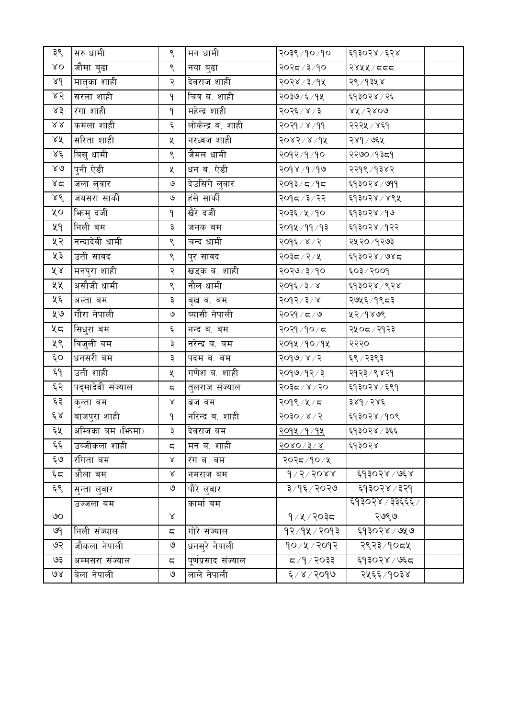| ३९                            | सरु धामी           | ९                        | मन धामी             | २०३९ /१० /१०   | ६१३०२४ ⁄ ६२४        |  |
|-------------------------------|--------------------|--------------------------|---------------------|----------------|---------------------|--|
| $\lambda$ O                   | जौमा बुढा          | ९                        | नया बुढा            | २०२८/३/१०      | २४५५ / ८८८          |  |
| $\lambda d$                   | मातृका शाही        | २                        | देवराज शाही         | २०२४ ⁄ ३ ⁄ १५  | २९ ⁄ १३५ ४          |  |
| ४२                            | सरला शाही          | ٩                        | चित्र ब. शाही       | २०३७/६/१५      | ६१३०२४ ⁄ २६         |  |
| ४३                            | रंगा शाही          | ۹                        | महेन्द्र शाही       | २०२६ / ४ / ३   | $88^\circ\%$ े ५४०७ |  |
| $\lambda\lambda$              | कमला शाही          | ٤                        | लोकेन्द्र ब. शाही   | २०२१ / ४ / ११  | २२२५ / ४६१          |  |
| 28                            | सरिता शाही         | Κ                        | नरध्वज शाही         | 20x5x6         | २४१ ⁄ ७६५           |  |
| 28                            | बिसु धामी          | ९                        | जैमल धामी           | २०१२/१/१०      | २२७० ⁄ १३८१         |  |
| $\lambda\mathrel{\mathsf{d}}$ | पुनी ऐडी           | Κ                        | धन ब. ऐडी           | २०१४ / १/ १७   | २२१९ ⁄ १३४२         |  |
| ४द                            | जला लुवार          | $\mathsf{G}$             | देउसिंगे लुवार      | २०१३ ⁄ ८ / १०१ | ६१३०२४ ⁄ ७११        |  |
| ४९                            | जयसरा सार्की       | $\mathsf{G}$             | हंसे सार्की         | २०१८/३/२२      | ६१३०२४ / ४९५        |  |
| ५०                            | भिन्मु दर्जी       | ٩                        | खैरे दर्जी          | २०३६ ⁄ ५ ⁄ १०  | ६१३०२४ ⁄ १७         |  |
| ५१                            | निली बम            | ३                        | जनक बम              | २०१४ ⁄ ११ ⁄ १३ | ६१३०२४ ⁄ १२२        |  |
| ५२                            | नन्दादेवी धामी     | ९                        | चन्द धामी           | २०१६ / ४ / २   | २५२० ⁄ १२७३         |  |
| ५३                            | उती सावद           | ९                        | पुर सावद            | २०३८/२/५       | ६१३०२४ ⁄ ७४८        |  |
| $\tilde{\lambda}$ $\lambda$   | मनपुरा शाही        | २                        | खड्क ब. शाही        | २०२७/३/१०      | ६०३/२००१            |  |
| ५५                            | असौजी धामी         | ९                        | नौल धामी            | २०१६ ⁄ ३ ⁄ ४   | ६१३०२४ ⁄ ९२४        |  |
| ५६                            | अल्ता बम           | ३                        | बृख ब. बम           | २०१२/३/४       | २७५६ ⁄ १९८३         |  |
| ५७                            | गौरा नेपाली        | ও                        | व्यासी नेपाली       | २०२१ / ८ / ७   | ५२⁄१४७९             |  |
| ५८                            | सिधुरा बम          | $\xi$                    | नन्द ब. बम          | २०२१ /१० / ८   | २५०८ / २१२३         |  |
| ५९                            | विजुली बम          | ३                        | नरेन्द्र ब. बम      | २०१५ / १० / १५ | २२२०                |  |
| $\epsilon$ o                  | धनसरी बम           | ३                        | पदम ब. बम           | २०१७/४/२       | ६९ ⁄ २३९३           |  |
| وم                            | उती शाही           | Κ                        | गणेश ब. शाही        | २०१७/१२/३      | २१२३/९४२१           |  |
| ६२                            | पद्मादेवी संज्याल  | $\overline{\phantom{m}}$ | तुलराज संज्याल      | २०३८/४/२०      | ६१३०२४ ⁄ ६९१        |  |
| ६३                            | कुन्ता बम          | $\propto$                | ब्रज बम             | २०१९ ⁄ ४ ⁄ ८   | ३४१ / २४६           |  |
| $\xi \lambda$                 | बाजपुरा शाही       | ٩                        | नरिन्द ब. शाही      | 90,80,80       | ६१३०२४ /१०९         |  |
| ६५                            | अम्विका बम (फ़िमा) | ३                        | दिवराज बम           | 9094/9/94      | <b>६१३०२४</b> / ३६६ |  |
| ६६                            | उब्जीकला शाही      | ς                        | मन ब. शाही          | 3080/3/x       | ६१३०२४              |  |
| ६७                            | रंगिता बम          | Χ                        | रंग ब. बम           | २०२८/१०/५      |                     |  |
| $\xi$                         | औला बम             | Χ                        | नमराज बम            | $d \times 5$   | ६१३०२४ / ७६४        |  |
| ६९                            | सुन्ता लुवार       | $\mathcal{Q}$            | पौरे लुवार          | ३/१६/२०२७      | ६१३०२४ ⁄ ३२१        |  |
|                               | उज्जला बम          |                          | कामां बम            |                | ६१३०२४ / ३३६६६ /    |  |
| ৩০                            |                    | Χ                        |                     | १/५/२०३८       | २७९७                |  |
| ७१                            | निली संज्याल       | $\overline{\mathbb{C}}$  | गोरे संज्याल        | १२⁄१५⁄२०१३     | ६१३०२४ ⁄ ७५७        |  |
| ७२                            | जौकला नेपाली       | $\mathcal{Q}$            | धनसुरे नेपाली       | १०/५/२०१२      | २९२३ / १०८५         |  |
| ও३                            | अम्मसरा संज्याल    | ς                        | पूर्णप्रसाद संज्याल | $5509/9$ र     | ६१३०२४ ⁄ ७६८        |  |
| $\mathcal{A}$                 | बेला नेपाली        | $\mathsf{G}$             | लाले नेपाली         | ६/४/२०१७       | २५६६ ⁄ १०३४         |  |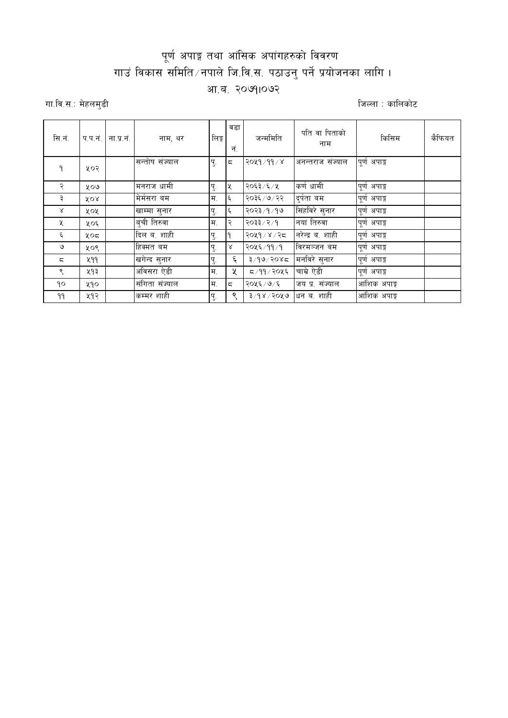## पूर्ण अपाङ्ग तथा आंसिक अपांगहरुको विवरण गाउं विकास समिति /नपाले जि.वि.स. पठाउनु पर्ने प्रयोजनका लागि । आ.ब. २०७१।०७२

गा.वि.स.: मेहलमुडी

जिल्ला : कालिकोट

| सि.नं.         | प.प.नं.    | ना.प्र.नं. | नाम, थर        | ালৈত্ন | वडा<br>नं.               | जन्ममिति      | पति वा पिताको<br>नाम | किसिम        | कैफियत |
|----------------|------------|------------|----------------|--------|--------------------------|---------------|----------------------|--------------|--------|
| ٩              | ५०२        |            | सन्तोष संज्याल | पु.    | $\overline{\phantom{a}}$ | २०५१ / ११ / ४ | अनन्तराज संज्याल     | पूर्ण अपाङ्ग |        |
| २              | ५०७        |            | मिनराज धामी    | Ţ.     | I×                       | २०६३ ⁄ ६ ⁄ ५  | कर्ण धामी            | पूर्ण अपाङ्ग |        |
| ₹              | <b>YOR</b> |            | मेर्मसरा बम    | म.     | $\epsilon$               | २०३६ / ७ / २२ | दर्पता बम            | पूर्ण अपाङ्ग |        |
| Χ              | ५०५        |            | खाम्मा सुनार   | पु.    | ६                        | २०२३ ⁄ १ ⁄ १७ | सिंहविरे सुनार       | पूर्ण अपाङ्ग |        |
| X              | ५०६        |            | वंची तिरुवा    | म.     | $\mathcal{R}$            | २०३३ ⁄ २ ⁄ १  | नयां तिरुवा          | पूर्ण अपाङ्ग |        |
| ६              | ५०८        |            | दिल ब. शाही    | Ţ.     |                          | २०५१ / ४ / २८ | नरेन्द्र ब. शाही     | पूर्ण अपाङ्ग |        |
| ও              | ५०९        |            | हिक्मत बम      | पु.    | Χ                        | २०५६ ⁄ ११ ⁄ १ | विरमञ्जन बम          | पूर्ण अपाङ्ग |        |
| $\overline{a}$ | ५११        |            | खगेन्द सुनार   | पु.    | ६                        | ३/१७/२०४८     | मनविरे सुनार         | पूर्ण अपाङ्ग |        |
| ९              | ५१३        |            | अविसरा ऐडी     | म.     | ५                        | 5/99/2045     | चाम्रे ऐडी           | पूर्ण अपाङ्ग |        |
| ۹٥             | ५१०        |            | संगिता संज्याल | म.     | $\overline{\phantom{a}}$ | २०५६ ⁄ ७ ⁄ ६  | जय प्र. संज्याल      | आंशिक अपाङ्ग |        |
| ۹۹             | ५१२        |            | कम्मर शाही     | पु.    | ९                        | 3/98/2049     | धन ब. शाही           | आंशिक अपाङ्ग |        |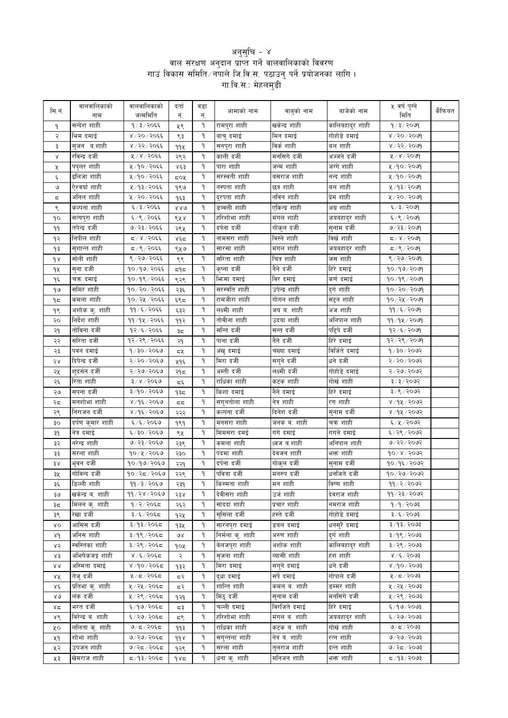## थनुसुचि - ४<br>| वाल संरक्षण अनुदान प्राप्त गर्ने वालवालिकाको विवरण<br>| गाउं विकास समिति ∕ नपाले जि.वि.स. पठाउनु पर्ने प्रयोजनका लागि<br>| गा.वि.स.: मेहलमुडी

| सि.नं.           | वालवालिकाको<br>नाम | वालवालिकाको<br>जन्ममिति | दर्ता<br>नं.  | वडा<br>नं. | आमाको नाम        | वाबुको नाम    | बाजेको नाम      | ५ वर्ष पुग्ने<br>मिति    | कैफियत |
|------------------|--------------------|-------------------------|---------------|------------|------------------|---------------|-----------------|--------------------------|--------|
| ۹                | सन्देश शाही        | १/३/२०६६                | ५९            | ٩          | रामपुरा शाही     | खकेन्द्र शाही | कालिबहादुर शाही | १/३/२०७१                 |        |
| २                | भिम दमाई           | ४/२०/२०६६               | ९३            | ٩          | बाचु दमाई        | मिन दमाई      | गोहोडे दमाई     | $8/50/50$ अ              |        |
| ३                | सुजन ब.शाही        | ४/२२/२०६६               | 99X           | ٩          | सनपुरा शाही      | विर्क शाही    | बल शाही         | 8/25/50                  |        |
| Χ                | रविन्द्र दर्जी     | ५/४/२०६६                | २९२           | ٩          | काली दर्जी       | मनसिगे दर्जी  | अज्जने दर्जी    | ४/४/२०७१                 |        |
| χ                | पपुलर शाही         | ५/१०/२०६६               | ४६३           | ٩          | पारा शाही        | जन्म शाही     | जग्गे शाही      | ५/१०/२०७१                |        |
| ٤                | इलिजा शाही         | ५/१०/२०६६               | ςοχ           | ٩          | सरस्वती शाही     | बसराज शाही    | नन्द शाही       | ५/१०/२०७१                |        |
| ও                | ऐश्वर्या शाही      | ५/१३/२०६६               | १९७           | ٩          | नस्पता शाही      | छत्र शाही     | बल शाही         | ५/१३/२०७१                |        |
| ς                | अनिल शाही          | ५/२०/२०६६               | १६३           | ٩          | दुरपता शाही      | नविन शाही     | प्रेम शाही      | ५/२०/२०७१                |        |
| ९                | कल्पना शाही        | ६/३/२०६६                | 880           | ٩          | डब्बली शाही      | एकिन्द्र शाही | अग्र शाही       | ६/३/२०७९                 |        |
| ٩o               | सत्यपुरा शाही      | ६/९/२०६६                | ९५४           | ٩          | हरिशोभा शाही     | मंगल शाही     | जयबहादुर शाही   | ६/९/२०७१                 |        |
| 99               | तपेन्द्र दर्जी     | ७/२३/२०६६               | २९५           | ٩          | दर्पना दर्जी     | गोकुल दर्जी   | सुनाम दर्जी     | ७/२३/२०७१                |        |
| ۹२               | निपील शाही         | $590\%$ / $80\%$        | لاوْد         | ۹          | नामसरा शाही      | विस्ने शाही   | विर्खशाही       | $\sqrt{80}$ / $\sqrt{8}$ |        |
| ۹₹               | सुशान्त शाही       | ८/९/२०६६                | ९५७           | ٩          | सारसा शाही       | मंगल शाही     | जयबहादुर शाही   | $509 \times 20$          |        |
| $\delta$         | सोनी शाही          | ९ / २७ / २०६६           | ९९            | ۹          | सरिता शाही       | चित्र शाही    | जस शाही         | ९/२७/२०७१                |        |
| ٩X               | सुना दर्जी         | १०/१७/२०६६              | $\approx$ $9$ | ۹          | कृष्ना दर्जी     | नैने दर्जी    | हिरे दमाई       | 90/99/2099               |        |
| ۹६               | चक्र दमाई          | १०/१९/२०६६              | ९२९           | ۹          | भिन्मा दमाई      | विर दमाई      | कर्ण दमाई       | 90/98/2009               |        |
| ۹७               | समिर शाही          | १०/२०/२०६६              | २३६           | ۹          | सरस्वति शाही     | उपेन्द्र शाही | दुर्ग शाही      | १०/२०/२०७१               |        |
| $9\pi$           | कमला शाही          | १०/२५/२०६६              |               | ۹          | रामजीरा शाही     | गोगन शाही     | सद्दन शाही      | 90/28/209                |        |
|                  | अशोक कु. शाही      | ११/६/२०६६               | ६९८           | ٩          | लक्ष्मी शाही     | जय व. शाही    | अज शाही         | 99 / 5 / 20              |        |
| 98               | निर्देश शाही       | ११/१५/२०६६              | ६३२           | ٩          | तोवीना शाही      | उदया शाही     | अनिपाल शाही     | ११/१५/२०७१               |        |
| २०               | तोविना दर्जी       | १२/६/२०६६               | ११२           | ۹          | सन्ति दर्जी      | सन्त दर्जी    | पद्दिपे दर्जी   | $92/\xi / 2009$          |        |
| २१               | सरिता दर्जी        |                         | ३≂            | ۹          | पाना दर्जी       | नैने दर्जी    |                 |                          |        |
| २२               |                    | १२/२९/२०६६              | २१            |            |                  |               | हिरे दमाई       | १२/२९/२०७१               |        |
| २३               | पवन दमाई           | $9/30/20$ ६७            | ८५            | ٩          | अंखु दमाई        | चंख्या दमाई   | विर्जिते दमाई   | 9/30/2092                |        |
| २४               | दिपेन्द्र दर्जी    | २/२०/२०६७               | ५१६           | ۹          | मिरा दर्जी       | सगुने दर्जी   | धने दर्जी       | २/२०/२०७२                |        |
| २५               | शुदर्सन दर्जी      | २/२७/२०६७               | २१८           | ۹          | अम्ती दर्जी      | लक्ष्मी दर्जी | गोहोडे दमाई     | २/२७/२०७२                |        |
| २६               | रिता शाही          | ३/४/२०६७                | ξξ            | ۹          | राधिका शाही      | कटक शाही      | गोर्ख शाही      | ३/३/२०७२                 |        |
| ২७               | सपना दर्जी         | ३/१०/२०६७               | १३८           | ٩          | किशा दमाई        | नैने दमाई     | हिरे दमाई       | ३/९/२०७२                 |        |
| २८               | मनशोभा शाही        | ४/१६/२०६७               | 55            | ٩          | सगुनतोला शाही    | नेत्र शाही    | रण शाही         | ४/१५/२०७२                |        |
| २९               | निराजन दर्जी       | ४/१६/२०६७               | २२२           | ٩          | कल्पना दर्जी     | दिनेश दर्जी   | सुनाम दर्जी     | ४/१५/२०७२                |        |
| ЗO               | दर्पण कुमार शाही   | ६ / ६ / २०६७            | १९१           | ٩          | मनसरा शाही       | जनक ब. शाही   | चक्र शाही       | ६/५/२०७२                 |        |
| ३१               | नेत्र दमाई         | ६/३०/२०६७               | ९५            | ٩          | मिमसरा दमई       | गंगे दमाई     | गगने दमाई       | ६/२९/२०७२                |        |
| ३२               | नरेन्द्र शाही      | ७/२३/२०६७               | २३९           | ٩          | कमला शाही        | ध्वज ब.शाही   | अनिपाल शाही     | ७/२२/२०७२                |        |
| ३३               | सरला शाही          | १०/५/२०६७               | २३०           | ٩          | पदमा शाही        | देवजन शाही    | भक्त शाही       | $90 \times 1000$         |        |
| ३४               | भुवन दर्जी         | १०/१७/२०६७              | २२१           | ٩          | दर्पना दर्जी     | गोकुल दर्जी   | सुनाम दर्जी     | १०/१६/२०७२               |        |
| ३५               | गोविन्द दर्जी      | १०/२८/२०६७              | २२९           | ٩          | पवित्रा दर्जी    | मनरुप दर्जी   | धर्नाजते दर्जी  | 90/99/9092               |        |
| ३६               | डिल्ली शाही        | 99/3/2069               | २३१           | ۹          | किस्मता शाही     | मन शाही       | विष्ण शाही      | 99/2/2092                |        |
| ३७               | खकेन्द्र व. शाही   | ११/२४/२०६७              | २३४           | ۹          | देवीसरा शाही     | उर्ज शाही     | देवराज शाही     | ११/२३/२०७२               |        |
| ३≂               | मिलन क्. शाही      | १/२/२०६८                | २६२           | ٩          | साददा शाही       | प्रचार शाही   | नमराज शाही      | 9/9/2003                 |        |
| ३९               | रेखा दर्जी         | ३/६/२०६८                | १२५           | ٩          | सुसिला दर्जी     | हस्ते दर्जी   | गोहोडे दमाई     | ३/६/२०७३                 |        |
| λO               | आसिस दर्जी         | ३/१३/२०६८               | १३५           | ٩          | सारनपुरा दमाई    | डबल दमाई      | धनसुरे दमाई     | ३/१३/२०७३                |        |
| 8d               | अनिस शाही          | ३/१९/२०६८               | ΘX            | ٩          | निर्मला कु. शाही | अरुण शाही     | दुर्ग शाही      | ३/१९/२०७३                |        |
| ४२               | स्वस्तिका शाही     | ३/२९/२०६८               | १०५           | ٩          | बेलजपुरा शाही    | अशोक शाही     | कालिबहादुर शाही | ३/२९/२०७३                |        |
| ४३               | अभिषेकजङ्ग शाही    | ४ /६ / २०६८             | २             | ٩          | सृजना शाही       | व्यासी शाही   | हंश शाही        | 8005/30                  |        |
| $\lambda\lambda$ | अस्मिता दमाई       | ४/१०/२०६८               | १३२           | ٩          | मिरा दमाई        | सगुने दमाई    | धनेदर्जी        | $800$ $\sqrt{90}$        |        |
| ४४               | तेज् दर्जी         | ५/८/२०६८                | 57            | ٩          | द्धा दमाई        | सर्पे दमाई    | गोपाले दर्जी    | $2097 \times 12$         |        |
| γξ               | प्रतिभा कु. शाही   | ५/२५/२०६८               | द२            | ٩          | शान्ति शाही      | कमल व. शाही   | डम्मर शाही      | ५ / २५ / २०७३            |        |
| $80^{\circ}$     | लंक दर्जी          | ५/२९/२०६८               | १२१           | ٩          | मिठु दर्जी       | सुनाम दर्जी   | मनसिगे दर्जी    | ५ / २९ / २०७३            |        |
| ४८               | भरत दर्जी          | ६/१७/२०६८               | ಧ३            | ٩          | चल्ली दमाई       | विरजिते दमाई  | हिरे दमाई       | ६/१७/२०७३                |        |
| ४९               | विरेन्द्र ब. शाही  | ६/२७/२०६८               | ξ٩            | ٩          | हरिशोभा शाही     | मंगल व. शाही  | जयबहादुर शाही   | ६/२७/२०७३                |        |
| ५०               | ललिता कु. शाही     | $9/5/20$ ६८             | ११३           | ٩          | राधिका शाही      | कटक ब. शाही   | गोर्ख शाही      | 9/5/20                   |        |
| ५१               | शोभा शाही          | ७/२७/२०६८               | $d d \lambda$ | ٩          | सगुन्तला शाही    | नेत्र ब. शाही | रत्न शाही       | $5009 \times 10^{10}$    |        |
| ५२               | उपजन शाही          | ७/२८/२०६८               | १२९           | ٩          | सरला शाही        | तुलराज शाही   | दन्त शाही       | 9/25/2003                |        |
| ५३               | खेमराज शाही        | द ⁄ १३∕ २०६द            | ۹४≂           | ٩          | धना कु. शाही     | मनिजन शाही    | भक्त शाही       | $500$ २/३/२०७३           |        |
|                  |                    |                         |               |            |                  |               |                 |                          |        |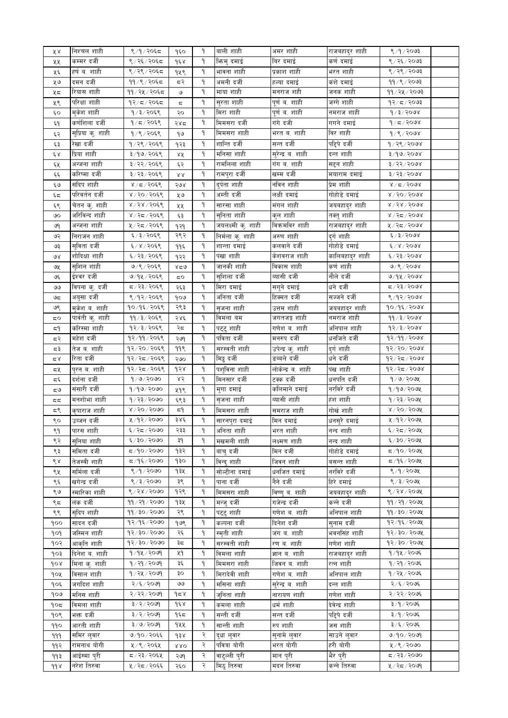| ४४               | निश्चल शाही       | ९ /१ / २०६८           | १६०                        | ۹  | बाली शाही          | अमर शाही          | राजबहादुर शाही  | 8/9/2093                   |  |
|------------------|-------------------|-----------------------|----------------------------|----|--------------------|-------------------|-----------------|----------------------------|--|
| ५५               | कम्मर दर्जी       | ९/२६/२०६८             | १६४                        | ٩  | भिन्मु दमाई        | बिर दमाई          | कर्ण दमाई       | ९ / २६ / २०७३              |  |
| ५६               | हर्ष ब. शाही      | ९/२९/२०६८             | १५९                        | ٩  | भावना शाही         | प्रकाश शाही       | भरत शाही        | ९/२९/२०७३                  |  |
| ५७               | दमन दर्जी         | ११ / ९ / २०६८         | द२                         | ٩  | अमनी दर्जी         | हल्या दमाई        | कंशे दमाई       | 99 / 8 / 2003              |  |
| ५८               | रियास शाही        | ११/२५/२०६८            | $\mathcal{O}$              | ٩  | माया शाही          | मनराज शही         | जनक शाही        | ११/२५/२०७३                 |  |
| ५९               | परिक्षा शाही      | १२/८/२०६८             | ς                          | ٩  | सुरता शाही         | पूर्णव.शाही       | जग्गे शाही      | $92/\pi/2003$              |  |
| ६०               | मुकेश शाही        | १/३/२०६९              | २०                         | ٩  | मिरा शाही          | पूर्णव.शाही       | नमराज शाही      | 9/3/2008                   |  |
|                  | कर्णशिला दर्जी    | १/८/२०६९              | २४८                        | ٩  | मिमसरा दर्जी       | गंगे दजी          | गगने दमाई       | 9/5/2008                   |  |
| ξ٩               |                   |                       |                            |    |                    | भरत ब. शाही       | विर शाही        |                            |  |
| ६२               | सुप्रिया कु. शाही | 9/9/2059              | ۹७                         | ٩  | मिमसरा शाही        |                   |                 | 9/8/2008                   |  |
| ६३               | रेखा दर्जी        | १/२९/२०६९             | १२३                        | ٩  | शान्ति दर्जी       | सन्त दर्जी        | पद्दिपे दर्जी   | 9/29/2008                  |  |
| $\xi \, \lambda$ | प्रिया शाही       | ३/१७/२०६९             | ४४                         | ٩  | मनिसा शाही         | सुरेन्द्र ब. शाही | दन्त शाही       | $8/90$ / 2008              |  |
| ६५               | अन्जना शाही       | ३/२२/२०६९             | ६२                         | ٩  | रामलिला शाही       | गंग ब. शाही       | सद्दन शाही      | $3/25/500$ ४               |  |
| ξξ               | करिष्मा दर्जी     | ३/२३/२०६९             | $\mathcal{R}\,\mathcal{R}$ | ٩  | रामपुरा दर्जी      | खम्म दर्जी        | मयाराम दमाई     | $3 \times 52 \times 52$    |  |
| ६७               | संदिप शाही        | 8/5/2068              | २७४                        | ٩  | दुर्पता शाही       | नविन शाही         | प्रेम शाही      | 8/5/500                    |  |
| ६८               | परिवर्तन दर्जी    | ४/२०/२०६९             | ५७                         | ٩  | अम्ती दर्जी        | लक्षी दमाई        | गोहोडे दमाई     | $8\sqrt{50}\sqrt{500}$     |  |
| ६९               | चेतन कु. शाही     | ४/२४/२०६९             | ५५                         | ٩  | सारसा शाही         | मंगल शाही         | जयबहादुर शाही   | $8\sqrt{58}\sqrt{50}$ 98   |  |
| ७०               | अरिविन्द शाही     | ४/२८/२०६९             | ६३                         | ٩  | सुनिता शाही        | कुल शाही          | तक्तु शाही      | ४/२८/२०७४                  |  |
| ७१               | अन्जना शाही       | ५/२८/२०६९             | १२१                        | ٩  | जयलक्ष्मी कु. शाही | विक्रमविर शाही    | राजबहादुर शाही  | ५/२८/२०७४                  |  |
| ७२               | निराजन शाही       | ६/३/२०६९              | २९२                        | ٩  |                    | अरुण शाही         |                 | 6/3/5000                   |  |
|                  |                   | ६/४/२०६९              |                            | ٩  | निर्मला क्. शाही   |                   | दुर्ग शाही      | 61815008                   |  |
| ও३               | सुविता दर्जी      |                       | ११६                        |    | शान्ता दमाई        | कलवाने दर्जी      | गोहोडे दमाई     |                            |  |
| ७४               | शोदिक्षा शाही     | ६/२३/२०६९             | १२२                        | ٩  | पंखा शाही          | केशवराज शाही      | कालिबहादुर शाही | ६/२३/२०७४                  |  |
| ७५               | सुशिल शाही        | ७/९/२०६९              | 828                        | ٩  | जानकी शाही         | विकास शाही        | कर्ण शाही       | 9/9/2098                   |  |
| ও६               | ईश्वर दर्जी       | ७/१५/२०६९             | 5Ο                         | ٩  | सुशिला दर्जी       | ब्यासी दर्जी      | नौले दर्जी      | 9/94/2098                  |  |
| وى               | विपना कु. दर्जी   | ८,२३/२०६९             | २६३                        | ٩  | मिरा दमाई          | सगुने दमाई        | धनेदर्जी        | द ∕ २३ ⁄ २०७४              |  |
| ಅದ               | अयुसा दर्जी       | ९/१२/२०६९             | १०७                        | ٩  | अनिता दर्जी        | हिक्मत दर्जी      | सज्जने दर्जी    | 8/92/2008                  |  |
| ७९               | मुकेश व. शाही     | १०/१६/२०६९            | २९३                        | ٩  | सृजना शाही         | उत्तम शाही        | जयबहादुर शाही   | १०/१६/२०७४                 |  |
| 5Ο               | पार्वती कु. शाही  | ११/३/२०६९             | २४६                        | ٩  | विमला बम           | जगतजङ्ग शाही      | नमराज शाही      | 99/3/2008                  |  |
| ξ۹               | करिस्मा शाही      | १२/३/२०६९             | २द                         | ٩  | पट्टु शाही         | गणेश व. शाही      | अनिपाल शाही     | 93/3/3008                  |  |
| द२               | महेश दर्जी        | १२/११/२०६९            | २७१                        | ٩  | पविता दर्जी        | मनरुप दर्जी       | धर्नाजते दर्जी  | 92/99/2008                 |  |
| ಧ३               | तेज व. शाही       | १२/२०/२०६९            | ११९                        | ٩  | सरस्वती शाही       | उपेन्द्र कु. शाही | दुर्ग शाही      | $95/50 \times 50$          |  |
|                  | रिता दर्जी        | १२/२८/२०६९            |                            | ٩  | मिट्ठु दर्जी       | डब्बले दर्जी      | धने दर्जी       | १२/२८/२०७४                 |  |
| $\approx 8$      |                   |                       | २७०                        |    |                    |                   |                 |                            |  |
| द५               | पुरन ब. शाही      | १२/२८/२०६९            | १२४                        | ٩  | पशविना शाही        | लोकेन्द्र ब. शाही | पंख शाही        | १२/२८/२०७४                 |  |
| تة ثو            | दर्शना दर्जी      | 9/9/2090              | ४२                         | ٩  | मिनसार दर्जी       | टक्क दर्जी        | धनपति दर्जी     | १/७/२०७५                   |  |
| ಧಅ               | संसारी दर्जी      | 9/99/2090             | ५१९                        | ٩  | मुगा दमाई          | कलिमाने दमाई      | नरविरे दर्जी    | $9/99/209$ ४               |  |
| <                | मनशोभा शाही       | १/२३/२०७०             | ६९३                        | ٩  | सृजना शाही         | व्यासी शाही       | हंश शाही        | १/२३/२०७५                  |  |
| ζء               | कृपाराज शाही      | $8\sqrt{50}\sqrt{50}$ | 5٩                         | ٩  | मिमसरा शाही        | समराज शाही        | गोर्ख शाही      | $8 \times 50 \times 50$ कर |  |
| ९०               | उब्जन दर्जी       | ५/१२/२०७०             | ३४६                        | ٩  | सारनपुरा दमाई      | मिन दमाई          | धनसुरे दमाई     | ४/१२/२०७५                  |  |
| ९१               | पारस शाही         | ६/२८/२०७०             | २३३                        | ۹  | आनता शाहा          | भरत शाही          | नन्द शाही       | ६/२८/२०७१                  |  |
| ९२               | सनिया शाही        | ६/३०/२०७०             | ३१                         | ٩  | मखमली शाही         | लक्ष्मण शाही      | नन्द शाही       | 6/30/3004                  |  |
| ९३               | समिता दर्जी       | ८८/९/२०७०             | १३२                        | ۹. | बाच दर्जी          | मिन दर्जी         | गोहोडे दमाई     | द ⁄१०/२०७५                 |  |
| ९४               | तेजस्वी शाही      | द ⁄ १६ ⁄ २०७०         | १३०                        | ٩  | विन्द शाही         | जिवन शाही         | बसन्त शाही      | द /१६ / २०७५               |  |
| ९५               | सर्मिला दर्जी     | ९ /१ / २०७०           | १३५                        | ۹. | सोल्टीना दमाई      | धर्नाजत दमाई      | नरविरे दर्जी    | ९ /१ / २०७५                |  |
|                  | खगेन्द्र दर्जी    | 8/3/2000              | ३९                         | ٩  | पाना दर्जी         | नैने दर्जी        | हिरे दमाई       | ९ / ३ / २०७५               |  |
| ९६               |                   |                       |                            |    |                    |                   |                 |                            |  |
| ९७               | स्मारिका शाही     | ९/२४/२०७०             | १२९                        | ٩  | मिमसरा शाही        | विष्णुव. शाही     | जयबहादर शाही    | ९/२४/२०७५                  |  |
| ९द               | लंक दर्जी         | ११ / २१ / २०७०        | १३५                        | ٩  | मन्ज् दर्जी        | गजेन्द्र दर्जी    | कन्ने दर्जी     | ११ / २१ / २०७५             |  |
| ९९               | सदिप शाही         | 99/30/3090            | २९                         | ٩  | पटट शाही           | गणेश व. शाही      | अनिपाल शाही     | ११/३०/२०७५                 |  |
| १००              | सादन दर्जी        | १२/१६/२०७०            | १७९                        | ٩  | कल्पना दर्जी       | दिनेश दर्जी       | सनाम दर्जी      | १२/१६/२०७५                 |  |
| १०१              | जस्मिन शाही       | १२/३०/२०७०            | २६                         | ٩  | स्मती शाही         | जंग ब. शाही       | भवनसिंह शाही    | १२/३०/२०७५                 |  |
| १०२              | आकृति शाही        | १२/३०/२०७०            | ३≂                         | ٩  | सरस्वती शाही       | रण ब. शाही        | गणेश शाही       | १२/३०/२०७१                 |  |
| १०३              | दिनेश ब. शाही     | १/१५/२०७१             | ५१                         | ٩  | विमला शाही         | ज्ञान ब. शाही     | राजबहाद्र शाही  | १/१५/२०७६                  |  |
| gor              | मिना कु. शाही     | १/२१/२०७१             | ३६                         | ٩  | मिमसरा शाही        | जिवन ब. शाही      | रत्न शाही       | १ / २१ / २०७६              |  |
| १०५              | विसाल शाही        | १/२५/२०७१             | ३०                         | ٩  | मिरादेवी शाही      | गणेश व. शाही      | अनिपाल शाही     | १ / २५ / २०७६              |  |
| १०६              | जगदिश शाही        | २/६/२०७९              | واقا                       | ٩  | मसिना शाही         | सरेन्द्र व. शाही  | दन्त शाही       | २/६/२०७६                   |  |
| १०७              | मनिस शाही         | २/२२/२०७१             | 958                        | ٩  | जनिता शाही         | नारायण शाही       | गणेश शाही       | २/२२/२०७६                  |  |
|                  |                   |                       |                            |    |                    |                   |                 |                            |  |
| १०८              | विमला शाही        | ३/२/२०७१              | १६४                        | ٩  | कमला शाही          | धर्म शाही         | देवेन्द्र शाही  | ३/१/२०७६                   |  |
| १०९              | भक्त दर्जी        | ३/२/२०७१              | १६८                        | ٩  | सन्ती दर्जी        | सन्त दर्जी        | पहिपे दर्जी     | ३/१/२०७६                   |  |
| ११०              | आरती शाही         | ३/७/२०७९              | १५५                        | ٩  | सान्ती शाही        | रुप शाही          | जस शाही         | ३/६/२०७६                   |  |
| 999              | समिर लुवार        | ७/१०/२०६६             | dźx                        | २  | द्धा लुवार         | सुनामे लुवार      | साउने लुवार     | ७/१०/२०७१                  |  |
| ११२              | रामनाथ योगी       | ५ / ९ / २०६५          | 880                        | २  | पवित्रा योगी       | भरत योगी          | हरी योगी        | ५/९/२०७०                   |  |
| ۹۹३              | आईस्मा पुरी       | द / २३ / २०६५         | २७१                        | २  | वाटुल्ली पुरी      | मान पुरी          | भैर पुरी        | ⊄/२३/२०७०                  |  |
| $d d \lambda$    | नरेश तिरुवा       | ५/२८/२०६६             | २६०                        | २  | मिठ् तिरुवा        | मदन तिरुवा        | कन्ने तिरुवा    | ५ / २८ / २०७१              |  |
|                  |                   |                       |                            |    |                    |                   |                 |                            |  |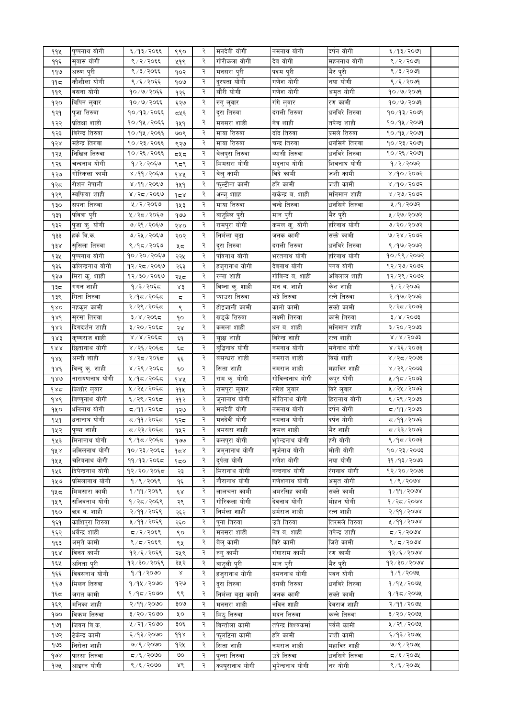| 992                 | पुष्पनाथ योगी     | ६/१३/२०६६     | ९९०                | २ | मनदेवी योगी      | नमनाथ योगी          | दर्पन योगी              | ६/१३/२०७१                 |  |
|---------------------|-------------------|---------------|--------------------|---|------------------|---------------------|-------------------------|---------------------------|--|
| ११६                 | सुवास योगी        | ९ / २ / २०६६  | ५१९                | २ | गोरीकला योगी     | देव योगी            | महननाथ योगी             | ९/२/२०७१                  |  |
| ११७                 | अरुण पुरी         | ९ / ३ / २०६६  | १०२                | २ | मनसरा पुरी       | पदम पुरी            | भैर पुरी                | ९/३/२०७१                  |  |
| ۹۹ҕ                 | कौशीला योगी       | ९ / ६ / २०६६  | १०७                | २ | दुरपता योगी      | गणेश योगी           | नया योगी                | ९/६/२०७१                  |  |
| ११९                 | वसना योगी         | १०/७/२०६६     | १२६                | २ | सौंरी योगी       | गणेश योगी           | अमृत योग <mark>ी</mark> | $90 \times 9 \times 2009$ |  |
| १२०                 | विपिन लुवार       | १०/७/२०६६     | ६२७                | २ | रुगु लुवार       | गंगे लुवार          | रण कामी                 | १०/७/२०७१                 |  |
| १२१                 | पुजा तिरुवा       | १०/१३/२०६६    | द्रप्र६            | २ | दुरा तिरुवा      | दंगली तिरुवा        | धनविरे तिरुवा           | १०/१३/२०७१                |  |
|                     | प्रतिक्षा शाही    | १०/१५/२०६६    |                    | २ | मनसरा शाही       | नेत्र शाही          | तपेन्द्र शाही           | $90/9$ k/२०७१             |  |
| १२२                 | विरेन्द्र तिरुवा  |               | 949                | २ |                  | ददि तिरुवा          | प्रमले तिरुवा           |                           |  |
| १२३                 |                   | १०/१५/२०६६    | ७०९                |   | माया तिरुवा      |                     |                         | १०/१५/२०७१                |  |
| १२४                 | महेन्द्र तिरुवा   | १०/२३/२०६६    | ९२७                | २ | माया तिरुवा      | चन्द्र तिरुवा       | धनसिगे तिरुवा           | १०/२३/२०७१                |  |
| १२५                 | निखिल तिरुवा      | १०/२६/२०६६    | 545                | २ | बेलपुरा तिरुवा   | व्यासी तिरुवा       | धनविरे तिरुवा           | १०/२६/२०७१                |  |
| १२६                 | चन्दनाथ योगी      | १/२/२०६७      | ९८९                | २ | मिमसरा योगी      | मदुनाथ योगी         | शिवनाथ योगी             | १/२/२०७२                  |  |
| १२७                 | गोरिकला कामी      | ४/११/२०६७     | dax                | २ | बेलु कामी        | विदे कामी           | जशी कामी                | ४/१०/२०७२                 |  |
| १२८                 | रोशन नेपाली       | ४/११/२०६७     | 949                | २ | फुल्टीना कामी    | हरि कामी            | जशी कामी                | 8/90/2003                 |  |
| १२९                 | स्वफिया शाही      | ४/२८/२०६७     | $d \simeq$         | २ | अन्जु शााह       | खकेन्द्र ब. शाही    | मनिमान शाही             | 8/56/5005                 |  |
| ٩३o                 | सपना तिरुवा       | ५/२/२०६७      | १५३                | २ | माया तिरुवा      | चन्द्रे तिरुवा      | धनसिगे तिरुवा           | ५/१/२०७२                  |  |
| $\theta$            | पवित्रा पुरी      | ५/२८/२०६७     | १७७                | २ | बाटुल्लि पुरी    | मान पुरी            | भैर पुरी                | ५ / २७ / २०७२             |  |
| १३२                 | पुजा कु. योगी     | ७/२१/२०६७     | २४०                | २ | रामपुरा योगी     | कमल कु. योगी        | हरिनाथ योगी             | ७/२०/२०७२                 |  |
| १३३                 | हर्क वि.क.        | ७/२५/२०६७     | २०२                | २ | निर्मला बुढा     | जनक कामी            | सक्ते कामी              | ७/२४/२०७२                 |  |
| $\delta$            | सुसिला तिरुवा     | ९/१८/२०६७     | ५८                 | २ | दुरा तिरुवा      | दंगली तिरुवा        | धनविरे तिरुवा           | ९/१७/२०७२                 |  |
| १३५                 | पुष्पनाथ योगी     | १०/२०/२०६७    | २२५                | २ | पविनाथ योगी      | भरतनाथ योगी         | हरिनाथ योगी             | १०/१९/२०७२                |  |
| १३६                 | कलिन्द्रनाथ योगी  | १२/२८/२०६७    | २६३                | २ | हजुरानाथ योगी    | देवनाथ योगी         | पनव योगी                | 93/99/9092                |  |
| १३७                 | मिरा कु. शाही     | १२/३०/२०६७    | २५८                | २ | रन्ना शाही       | गोविन्द ब. शाही     | अविलाल शाही             | १२⁄ २९ ⁄ २०७२             |  |
| ৭३८                 | गगन शाही          | १/३/२०६८      | ४३                 | २ | विष्ना कु. शाही  | मन ब. शाही          | केश शाही                | 9/2/2003                  |  |
| १३९                 | गिता तिरुवा       | २/१द/२०६द     | ς                  | २ | प्याउरा तिरुवा   | भद्रे तिरुवा        | रत्ने तिरुवा            | 8005/907                  |  |
|                     | नहकुल कामी        | २/२९/२०६८     |                    | २ | होइजाली कामी     | कालो कामी           | सक्ते कामी              | २/२८/२०७३                 |  |
| 980                 |                   |               | ९                  | २ |                  | लक्ष्मी तिरुवा      | कासे तिरुवा             | $3 \times 15003$          |  |
| 989                 | सुरसा तिरुवा      | ३/४/२०६८      | ٩o                 |   | खड्के तिरुवा     |                     |                         |                           |  |
| १४२                 | दिगदर्शन शाही     | ३/२०/२०६८     | २४                 | २ | कमला शाही        | धन ब. शाही          | मनिमान शाही             | $3 \times 50 \times 50$   |  |
| d R s               | कृष्णराज शाही     | ४/४/२०६८      | ξ٩                 | २ | सुछा शाही        | विरेन्द्र शाही      | रत्न शाही               | $8 \times 15003$          |  |
| dxx                 | छितानाथ योगी      | ४ / २६ / २०६८ | ξς                 | २ | बुद्धिनाथ योगी   | नमनाथ योगी          | मनेनाथ योगी             | ४ / २६ / २०७३             |  |
| १४५                 | अम्ती शाही        | ४/२८/२०६८     | وأوط               | २ | बसन्धरा शाही     | नमराज शाही          | विर्खशाही               | 8005/52/8                 |  |
| $d\lambda \epsilon$ | विन्दु कु. शाही   | ४/२९/२०६द     | ६०                 | २ | सिता शाही        | नमराज शाही          | महाविर शाही             | ४ / २९ / २०७३             |  |
| 980                 | नारायणनाथ योगी    | ५/१८/२०६८     | dAA                | २ | राम कु. योगी     | गोविन्दनाथ योगी     | कपुर योगी               | ५/१८/२०७३                 |  |
| १४८                 | किशोर लुवार       | ५ / २५ / २०६८ | 99X                | २ | रामपुरा लुवार    | रमेश लुवार          | विरे लुवार              | ५ / २५ / २०७३             |  |
| $d\lambda d$        | विष्णुनाथ योगी    | ६/२९/२०६८     | ११२                | २ | जुनानाथ योगी     | मोतिनाथ योगी        | हिरानाथ योगी            | ६/२९/२०७३                 |  |
| १५०                 | धनिनाथ योगी       | द ⁄ ११ ⁄ २०६द | १२७                | २ | मनदेवी योगी      | नमनाथ योगी          | दर्पन योगी              | द⁄११∕२०७३                 |  |
| 929                 | धनानाथ योगी       | द ⁄ ११ ⁄ २०६द | १२८                | २ | मनदेवी योगी      | नमनाथ योगी          | दर्पन योगी              | द ⁄ ११ ⁄ २०७३             |  |
| १५२                 | पुष्पा शाही       | द ⁄ २३ ⁄ २०६द | १५२                | २ | अमसरा शाही       | कमल शाही            | भैर शाही                | द ∕ २३∕ २०७३              |  |
| १५३                 | मिनानाथ योगी      | ९/१८/२०६८     | १७७                | २ | कलपुरा योगी      | भुपेन्द्रनाथ योगी   | हरी योगी                | ९/१८/२०७३                 |  |
| 9X X                | अमिलनाथ योगी      | १०/२३/२०६८    | $\gamma$ $\approx$ | २ | जमुनानाथ योगी    | सुर्जनाथ योगी       | मोती योगी               | १०/२३/२०७३                |  |
| १५५                 | चरित्रनाथ योगी    | ११/१३/२०६८    | 950                | २ | दुर्पता योगी     | गणेश योगी           | नया योगी                | ११ ⁄ १३ ⁄ २०७३            |  |
| १५६                 | दिपेन्द्रनाथ योगी | १२/२०/२०६८    | २३                 | २ | मिरानाथ योगी     | नन्दनाथ योगी        | रंगनाथ योगी             | $8009 \times 09 \times 9$ |  |
| १५७                 | प्रमिलानाथ योगी   | १/९/२०६९      | ۹६                 | २ | नौरानाथ योगी     | गणेशनाथ योगी        | अमृत योगी               | १/९/२०७४                  |  |
| १५८                 | मिमसारा कामी      | १/११/२०६९     | έχ                 | २ | लालचना कामी      | अमरसिंह कामी        | सक्ते कामी              | 9/99/2008                 |  |
|                     | संजिवनाथ योगी     | १/२८/२०६९     |                    | २ | गोरिकला योगी     | देवनाथ योगी         | मोहन योगी               | १/२८/२०७४                 |  |
| १५९                 | छत्र ब. शाही      |               | २९                 | २ | निर्मला शाही     | धर्मराज शाही        | रत्न शाही               | 3/99/3008                 |  |
| १६०                 |                   | २/११/२०६९     | २६२                | २ |                  |                     |                         |                           |  |
| १६१                 | काशिपुरा तिरुवा   | ५ ⁄ ११ ⁄ २०६९ | २६०                |   | पुना तिरुवा      | उते तिरुवा          | तिरमले तिरुवा           | ५/११/२०७४                 |  |
| १६२                 | धर्बेन्द्र शाही   | द /२/२०६९     | ९०                 | २ | मनसरा शाही       | नेत्र व. शाही       | तपेन्द्र शाही           | 5005/77                   |  |
| १६३                 | अमृते कामी        | ९/८/२०६९      | ९५                 | २ | बेलु कामी        | बिरे कामी           | जिते कामी               | 8/5/2008                  |  |
| $d \epsilon$        | विनय कामी         | १२/६/२०६९     | २५९                | २ | रुगु कामी        | गंगाराम कामी        | रण कामी                 | $92/\xi$ /2098            |  |
| १६५                 | अनिता परी         | १२/३०/२०६९    | ३५२                | २ | बाट्ली पुरी      | मान पुरी            | भैर परी                 | $45 \times 50 \times 50$  |  |
| १६६                 | विवसनाथ योगी      | 9/9/2000      | Χ                  | २ | हजरानाथ योगी     | दमननाथ योगी         | पवन योगी                | १/१/२०७५                  |  |
| १६७                 | मिलन तिरुवा       | १/१५/२०७०     | १२७                | २ | दरा तिरुवा       | दंगली तिरुवा        | धनविरे तिरुवा           | १/१५/२०७५                 |  |
| १६द                 | जगत कामी          | १/१८/२०७०     | ९९                 | २ | निर्मला बढा कामी | जनक कामी            | सक्ते कामी              | १/१८/२०७५                 |  |
| १६९                 | मनिका शाही        | २/११/२०७०     | ९०७                | २ | मनसरा शाही       | नविन शाही           | देवराज शाही             | २/११/२०७५                 |  |
| १७०                 | विकम तिरुवा       | ३/२०/२०७०     | ५०                 | २ | मिठ् तिरुवा      | मदन तिरुवा          | कन्ने तिरुवा            | ३/२०/२०७५                 |  |
| 969                 | जिवन वि.क.        | ५ / २१ / २०७० | ३०६                | २ | विन्तोला कामी    | तपेन्द्र विश्वकर्मा | पर्वले कामी             | ५ / २१ / २०७५             |  |
| १७२                 | टेकेन्द्र कामी    | ६/१३/२०७०     | 998                | २ | फलटिना कामी      | हरि कामी            | जशी कामी                | ६/१३/२०७५                 |  |
| १७३                 | निरोता शाही       | ७/९/२०७०      | १२५                | २ | सिता शाही        | नमराज शाही          | महाविर शाही             | ७/९/२०७५                  |  |
| १७४                 | पारसा तिरुवा      | ८/६/२०७०      | ७०                 | २ | पुन्ना तिरुवा    | उदे तिरुवा          | धनसिगे तिरुवा           | द /६/२०७५                 |  |
| १७५                 | आइरन योगी         | ९/६/२०७०      | ४९                 | २ | कल्पुरानाथ योगी  | भपेन्द्रनाथ योगी    | नर योगी                 | ९ ⁄ ६ ⁄ २०७५              |  |
|                     |                   |               |                    |   |                  |                     |                         |                           |  |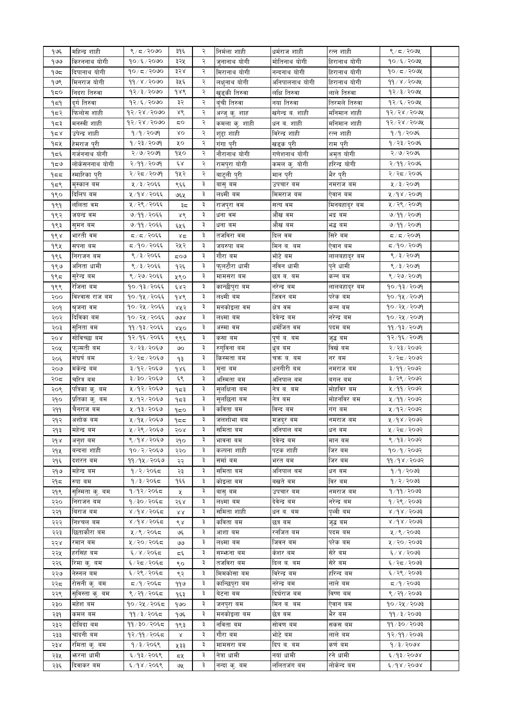| १७६ | महिन्द्र शाही        | ९/८/२०७०       | ३१६                  | २ | निर्मला शाही  | धर्मराज शाही         | रत्न शाही     | ९/८/२०७५                |  |
|-----|----------------------|----------------|----------------------|---|---------------|----------------------|---------------|-------------------------|--|
| १७७ | किरननाथ योगी         | १०/६/२०७०      | ३२५                  | ২ | जुनानाथ योगी  | मोतिनाथ योगी         | हिरानाथ योगी  | १०/६/२०७५               |  |
| १७८ | दिपानाथ योगी         | $90/\pi/2000$  | ३२४                  | २ | मिरानाथ योगी  | नन्दनाथ योगी         | हिरानाथ योगी  | $90/\pi/20$ ७५          |  |
| १७९ | मिनराज योगी          | ११ / ४ / २०७०  | ३५६                  | ২ | लक्षुनाथ योगी | अनिपालनाथ योगी       | हिरानाथ योगी  | 99/8/2092               |  |
| १८० | निदरा तिरुवा         | १२/३/२०७०      | १४९                  | २ | खुड्की तिरुवा | लक्षि तिरुवा         | लाले तिरुवा   | १२/३/२०७५               |  |
| ۹ե۹ | दर्ग तिरुवा          | $92/\xi$ /२०७० | ३२                   | २ | बंची तिरुवा   | नया तिरुवा           | तिरमले तिरुवा | 92/5/209                |  |
| १८२ | फिलोस शाही           | 98/88/8000     | ४९                   | २ | अन्जु कु. शाह | खगेन्द्र व. शाही     | मनिमान शाही   | 93/38/500               |  |
| १८३ | मनस्वी शाही          | 93/38/5000     | 5Ο                   | २ | कमला कु. शाही | धन ब. शाही           | मनिमान शाही   | १२⁄२४⁄२०७५              |  |
|     | उपेन्द्र शाही        | 9/9/2099       | δO                   | २ | शुद्दा शाही   | विरेन्द्र शाही       | रत्न शाही     | १/१/२०७६                |  |
| १८४ |                      | १/२३/२०७१      | ५०                   | २ | गंगा पुरी     |                      | राम पुरी      | १/२३/२०७६               |  |
| १८५ | हेमराज पुरी          |                |                      |   |               | खड्क पुरी            |               |                         |  |
| १८६ | गर्जननाथ योगी        | २/७/२०७१       | १५०                  | २ | नौरानाथ योगी  | गणेशनाथ योगी         | अमृत योगी     | २/७/२०७६                |  |
| ৭৯৩ | लोकेसननाथ योगी       | २/११/२०७१      | έχ                   | २ | रामपुरा योगी  | <u>कम</u> ल कु. योगी | हरिन्द्र योगी | २/११/२०७६               |  |
| १८८ | स्मारिका पुरी        | २/२८/२०७१      | १५२                  | ২ | बाटुली पुरी   | <u>मान</u> पुरी      | भैर पुरी      | २/२८/२०७६               |  |
| १८९ | मुस्कान बम           | ५ / ३ / २०६६   | ९६६                  | ३ | बासु बम       | उपचार बम             | नमराज बम      | ५/३/२०७१                |  |
| १९० | दिलिप बम             | ५/१४/२०६६      | ७६५                  | ३ | लक्ष्मी बम    | मिमराज बम            | ऐवान बम       | ५/१४/२०७१               |  |
| 999 | ललिता वम             | ५ / २९ / २०६६  | ३८                   | ३ | राजपुरा वम    | सत्य वम              | मिनबहादुर बम  | ५/२९/२०७१               |  |
| १९२ | जयन्द्र वम           | ७/११/२०६६      | ४९                   | ३ | धना वम        | औंख वम               | भद्र बम       | ७/११/२०७१               |  |
| १९३ | सुमन बम              | ७/११/२०६६      | ६५६                  | ३ | धना बम        | औख बम                | भद्ध बम       | ७/११/२०७१               |  |
| १९४ | भारती वम             | द / द / २०६६   | 85                   | ३ | तर्जावरा वम   | दिल वम               | सिरे बम       | 5/5/20                  |  |
| १९५ | सपना बम              | द्र/१०/२०६६    | २५२                  | ३ | जयरुपा बम     | मिन ब. बम            | ऐवान बम       | द ⁄१०∕२०७१              |  |
| १९६ | निराजन बम            | ९/३/२०६६       | ಧ೦ಅ                  | ३ | गौरा बम       | भोटे बम              | लालबहादुर बम  | ९/३/२०७१                |  |
| १९७ | अनिता धामी           | ९ / ३ / २०६६   | १२६                  | ३ | फुलटौरा धामी  | नविन धामी            | पुने धामी     | 8/3/2009                |  |
| १९८ | स् <b>रेन्द्र</b> बम | ९/२७/२०६६      | ५९०                  | ३ | मामसरा बम     | छत्र ब. बम           | कन्न बम       | ९ / २७ / २०७९           |  |
| १९९ | रेजिना बम            | १०/१३/२०६६     | ६४२                  | ३ | कान्छीपुरा बम | नरेन्द्र बम          | लालबहादुर बम  | १०/१३/२०७१              |  |
| २०० | विश्वास राज बम       | १०/१५/२०६६     | १४९                  | ३ | लक्ष्मी बम    | जिवन बम              | परेक बम       | $90/9$ k/२०७१           |  |
| २०१ | श्रुजना वम           | १०/२५/२०६६     | ४५२                  | ३ | मनकोइला वम    | क्षेत्र वम           | कन्न बम       | १०/२५/२०७१              |  |
| २०२ | दिविका बम            | १०/२५/२०६६     | ও४                   | ३ | लक्ष्मा बम    | देवेन्द्र बम         | नरेन्द्र बम   | १०/२५/२०७१              |  |
| २०३ | सुनिता वम            | ११/१३/२०६६     | ४४०                  | ३ | अस्मा वम      | धर्मजित वम           | पदम बम        | ११/१३/२०७१              |  |
| २०४ | सोविच्छा बम          | १२/१६/२०६६     | ९९६                  | ३ | कसा बम        | पूर्णव. बम           | जुद्ध वम      | १२/१६/२०७१              |  |
| २०५ | फुल्मती बम           | २/२३/२०६७      | ७०                   | ३ | रुगुविना बम   | धुब बम               | विखे बम       | २/२३/२०७२               |  |
| २०६ | संघर्ष बम            | २/२८/२०६७      | १३                   | ३ | किस्मता बम    | चक्र ब. बम           | नर बम         | २/२८/२०७२               |  |
| २०७ | मकेन्द्र बम          | ३/१२/२०६७      | १४६                  | ३ | मुना बम       | धनगीरी बम            | नमराज बम      | ३/११/२०७२               |  |
| २०द | चरित्र बम            | ३/३०/२०६७      | ६९                   | ३ | अस्मिता बम    | र्अानपाल बम          | बगल बम        | ३/२९/२०७२               |  |
|     | पत्रिका कु. बम       | ५/१२/२०६७      |                      | ३ | सुलक्षिना बम  | नेत्र ब. बम          | मोहविर बम     | ५/११/२०७२               |  |
| २०९ |                      | ५/१२/२०६७      | १८३                  | ३ |               |                      | मोहर्नावर बम  |                         |  |
| २१० | प्रतिका कु. बम       |                | १८३                  |   | सुलछिना बम    | नेत्र बम             |               | ५/११/२०७२               |  |
| २११ | चैनराज बम            | ५/१३/२०६७      | १८०                  | ३ | कविता बम      | विन्द बम             | गंग बम        | ५/१२/२०७२               |  |
| २१२ | अशोक बम              | ५/१५/२०६७      | ۹≂≂                  | ३ | जलशोभा बम     | मजदुर बम             | नमराज बम      | ५ ⁄ १४ ⁄ २०७२           |  |
| २१३ | महेन्द्र बम          | ५/२९/२०६७      | २०४                  |   | —<br>समिता बम | अनिपाल बम            | धन बम         | ५/२८/२०७२               |  |
| २१४ | अनुश बम              | ९/१४/२०६७      | २१०                  | ३ | भावना बम      | देवेन्द्र बम         | मान बम        | ९/१३/२०७२               |  |
| २१५ | बन्दना शाही          | १०७२/२०६७      | २२०                  | ₹ | कल्पना शाही   | पटक शाही             | जिर बम        | १०/१/२०७२               |  |
| २१६ | दशरत बम              | ११ ⁄ १५ ⁄ २०६७ | २२                   | ३ | समो बम        | भरत बम               | जिर बम        | ११/१४/२०७२              |  |
| २१७ | महेन्द्र बम          | १/२/२०६८       | २३                   | ३ | समिता बम      | अनिपाल बम            | धन बम         | १/१/२०७३                |  |
| २१८ | रुपा बम              | १/३/२०६८       | १६६                  | ३ | कोइला बम      | बखते बम              | विर बम        | १/२/२०७३                |  |
| २१९ | सुस्मिता कु. बम      | १/१२/२०६८      | X                    | ३ | बासु बम       | उपचार बम             | नमराज बम      | १/११/२०७३               |  |
| २२० | निराजन बम            | १/३०/२०६८      | २६४                  | ३ | लक्ष्मा बम    | देवेन्द्र बम         | नरेन्द्र बम   | १ / २९ / २०७३           |  |
| २२१ | बिराज बम             | ४/१४/२०६द      | 88                   | ३ | र्सामता शाही  | धन ब. बम             | पृथ्वीवम      | $8\sqrt{38}\sqrt{5003}$ |  |
| २२२ | निश्चल बम            | ४/१४/२०६द      | ९४                   | ३ | कविता बम      | छत्र बम              | जुद्ध वम      | 8/98/3003               |  |
| २२३ | छिताकौरा बम          | ५ ⁄ ९ ⁄ २०६८   | ঙং                   | ३ | आशा बम        | रनोजत बम             | पदम बम        | ५ / ९ / २०७३            |  |
| २२४ | रमान बम              | ५/२०/२०६८      | وى                   | ३ | लक्ष्मा बम    | जिवन बम              | परेक बम       | ५ / २० / २०७३           |  |
| २२५ | हरसिंह बम            | ६/४/२०६८       | ξ                    | ३ | सम्भन्ना बम   | कंशर बम              | सेरे बम       | $28/8$ / $5003$         |  |
| २२६ | रिमा कु. बम          | ६/२द/२०६द      | ९०                   | ३ | तजविरा बम     | दिल ब. बम            | सेरे बम       | ६/२८/२०७३               |  |
| २२७ | नेस्नल बम            | ६/२९/२०६८      | ९२                   | ३ | मिमकोसा बम    | विरेन्द्र बम         | हरिन्द बम     | ६/२९/२०७३               |  |
| २२८ | रोसनी कु. बम         | द /१/२०६द      | ११७                  | ३ | कान्छिपुरा बम | नरेन्द्र बम          | लाले बम       | द ⁄ १ ⁄ २०७३            |  |
| २२९ | सुविस्ता क्. बम      | ९/२१/२०६८      | १६३                  | ३ | बेटना बम      | दिघेराज बम           | विष्ण बम      | ९ / २१ / २०७३           |  |
| २३० | महेश बम              | १०/२५/२०६८     | १७०                  | ३ | जनपुरा बम     | मिन ब. बम            | एवान बम       | १०७२५७२०७३              |  |
| २३१ | कमल बम               | ११ / ३ / २०६८  |                      | ३ | मनकोइला बम    | छेत्र बम             | भेर बम        | ११ ⁄ ३ ⁄ २०७३           |  |
|     | दोबिदा बम            | ११ / ३० / २०६८ | १७६                  | ३ | नविता बम      | सोवण बम              | सकस बम        | ११ / ३० / २०७३          |  |
| २३२ | चांदनी बम            | १२/११/२०६८     | १९३                  | ३ | गौरा बम       | भोटे बम              |               | १२/११/२०७३              |  |
| २३३ |                      |                | $_\textrm{\tiny{X}}$ | ३ |               |                      | लाले बम       |                         |  |
| २३४ | रमिता कु. बम         | १/३/२०६९       | ५३३                  |   | मामसरा बम     | दिप ब. बम            | कर्ण बम       | $d \times 3 < 600$      |  |
| २३५ | फरना धामी            | ६/१३/२०६९      | द५                   | ३ | नेत्रा धामी   | नयां धामी            | रने धामी      | 8005/947                |  |
| २३६ | दिवाकर बम            | ६/१४/२०६९      | ७५                   | ३ | नन्दा कु. बम  | ललितजंग बम           | लोकेन्द बम    | 6/98/5008               |  |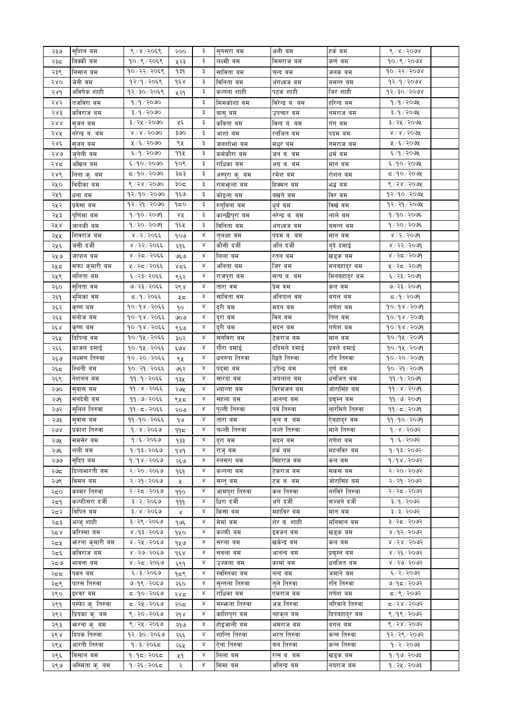| २३७  | सुशिल बम         | ९/४/२०६९                 | २००          | ३         | सुनसरा बम       | अली बम          | हकं बम         | ९ / ४ / २०७४             |  |
|------|------------------|--------------------------|--------------|-----------|-----------------|-----------------|----------------|--------------------------|--|
| २३८  | बिक्की बम        | १०/९/२०६९                | ५२३          | ३         | लक्ष्मी बम      | मिमराज वम       | कर्ण बम        | 90/8/2008                |  |
| २३९  | निसान बम         | १०/२२/२०६९               | १३१          | ३         | साविता बम       | चन्द बम         | जनक बम         | १०७२२/२०७४               |  |
| २४०  | जेनी वम          | १२⁄१⁄२०६९                | १६४          | ३         | विनिता बम       | अगध्वज बम       | बसन्त बम       | १२/१/२०७४                |  |
| २४१  | अविषेक शाही      | १२/३०/२०६९               | ५२१          | ३         | कल्पना शाही     | पटक शाही        | ाजर शाही       | १२/३०/२०७४               |  |
| २४२  | तजविरा बम        | १/१/२०७०                 |              | ३         | मिमकोशा बम      | विरेन्द्र ब. बम | हरिन्द बम      | १⁄१⁄२०७५                 |  |
|      |                  |                          |              |           |                 |                 |                |                          |  |
| २४३  | कविराज बम        | ३/१/२०७०                 |              | ३         | बासु बम         | उपचार बम        | नमराज बम       | ३/१/२०७५                 |  |
| २४४  | स्जन बम          | ३/२५/२०७०                | ५६           | ३         | कविता बम        | विन्द ब. बम     | गग बम          | ३/२५/२०७५                |  |
| २४५  | नरेन्द्र ब. बम   | $8 \times 8 \times 5000$ | ३७०          | ३         | आशा बम          | रनोजत बम        | पदम बम         | $8 \times 8 \times 5000$ |  |
| २४६  | स्जन बम          | ५ ⁄ ६ ⁄ २०७०             | ९५           | ३         | जलशोभा बम       | मधुर बम         | नमराज बम       | ५ ⁄ ६ ⁄ २०७५             |  |
| २४७  | ज्नेली बम        | ६/१/२०७०                 | ११५          | ३         | कर्मकौरा बम     | जन ब. बम        | धर्म बम        | ६/१/२०७५                 |  |
| २४द  | अखिल बम          | ६/१०/२०७०                | १०९          | ३         | राधिका बम       | अग्र ब. बम      | मान बम         | ६/१०/२०७५                |  |
| २४९  | निना कु. बम      | द ⁄ १० ⁄ २०७०            | ३८३          | ३         | अस्पुरा कु. बम  | रमेश बम         | रोशन बम        | द ⁄१०⁄ २०७५              |  |
| २५०  | विदीका बम        | ९/२४/२०७०                | ३०द          | ३         | रामभुला बम      | हिक्मत बम       | भद्ध बम        | ९ / २४ / २०७५            |  |
|      |                  |                          |              |           |                 |                 |                |                          |  |
| २५१  | धना बम           | १२/१०/२०७०               | १६७          | ३         | काइला बम        | बखते बम         | विर बम         | १२/१०/२०७५               |  |
| २५२  | प्रवेसा बम       | १२/२१/२०७०               | १८०          | ३         | रुगुविना बम     | धवं बम          | विखंबम         | १२⁄२१⁄२०७५               |  |
| २५३  | पुणिमा बम        | १/१०/२०७१                | ४४           | ३         | कान्छीपुरा बम   | नरेन्द्र ब. बम  | लाले बम        | १/१०/२०७६                |  |
| २५ ४ | जानकी बम         | १/२०/२०७१                | १६५          | ३         | विनिता बम       | अंगध्वज बम      | बसन्त बम       | १/२०/२०७६                |  |
| २५५  | शिवराज बम        | ४ / २ / २०६६             | १०७          | Χ         | तुलक्षा बम      | पदम ब. बम       | मान बम         | 8/3/50                   |  |
| २५६  | जसी दर्जी        | ४ / २२ / २०६६            | ६१६          | Χ         | कौसी दर्जी      | र्आल दजी        | बुदे दमाइ      | ४ / २२ / २०७१            |  |
| २५७  | जापान बम         | ४/२८/२०६६                | ও६७          | Χ         | लिला बम         | रतन बम          | खड्क बम        | ४ / २८ / २०७१            |  |
| २५८  | सफा कुमारी बम    | ५ / २८ / २०६६            | بإيكا        | Χ         | अनिता बम        | जिर बम          | मनबहादुर बम    | ५ / २द / २०७१            |  |
|      | लोलता बम         | ६ / २३ / २०६६            |              | $\propto$ |                 | सत्य ब. बम      |                | ६ / २३ / २०७९            |  |
| २५९  |                  |                          | ९६२          | Χ         | राजपुरा बम      |                 | मिनबहादुर बम   |                          |  |
| २६०  | सुनिता वम        | ७/२३/२०६६                | २९४          |           | तारा वम         | प्रेम वम        | कल बम          | ७/२३/२०७१                |  |
| २६१  | भुमिका वम        | द ⁄ १ ⁄ २०६६             | ५८           | Χ         | साविता वम       | अनिपाल वम       | बगल बम         | द ⁄ १ ⁄ २०७१             |  |
| २६२  | कृष्ण बम         | १०/१४/२०६६               | ٩o           | Χ         | दुरी बम         | मदन बम          | गणेश बम        | १०/१४/२०७१               |  |
| २६३  | मनोज बम          | १०/१४/२०६६               | ७०७          | Χ         | दुरा बम         | विन बम          | तिल बम         | १०/१४/२०७१               |  |
| २६४  | कृष्ण बम         | १०/१४/२०६६               | ९६७          | Χ         | दुरी बम         | मदन बम          | गणेश बम        | १०/१४/२०७१               |  |
| २६५  | दिपिन्द्र वम     | १०/१५/२०६६               | ३०२          | Χ         | सर्नावरा वम     | टेकराज बम       | मान बम         | १०⁄१५⁄२०७१               |  |
| २६६  | काजल दमाइं       | १०/१५/२०६६               | ६७४          | Χ         | गौरा दमाई       | ददिमले दमाई     | प्रवले दमाई    | १०⁄१५⁄२०७१               |  |
| २६७  | लक्ष्मण तिरुवा   | १०/२०/२०६६               | ९५           | Χ         | धनरुपा तिरुवा   | छिते तिरुवा     | रति तिरुवा     | १०/२०/२०७१               |  |
| २६८  | स्थिती बम        | १०/२१/२०६६               | ७६२          | Χ         | पद्मा बम        | उपेन्द्र बम     | पुणे बम        | १०/२१/२०७१               |  |
| २६९  | नेशनल बम         | ११ ⁄ १ ⁄२०६६             | १३५          | Χ         | सारदा बम        | जयलाल बम        | धर्नाजत बम     | ११ ⁄ १ ⁄२०७१             |  |
| २७०  | सुवास बम         | ११ / ४ / २०६६            | २७५          | Χ         | भ्यान्ता बम     | विरमजन बम       | जोरासिंह बम    | ११ / ४ / २०७१            |  |
| २७१  | सनदेवी बम        | ११ / ७ / २०६६            | ९५८          | Χ         | सहला बम         | आनन्द बम        | प्रद्युम्न बम  | ११/७/२०७१                |  |
|      | सुनिल तिरुवा     |                          |              | Χ         |                 | पर्व तिरुवा     | नारसिगे तिरुवा |                          |  |
| २७२  |                  | ११ / द / २०६६            | २०७          |           | पुल्ती तिरुवा   |                 |                | ११ / द / २०७१            |  |
| २७३  | सुवास बम         | ११ ⁄ १० ⁄ २०६६           | ۹७           | Χ         | तारा बम         | कुल ब. बम       | ऐबहादुर बम     | ११/१०/२०७१               |  |
| ২७४  | प्रकाश तिरुवा    | १ ⁄ ४ ⁄ २०६७             | ۹۹≂          | x         | चल्ली तिरुवा    | लल्ते तिरुवा    | माने तिरुवा    | १७४७२०७२                 |  |
| २७५  | समसेर बम         | १ ⁄ ६ ⁄ २०६७             | १३३          | Χ         | द्रा बम         | मदन बम          | गणेश बम        | १/६/२०७२                 |  |
| २७६  | लली बम           | १ ⁄ १३ ⁄ २०६७            | 989          | Χ         | राज् बम         | हर्क बम         | महनविर बम      | १/१३/२०७२                |  |
| ২৩৩  | सुदिप बम         | १/१४/२०६७                | २६७          | Χ         | रुनसरा बम       | सिंहराज बम      | कल बम          | १/१४/२०७२                |  |
| २७द  | दिव्यभारती बम    | २/२०/२०६७                | १६१          | Χ         | कल्पना बम       | टेकराज बम       | सकस बम         | २/२०/२०७२                |  |
| २७९  | विमल बम          | २/२१/२०६७                | Χ            | Χ         | सन्त् बम        | टंक ब. बम       | जोरासिंह बम    | २/२१/२०७२                |  |
| २द०  | कम्मर तिरुवा     | २/२८/२०६७                | ११०          | $\propto$ | आमपुरा तिरुवा   | कल तिरुवा       | नरविरे तिरुवा  | २/२द/२०७२                |  |
|      | कल्फीसरा दर्जी   | ३/२/२०६७                 |              | Χ         | धिरा दर्जी      | अंगे दर्जी      | सज्जने दर्जी   | ३/१/२०७२                 |  |
| २द१  | विपिन बम         | ३/४/२०६७                 | 999          | Χ         |                 | महाविर बम       |                |                          |  |
| २८२  |                  |                          | $\propto$    |           | किसा बम         |                 | मान बम         | ३/३/२०७२                 |  |
| २८३  | अन्ज् शाही       | ३/२९/२०६७                | १७६          | $\propto$ | मेमो बम         | शेर व. शाही     | मनिमान बम      | ३/२८/२०७२                |  |
| २८४  | करिस्मा बम       | ४/१३/२०६७                | १५०          | Χ         | कल्फी बम        | इवजन बम         | खड्क बम        | ४ /१२ / २०७२             |  |
| २द५  | भारना कुमारी बम  | ४ / २५ / २०६७            | १५७          | Χ         | सरला बम         | खकेन्द्र बम     | कल बम          | $8\sqrt{58}\sqrt{5005}$  |  |
| २द६  | कविराज बम        | ४ / २७ / २०६७            | १६४          | Χ         | सवला बम         | आनन्द बम        | प्रद्युम्न बम  | ४ / २६ / २०७२            |  |
| २द७  | भावना बम         | ४ / २द / २०६७            | ६९१          | Χ         | उज्जला बम       | कार्मा बम       | धर्नाजत बम     | ४ / २७ / २०७२            |  |
| २दद  | पवन बम           | ६/३/२०६७                 | १८९          | Χ         | स्वस्तिका बम    | नन्द बम         | जमाने बम       | ६/२/२०७२                 |  |
| २द९  | पारस तिरुवा      | ७/१९/२०६७                | २६०          | Χ         | सुन्तला तिरुवा  | त्ले तिरुवा     | रति तिरुवा     | ७/१८/२०७२                |  |
| २९०  | इश्वर बम         | द ⁄ १० ⁄ २०६७            | २४८          | Χ         | राधिका बम       | एकराज बम        | गणेश बम        | द ∕९ ⁄ २०७२              |  |
| २९१  | पम्फा कु. तिरुवा | द / २५ / २०६७            | २०८          | Χ         | सम्भन्ना तिरुवा | अज तिरुवा       | नरिवाने तिरुवा | द / २४ / २०७२            |  |
| २९२  | प्रियंका कु. बम  | ९ / २० / २०६७            | $5d \lambda$ | Χ         | काशिपुरा बम     | नहकुल बम        | दिपबहादुर बम   | ९/१९/२०७२                |  |
|      |                  | ९ / २५ / २०६७            |              | Χ         | होइजाली बम      |                 |                | ९/२४/२०७२                |  |
| २९३  | भारना क्. बम     |                          | २१७          |           |                 | अमराज बम        | बगल बम         |                          |  |
| २९४  | दिपक तिरुवा      | १२/३०/२०६७               | २६६          | Χ         | शान्ति तिरुवा   | भरत तिरुवा      | कन्न तिरुवा    | १२⁄ २९ ⁄ २०७२            |  |
| २९५  | आरती तिरुवा      | १/३/२०६८                 | २६५          | Χ         | ऐना तिरुवा      | बल तिरुवा       | कन्न तिरुवा    | १ ⁄ २ ⁄ २०७३             |  |
| २९६  | विसाल बम         | १/१द/२०६द                | ५१           | Χ         | लिला बम         | रत्न ब. बम      | खड्क बम        | १/१७/२०७३                |  |
| २९७  | अस्मिता कु. बम   | १/२६/२०६८                | २            | $\propto$ | मिमा बम         | अलिन्द्र बम     | नयराज बम       | १ ⁄ २५ ⁄ २०७३            |  |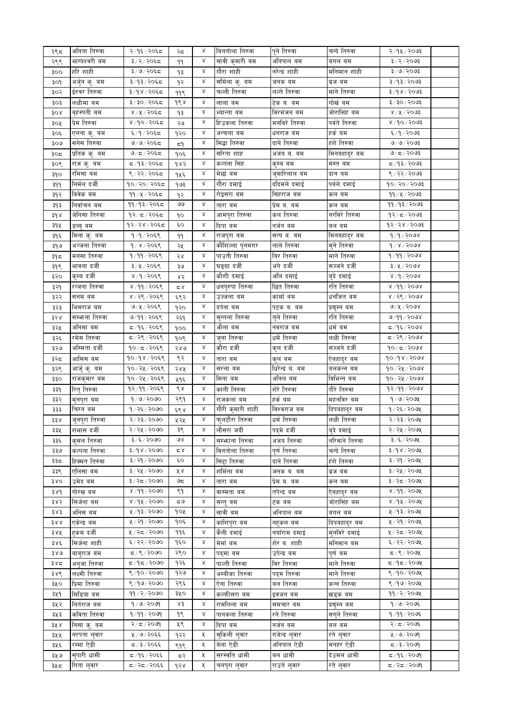| २९८                     | अनिता तिरुवा    | २/१६/२०६८     | २८   | Χ             | बिनतोला तिरुवा                | पुने तिरुवा     | चन्दे तिरुवा   | २/१५/२०७३                  |  |
|-------------------------|-----------------|---------------|------|---------------|-------------------------------|-----------------|----------------|----------------------------|--|
| २९९                     | भाग्यश्वरी बम   | ३/२/२०६८      | 99   | Χ             | सावी कुमारी बम                | अनिपाल बम       | बगल बम         | ३/२/२०७३                   |  |
| ३००                     | हरि शाही        | ३/७/२०६८      | ٩₹   | Χ             | गौरा शाही                     | नरेन्द्र शाही   | मनिमान शाही    | $3 \times 6 \times 50$ ७३  |  |
| ३०१                     | अर्जुन कु. बम   | ३/१३/२०६८     | १२   | Χ             | सर्मिला कु. बम                | जनक बम          | ब्रज बम        | $5009 \times 59 \times 5$  |  |
| ३०२                     | ईश्वर तिरुवा    | ३/१४/२०६८     | ११९  | Χ             | चल्ली तिरुवा                  | लल्ते तिरुवा    | माने तिरुवा    | ३/१४/२०७३                  |  |
| ३०३                     | लक्षीमा बम      | ३/३०/२०६८     | १९४  | Χ             | लाला बम                       | टेक ब. बम       | गोर्ख बम       | $$099 \times 10$           |  |
| ३०४                     | बृहस्पती बम     | ४/५/२०६८      | ٩₹   | Χ             | भ्यान्ता बम                   | विरमंजन बम      | जोरासिंह बम    | 8/8/3003                   |  |
|                         | प्रेम तिरुवा    |               |      | Χ             | हिउकला तिरुवा                 | मनविरे तिरुवा   | पर्वते तिरुवा  | 800,000                    |  |
| ३०५                     |                 | ४/१०/२०६द     | ২७   |               |                               |                 |                |                            |  |
| ३०६                     | एलना कु. बम     | ६/१/२०६८      | १२०  | Χ             | अन्चला बम                     | धनराज बम        | हर्क बम        | ६/१/२०७३                   |  |
| ३०७                     | सनेस तिरुवा     | ७/७/२०६८      | ξ۹   | Χ             | सिद्धा तिरुवा                 | दाने तिरुवा     | हंशे तिरुवा    | 9/9/2093                   |  |
| ३०८                     | प्रतिक कु. बम   | ७/८/२०६८      | १०६  | Χ             | सरिता शाह                     | अजय ब. बम       | मिनबहादुर बम   | 9/5/2003                   |  |
| ३०९                     | राज कु. बम      | द ⁄ १३ ⁄ २०६द | १४२  | Χ             | कल्पना सिंह                   | कुम्ब बम        | मस्त बम        | द ⁄ १३ ⁄ २०७३              |  |
| ३१०                     | रमिसा बम        | ९/२२/२०६८     | १५६  | $\propto$     | मेर्छा बम                     | जुवारिलाल बम    | दान बम         | $8/25/50$ 093              |  |
| ३११                     | निर्मल दर्जी    | १०/२०/२०६८    | १७३  | $\propto$     | गौरा दमाई                     | ददिमले दमाई     | पर्वले दमाई    | $90 \times 90 \times 9003$ |  |
| ३१२                     | विवेक बम        | ११/५/२०६८     | १२   | $\mathcal{S}$ | रोइसरा बम                     | सिंहराज बम      | कल बम          | 99 / 8 / 2003              |  |
| ३१३                     | निर्वाचन बम     | ११/१३/२०६८    | واقا | $\propto$     | तारा बम                       | प्रेम ब. बम     | कल बम          | $99/93/\sqrt{2003}$        |  |
|                         | जेनिसा तिरुवा   | १२/८/२०६८     |      | $\mathsf{X}$  | आमपुरा तिरुवा                 | कल तिरुवा       | नरविरे तिरुवा  | $92/\pi$ /२०७३             |  |
| $3d \lambda$            |                 |               | ٩o   |               |                               |                 |                |                            |  |
| ३१५                     | डब्बु बम        | १२/२४/२०६८    | ٤o   | $\propto$     | दिपा बम                       | नर्जन बम        | बल बम          | 93/38/5003                 |  |
| ३१६                     | मिना कु. बम     | १/१/२०६९      | 99   | $\mathsf{X}$  | राजपुरा बम                    | सत्य ब. बम      | मिनबहादुर बम   | 9/9/2098                   |  |
| ३१७                     | अञ्जना तिरुवा   | 9/8/2058      | २५   | $\propto$     | कौशिल्ला पुनमगर               | लाले तिरुवा     | मुने तिरुवा    | 9/8/8008                   |  |
| ३१८                     | मनसा तिरुवा     | १/११/२०६९     | २४   | $\propto$     | पाउती तिरुवा                  | बिर तिरुवा      | माने तिरुवा    | 9/99/2008                  |  |
| ३१९                     | भावना दर्जी     | ३/५/२०६९      | ३७   | $\mathsf{X}$  | घङ्ग्रा दर्जी                 | अंगे दर्जी      | सज्जने दर्जी   | $3 \times 2000$ ४          |  |
| ३२०                     | कुम्ब दर्जी     | 8/9/2058      | ४२   | $\propto$     | कौशी दमाई                     | अलि दमाई        | बुदे दमाई      | 8/9/9008                   |  |
| ३२१                     | रन्जना तिरुवा   | ४/११/२०६९     | کے ج | $\mathsf{X}$  | धनपुरुपा त <mark>िरुवा</mark> | छित तिरुवा      | रति तिरुवा     | 8/99/2008                  |  |
|                         | सनम बम          | ४/२९/२०६९     |      | $\propto$     | उज्जला बम                     | कार्मा बम       | धर्नाजत बम     | 8/36/5000                  |  |
| ३२२                     |                 |               | ६९२  | $\propto$     |                               |                 |                |                            |  |
| ३२३                     | भिमराज बम       | ७/५/२०६९      | १२०  |               | दर्पना बम                     | पटक ब. बम       | प्रद्युम्न बम  | 9/8/5008                   |  |
| ३२४                     | सम्भन्ना तिरुवा | ७/११/२०६९     | २६१  | $\propto$     | सुन्तला तिरुवा                | तुले तिरुवा     | रति तिरुवा     | 9/99/2098                  |  |
| ३२५                     | अनिमा बम        | ८/१६/२०६९     | १००  | $\propto$     | औला बम                        | नवराज बम        | धर्म बम        | $5/9$ ६/२०७४               |  |
| ३२६                     | रमेस तिरुवा     | ८,२९/२०६९     | १०९  | $\propto$     | जुना तिरुवा                   | धर्मे तिरुवा    | लक्षी तिरुवा   | $5/26/500$ ४               |  |
| ३२७                     | अस्मिता दर्जी   | १०/८/२०६९     | २४७  | $\propto$     | कौरा दर्जी                    | कुल दर्जी       | सज्जने दर्जी   | $90/\pi/\sqrt{2008}$       |  |
| ३२८                     | आसिस बम         | 90/98/2059    | ९२   | $\propto$     | तारा बम                       | कुल बम          | ऐबहादुर बम     | 90/98/2008                 |  |
| ३२९                     | आर्जु कु. बम    | १०/२५/२०६९    | २४५  | $\propto$     | सरला बम                       | धिरेन्द्र ब. बम | बलकन्न बम      | 90/28/500                  |  |
| ३३०                     | राजकुमार बम     | १०/२५/२०६९    | ५१६  | $\mathsf{X}$  | मिना बम                       | अनिल बम         | विभिन्न बम     | 90/28/5000                 |  |
| ३३१                     | रितु तिरुवा     | १२/११/२०६९    | ९४   | $\propto$     | काली तिरुवा                   | शेरे तिरुवा     | पौरे तिरुवा    | 92/99/2008                 |  |
|                         |                 | 9/9/2000      | २९१  | $\propto$     |                               | हर्क बम         |                | 9/9/209                    |  |
| ३३२                     | मुनपुरा बम      |               |      | $\propto$     | राजकला बम                     |                 | महनविर बम      |                            |  |
| ३३३                     | चिरन बम         | १/२६/२०७०     | ६९४  |               | गौरी कुमारी शाही              | विश्वराज बम     | दिपबहादुर बम   | 9/25/200                   |  |
| $\sharp \sharp \lambda$ | जुनपुरा तिरुवा  | २/२३/२०७०     | ५२५  | $\propto$     | फुलटौरा तिरुवा                | धर्म तिरुवा     | लक्षी तिरुवा   | २/२३/२०७५                  |  |
| ३३५                     | शभास दर्जी      | २/२५/२०७०     | ३९   | Χ             | लौसरा जर्दी                   | पदमे दर्जा      | बुदे दमाई      | २/२५/२०७५                  |  |
| ३३६                     | क्सल तिरुवा     | ३/६/२०७०      | ७४   | Χ             | सम्भाना तिरुवा                | अजय तिरुवा      | नरिवाने तिरुवा | ३/६/२०७५                   |  |
| ३३७                     | कल्पना तिरुवा   | 8/98/9090     | م ×  | Χ             | विनतोला तिरुवा                | पुर्ण तिरुवा    | चन्दे तिरुवा   | 3/98/2004                  |  |
| ३३८                     | हिक्मत तिरुवा   | ३/२१/२०७०     | ٤o   | Χ             | सिद्दा तिरुवा                 | दाने तिरुवा     | हंशे तिरुवा    | ३/२१/२०७५                  |  |
| ३३९                     | एलिसा बम        | ३/२५/२०७०     | ४४   | Χ             | शर्मिला बम                    | जनक ब. बम       | ब्रज बम        | ३/२५/२०७५                  |  |
| 380                     | उमेद बम         | ३/२८/२०७०     | ಅದ   | Χ             | तारा बम                       | प्रेम ब. बम     | कल बम          | ३/२८/२०७५                  |  |
| 38d                     | गोरख बम         | 8/99/2000     | ९१   | Χ             | वास्मता बम                    | तपेन्द्र बम     | ऐबहादुर बम     | 8/99/209                   |  |
|                         |                 | 8/98/2000     | ಧ७   | Χ             |                               |                 |                | 8/98/200                   |  |
| ३४२                     | सिर्जना बम      |               |      |               | सन्त् बम                      | टंक बम          | जोरासिंह बम    |                            |  |
| 383                     | अनिस बम         | ५/१३/२०७०     | १०५  | Χ             | सावी बम                       | अनिपाल बम       | बगल बम         | ५/१३/२०७५                  |  |
| 388                     | एकेन्द्र बम     | ५ / २१ / २०७० | १०६  | Χ             | काशिपुरा बम                   | नहकल बम         | दिपबहाद्र बम   | ५ / २१ / २०७५              |  |
| ३४५                     | हकम दर्जी       | ५/२८/२०७०     | ११६  | Χ             | कैली दमाई                     | नयॉराम दमाई     | म्नविरे दमाई   | ५/२८/२०७५                  |  |
| ३४६                     | सिर्जना शाही    | ६/२२/२०७०     | १६०  | Χ             | मेर्मा बम                     | शेर ब. शाही     | र्मानमान बम    | ६/२२/२०७५                  |  |
| 380                     | बाबराज बम       | 5/3/3000      | २९०  | Χ             | पदमा बम                       | उपेन्द्र बम     | पूर्णवम        | $5/$ ९/२०७५                |  |
| ३४८                     | अनजा तिरुवा     | ०७०९ ∖ न १    | १२६  | Χ             | पाल्ती तिरुवा                 | विर तिरुवा      | माने तिरुवा    | ८/१८/२०७५                  |  |
| ३४९                     | लक्ष्मी तिरुवा  | 8/90/2000     | १२७  | Χ             | अम्बीका तिरुवा                | पदम तिरुवा      | माने तिरुवा    | $8/90/200$ ४               |  |
| ३५०                     | प्रिमा तिरुवा   | 8/99/2090     | २९६  | Χ             | ऐना तिरुवा                    | बल तिरुवा       | कन्न तिरुवा    | ९/१७/२०७५                  |  |
|                         |                 | 99 / 2 / 2000 | ३५०  | Χ             |                               |                 |                | 99/2/209                   |  |
| ३५१                     | मिडिया बम       |               |      |               | कल्फीसरा वम                   | इवजन बम         | खड्क बम        |                            |  |
| ३५२                     | नितेराज बम      | 9/9/2099      | ४३   | Χ             | रामलिला बम                    | समचार बम        | प्रद्यम्न बम   | 9/9/2096                   |  |
| ३५३                     | कविता तिरुवा    | 9/99/2099     | १९   | Χ             | पानकला तिरुवा                 | रने तिरुवा      | सगने तिरुवा    | 9/99/20                    |  |
| ३५ ४                    | निसा क. बम      | २/८/२०७१      | ५९   | Χ             | दिपा बम                       | नजेन बम         | बल बम          | २/ $\pi$ /२०७६             |  |
| ३५५                     | नरपता लुवार     | ५/७/२०६६      | १२२  | X.            | सुकिली लुवार                  | गजेन्द्र लुवार  | रते लुवार      | 4/9/209                    |  |
| ३५६                     | रम्मा ऐडी       | द / ३ / २०६६  | ९१९  | X.            | बेला ऐडी                      | अनिपाल ऐडी      | मनहर ऐडी       | $\sqrt{80}$ २२०            |  |
| ३५७                     | सुपारी धामी     | द ∕ १६ ⁄ २०६६ | दरे  | ₹             | सरस्वति धामी                  | बल धामी         | देउमल धामी     | द ∕ १६ ⁄ २०७१              |  |
| ३५८                     | गिता लुवार      | द / २द / २०६६ | dS   | ५             | चनपुरा लुवार                  | राउते लुवार     | रते लुवार      | $609/77$ प                 |  |
|                         |                 |               |      |               |                               |                 |                |                            |  |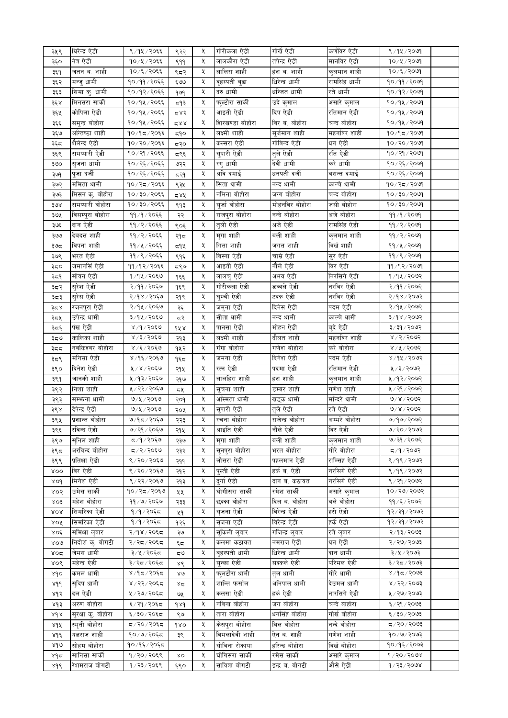| ३५९        | धिरेन्द्र ऐडी      | ९/१५/२०६६                | ९२२          | Κ  | गोरीकला ऐडी     | गोर्खे ऐडी       | कर्णविर ऐडी   | ९/१५/२०७१               |  |
|------------|--------------------|--------------------------|--------------|----|-----------------|------------------|---------------|-------------------------|--|
| ३६०        | नेत्र ऐडी          | १०/५/२०६६                | ९११          | χ  | लालकौरा ऐडी     | तपेन्द्र ऐडी     | मानविर ऐडी    | १०/५/२०७१               |  |
| ३६१        | जतन ब. शाही        | $90/\xi/\sqrt{20\xi\xi}$ | ९८२          | Κ  | लालिरा शाही     | हंश ब. शाही      | कुलमान शाही   | १०/६/२०७१               |  |
| ३६२        | मन्जु धामी         | १०/११/२०६६               | ६७७          | χ  | वृहस्पती बुढा   | धिरेन्द्र धामी   | रामसिंह धामी  | १०/११/२०७१              |  |
| ३६३        | सिमा कु. धामी      | १०/१२/२०६६               | 969          | χ  | दरु धामी        | धन्जित धामी      | रते धामी      | १०/१२/२०७१              |  |
| ३६ ४       | मिनसरा सार्की      | १०/१५/२०६६               | द१३          | Κ  | फुल्टौरा सार्की | उदे कुमाल        | असारे कुमाल   | $90/9$ k/२०७१           |  |
| ३६५        | कोपिला ऐडी         | १०/१५/२०६६               | ⊄ 8ح         | χ  | आइती ऐडी        | दिप ऐडी          | रतिमान ऐडी    | $90/9$ ४/२०७१           |  |
|            | समुन्द्र बोहोरा    | १०/१५/२०६६               | 288          | Κ  | शिरखण्डा बोहोरा | विर ब. बोहोरा    | चन्द बोहोरा   | $90/9$ k/२०७१           |  |
| ३६६        |                    |                          |              |    | लक्ष्मी शाही    | सुर्जमान शाही    |               |                         |  |
| ३६७        | अन्तिष्ठा शाही     | १०/१८/२०६६               | ξ9ο          | Κ  |                 |                  | महनविर शाही   | $90/95/20$ প            |  |
| ३६८        | शैलेन्द्र ऐडी      | १०/२०/२०६६               | द२०          | χ  | कल्सरा ऐडी      | गोविन्द ऐडी      | धन ऐडी        | १०/२०/२०७१              |  |
| ३६९        | रामप्यारी ऐडी      | १०/२१/२०६६               | द९६          | Κ  | सुपारी ऐडी      | तुले ऐडी         | रति ऐडी       | १०/२१/२०७१              |  |
| ३७०        | सृजना धामी         | १०/२६/२०६६               | ७२२          | Κ  | रगु धामी        | देवी धामी        | करे धामी      | १०/२६/२०७१              |  |
| ३७१        | पुजा दर्जी         | १०/२६/२०६६               | 552          | χ  | अवि दमाई        | धनपती दर्जी      | बसन्त दमाई    | 90/25/2009              |  |
| ३७२        | ममिता धामी         | १०/२८/२०६६               | ९३५          | χ  | सिता धामी       | नन्द धामी        | कान्चे धामी   | १०/२८/२०७१              |  |
| ३७३        | मिसन कु. बोहोरा    | १०/३०/२०६६               | 588          | χ  | नमिना बोहोरा    | जग्ग बोहोरा      | चन्द बोहोरा   | $90 \times 10$ हे पुरुष |  |
| ३७४        | रामप्यारी बोहोरा   | १०/३०/२०६६               | ९१३          | χ  | सुर्जा बोहोरा   | मोहनविर बोहोरा   | जसी बोहोरा    | $90 \times 10$ हे पुरुष |  |
| ३७५        | विसम्पुरा बोहोरा   | ११/१/२०६६                | २२           | χ  | राजपुरा बोहोरा  | नन्दे बोहोरा     | अजे बोहोरा    | 99/9/2099               |  |
| ३७६        | दान ऐडी            | ११/२/२०६६                | ९०६          | χ  | तुली ऐडी        | अजे ऐडी          | रामसिंह ऐडी   | 99/2/2009               |  |
|            | देवदत्त शाही       | ११/२/२०६६                |              | χ  | मुगा शाही       | बली शाही         | कुलमान शाही   | 99/2/2099               |  |
| ३७७        |                    |                          | २१८          |    |                 |                  |               |                         |  |
| ३७८        | विपना शाही         | ११/५/२०६६                | 59 પ્ર       | χ  | गिता शाही       | जगत शाही         | विर्खशाही     | ११/४/२०७१               |  |
| ३७९        | भरत ऐडी            | ११/९/२०६६                | ९१६          | χ  | विस्ना ऐडी      | चाम्रे ऐडी       | सुर ऐडी       | 99/8/8099               |  |
| ३८०        | जमानसिं ऐडी        | ११/१२/२०६६               | द९७          | χ  | आइती ऐडी        | नौले ऐडी         | विर ऐडी       | ११/१२/२०७१              |  |
| ३८१        | सोवन ऐडी           | १/१५/२०६७                | १६६          | χ  | लालचु ऐडी       | अभय ऐडी          | निरसिगे ऐडी   | १/१५/२०७२               |  |
| ३८२        | सुरेश ऐडी          | २/११/२०६७                | १६९          | χ  | गोरीकला ऐडी     | डब्बले ऐडी       | नरविर ऐडी     | २/११/२०७२               |  |
| ३८३        | सुरेस ऐडी          | २/१४/२०६७                | २१९          | χ  | घुम्ची ऐडी      | टक्क ऐडी         | नरविर ऐडी     | 8005/18                 |  |
| ३८४        | रजनपुरा ऐडी        | २/१५/२०६७                | ३६           | χ  | जमुना ऐडी       | दिनेस ऐडी        | पदम ऐडी       | २/१५/२०७२               |  |
| ३८५        | उपेन्द्र धामी      | ३/१५/२०६७                | दरे          | χ  | सीता धामी       | नन्द धामी        | काल्चे धामी   | $8005 \times 10^{15}$   |  |
|            | पंख ऐडी            | 8/9/2069                 |              | χ  | पानसा ऐडी       | मोहन ऐडी         | बुदे ऐडी      | ३/३१/२०७२               |  |
| ३८६        |                    |                          | १५४          |    |                 |                  |               |                         |  |
| ತಿದ9       | कालिका शाही        | 8/3/2060                 | २१३          | χ  | लक्ष्मी शाही    | दौलत शाही        | महनविर शाही   | 8/2/5005                |  |
| ३८८        | नवकिश्वर बोहोरा    | $8/5/50$ ६७              | १५२          | χ  | गंगा बोहोरा     | गणेश बोहोरा      | करे बोहोरा    | 8/8/5005                |  |
| ३८९        | मनिसा ऐडी          | ४/१६/२०६७                | १६८          | χ  | जमना ऐडी        | दिनेश ऐडी        | पदम ऐडी       | ४/१५/२०७२               |  |
| ३९०        | दिनेश ऐडी          | ५/४/२०६७                 | २१५          | χ  | रत्न ऐडी        | पदमा ऐडी         | रतिमान ऐडी    | ५/३/२०७२                |  |
| ३९१        | जानकी शाही         | ५/१३/२०६७                | २१७          | χ  | लालहिरा शाही    | हंश शाही         | कुलमान शाही   | ५/१२/२०७२               |  |
| ३९२        | निशा शाही          | ५/२२/२०६७                | ८५           | χ  | सुचना शाही      | डम्बर शाही       | गणेश शाही     | ५/२१/२०७२               |  |
| ३९३        | सम्भन्ना धामी      | ७/५/२०६७                 | २०१          | χ  | अस्मिता धामी    | खड्क धामी        | मन्दिरे धामी  | 9/8/2002                |  |
| ३९४        | देपेन्द्र ऐडी      | ७/५/२०६७                 | २०५          | χ  | सुपारी ऐडी      | तुले ऐडी         | रते ऐडी       | 9/8/2002                |  |
| ३९५        | प्रशान्त बोहोरा    | ७/१८/२०६७                | २२३          | χ  | रचना बोहोरा     | राजेन्द्र बोहोरा | अम्मरे बोहोरा | $9/90$ $2003$           |  |
|            | रविन्द ऐडी         |                          |              |    |                 | नौले ऐडी         | विर ऐडी       |                         |  |
| ३९६        |                    | ७/२९/२०६७                | २१५          | X. | आइात एडा        |                  |               | ७/२०/२०७२               |  |
| ३९७        | सुनिल शाही         | ८/१/२०६७                 | २३७          | X  | मगा शाही        | बली शाही         | कुलमान शाही   | ७/३१/२०७२               |  |
| ३९८        | अरविन्द बोहोरा     | 5/2/30                   | २३२          | X. | सुनपुरा बोहोरा  | भरत बोहोरा       | गोरे बोहोरा   | द∕१∕२०७२                |  |
| ३९९        | प्रतिक्षा ऐडी      | ९/२०/२०६७                | २११          | X. | लौसरा ऐडी       | पहलमान ऐडी       | राम्सिंह ऐडी  | ९/१९/२०७२               |  |
| <b>ROO</b> | विर ऐडी            | ९/२०/२०६७                | २१२          | X  | पुल्ती ऐडी      | हर्क ब. ऐडी      | नरसिगे ऐडी    | ९/१९/२०७२               |  |
| ४०१        | मिनेश ऐडी          | ९ / २२ / २०६७            | २१३          | X. | दुर्गाएेडी      | दान ब. कठायत     | नरसिगे ऐडी    | ९/२१/२०७२               |  |
| ४०२        | उमेस सार्की        | १०/२८/२०६७               | ५५           | χ  | घोगीसरा सार्की  | रमेश सार्की      | असारे कुमाल   | १०/२७/२०७२              |  |
| 803        | महेश बोहोरा        | ११/७/२०६७                | २३३          | X. | छक्का बोहोरा    | दिल ब. बोहोरा    | बले बोहोरा    | 99 / 5 / 2092           |  |
| XOR        | सिमरिका ऐडी        | १/१/२०६८                 | ५१           | χ  | सृजना ऐडी       | विरेन्द्र ऐडी    | हरी ऐडी       | 98/39/2092              |  |
| ४०४        | सिमरिका ऐडी        | १/१/२०६८                 | १२६          | X. | सृजना एडी       | विरेन्द्र ऐडी    | हर्के ऐडी     | 98/39/2092              |  |
| ४०६        | समिक्षा लुवार      | २/१४/२०६८                |              | X  | सुकिली लुवार    | गजिन्द्र लुवार   | रते लुवार     | २/१३/२०७३               |  |
|            |                    | २/२८/२०६८                | ३७           | Κ  |                 |                  | धन ऐडी        | २/२७/२०७३               |  |
| 800        | निदोश क् बोगटी     |                          | تو ہے۔       |    | कलमा कठायत      | नमराज ऐडी        |               |                         |  |
| ४०द        | जेमस धामी          | ३/५/२०६८                 | ی ≂          | χ  | बृहस्पती धामी   | धिरेन्द्र धामी   | दान धामी      | ३/५/२०७३                |  |
| ४०९        | महेन्द्र ऐडी       | ३/२८/२०६८                | ४९           | X  | सन्का ऐडी       | सक्कले ऐडी       | परिमल ऐडी     | ३/२८/२०७३               |  |
| ४१०        | कमल धामी           | ४/१८/२०६८                | $80^{\circ}$ | X  | फुलटौरा धामी    | तुल धामी         | गोरे धामी     | $$609 \times 9$         |  |
| 8dd        | सुदिप धामी         | ४/२२/२०६८                | 85           | X. | शान्ति फर्साल   | अनिपाल धामी      | देउमल धामी    | 8/25/5003               |  |
| ४१२        | दल ऐडी             | ५ / २७ / २०६८            | ও⊻           | Κ  | कलसा ऐडी        | हर्क ऐडी         | नारसिंगे ऐडी  | ५/२७/२०७३               |  |
| ४१३        | अरुण बोहोरा        | ६ / २१ / २०६८            | 989          | X. | नविना बोहोरा    | जग बोहोरा        | चन्दे बाहोरा  | ६/२१/२०७३               |  |
| ४१४        | सुरक्षा कु. बोहोरा | ६/३०/२०६८                | ९७           | Κ  | तारा बोहोरा     | धनसिंह बोहोरा    | गोर्ख बोहोरा  | $$009 \times 0$         |  |
| ४१५        | स्मृती बोहोरा      | द / २० / २०६द            | 980          | X. | केसपुरा बोहोरा  | बिल बोहोरा       | नन्दे बोहोरा  | $5009 \times 297$       |  |
|            | यज्ञराज शाही       | १०/७/२०६८                |              | Κ  | विमलादेवी शाही  | ऐन ब. शाही       | गणेश शाही     | 90/9/2093               |  |
| ४१६        |                    |                          | ३९           |    |                 |                  |               |                         |  |
| ४१७        | सोहम बोहोरा        | १०/१६/२०६८               |              | X  | सोविना रोकाया   | हरिन्द्र बोहोरा  | विर्ख बोहोरा  | १०/१६/२०७३              |  |
| ४१८        | सानिसा सार्की      | १/२०/२०६९                | XO           | Κ  | घोगिसरा सार्की  | रमेस सार्की      | असारे कुमाल   | 9/20/2008               |  |
| ४१९        | रेशमराज बोगटी      | १/२३/२०६९                | ६९०          | Κ  | सावित्रा बोगटी  | इन्द्र ब. बोगटी  | औसे ऐडी       | 9/23/2008               |  |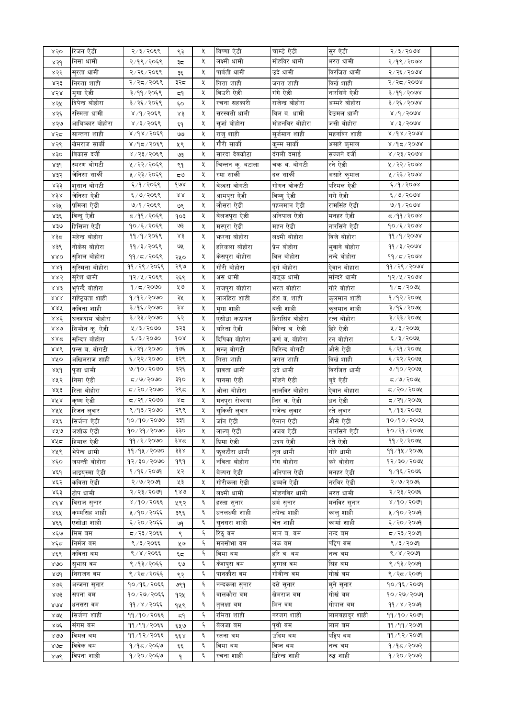| ४२०   | रिजन ऐडी         | २/३/२०६९         | ९३                         | χ  | विष्णा ऐडी       | चाम्डे ऐडी       | सुर ऐडी             | 5/3/5000                 |  |
|-------|------------------|------------------|----------------------------|----|------------------|------------------|---------------------|--------------------------|--|
| ४२१   | निसा धामी        | २/१९/२०६९        | ३≂                         | X  | लक्ष्मी धामी     | मोहविर धामी      | भरत धामी            | $2/9$ / $200$            |  |
| ४२२   | सुरता धामी       | २/२६/२०६९        | ३६                         | Κ  | पार्वती धामी     | उदे धामी         | विरजित धामी         | २/२६/२०७४                |  |
| ४२३   | निरुता शाही      | २/२८/२०६९        | ३२८                        | Κ  | गिता शाही        | जगत शाही         | विर्खशाही           | २/२८/२०७४                |  |
| ४२४   | मुगा ऐडी         | ३/११/२०६९        | ξ۹                         | Κ  | विउरी ऐडी        | गंगे ऐडी         | नारसिंगे ऐडी        | 8/99/2008                |  |
| ४२५   | दिपेन्द्र बोहोरा | ३/२६/२०६९        | Ę٥                         | Κ  | रचना सहकारी      | राजेन्द्र बोहोरा | अम्मरे बोहोरा       | 3/26/2008                |  |
| ४२६   | रस्मिता धामी     | ४/१/२०६९         | ४३                         | Κ  | सरस्वती धामी     | विल ब. धामी      | देउमल धामी          | 8/9/9008                 |  |
|       | आविष्कार बोहोरा  | 8/3/2068         |                            | Κ  | सुर्जा बोहोरा    | मोहनविर बोहोरा   | जसी बोहोरा          | $x \times 3 \times 500x$ |  |
| ४२७   | सान्तना शाही     |                  | ६१                         | Κ  | राज् शाही        |                  |                     | 8/98/5008                |  |
| ४२द   |                  | ४/१४/२०६९        | واقا                       |    | गौरी सार्की      | सुर्जमान शाही    | महनविर शाही         |                          |  |
| ४२९   | खेमराज सार्की    | ४/१८/२०६९        | ५९                         | Κ  |                  | कम्म सार्की      | असारे कुमाल         | $8/9$ द $/3008$          |  |
| 830   | विकास दर्जी      | ४ / २३ / २०६९    | چٯ                         | Κ  | सारदा देवकोटा    | दंगली दमाई       | सज्जने दर्जी        | $8\sqrt{52}\sqrt{500}$   |  |
| 83d   | स्मरण बोगटी      | ५/२२/२०६९        | ९१                         | Κ  | चिन्तन कु. बटाला | चक्र ब. बोगटी    | रने ऐडी             | ४/२२/२०७४                |  |
| ४३२   | जेनिसा सार्की    | ५/२३/२०६९        | ی ≂                        | Κ  | रमा सार्की       | दल सार्की        | _<br>असारे कुमाल    | ४/२३/२०७४                |  |
| 833   | शुसान बोगटी      | ६/१/२०६९         | १७४                        | χ  | बेल्दरा बोगटी    | गोगन बोकटी       | परिमल ऐडी           | E/9/2008                 |  |
| ふきぺ   | जेनिसा ऐडी       | ६/७/२०६९         | $\mathcal{R}\,\mathcal{R}$ | Κ  | आमपुरा ऐडी       | विष्णु ऐडी       | गंगे ऐडी            | 6/9/9098                 |  |
| ४३५   | प्रमिला ऐडी      | ७/१/२०६९         | ७९                         | Κ  | लौसरा ऐडी        | पहलमान ऐडी       | रामसिंह ऐडी         | 9/9/2098                 |  |
| ४३६   | विन्दु ऐडी       | द ⁄ ११ ⁄ २०६९    | १०३                        | χ  | बेलजपुरा ऐडी     | अनिपाल ऐडी       | मनहर ऐडी            | द∕११∕२०७४                |  |
| ४३७   | हिसिला ऐडी       | १०/६/२०६९        | ও३                         | χ  | मस्पुरा ऐडी      | महन ऐडी          | नारसिंगे ऐडी        | $90 \times 1500$ ४       |  |
| ४३८   | महेन्द्र बोहोरा  | ११/१/२०६९        | ४३                         | X  | फरना बोहोरा      | लक्ष्मी बोहोरा   | विजे बोहोरा         | 99/9/2098                |  |
| ४३९   | नोकेस बोहोरा     | ११ / ३ / २०६९    | ও⊻                         | χ  | हरिकला बोहोरा    | प्रेम बोहोरा     | भुवाने बोहोरा       | 99/3/2008                |  |
| 880   | सुशिल बोहोरा     | ११/८/२०६९        | २५०                        | Κ  | केसपुरा बोहोरा   | विल बोहोरा       | नन्दे बोहोरा        | $99/z$ / २०७४            |  |
| 88d   | सुस्मिता बोहोरा  | ११ / २९ / २०६९   | २९७                        | χ  | गौरी बोहोरा      | दुर्ग बोहोरा     | ऐवान बोहारा         | ११/२९/२०७४               |  |
| ४४२   | सुरेश धामी       | १२/५/२०६९        | २६९                        | Κ  | अस धामी          | खड्क धामी        | मन्दिरे धामी        | $92/x$ / 2098            |  |
| 尽尽乏   | भपेन्दै बोहोरा   | 9/5/2000         | ५७                         | χ  | राजपुरा बोहोरा   | भरत बोहोरा       | गोरे बोहोरा         | 9/5/209                  |  |
| 888   | राष्ट्रियता शाही | १/१२/२०७०        | ३५                         | X  | लालहिरा शाही     | हंश ब. शाही      | कुलमान शाही         | १/१२/२०७५                |  |
| ४४४   | कविता शाही       | ३/१६/२०७०        | ३४                         | χ  | मुगा शाही        | बली शाही         | कुलमान शाही         | ३/१६/२०७५                |  |
| ४४६   | घनश्याम बोहोरा   | ३/२३/२०७०        | ६२                         | Κ  | एसोधा कठायत      | हिरासिंह बोहोरा  | रत्न बोहोरा         | ३/२३/२०७५                |  |
| 880   | सिमोन क् ऐडी     | 4/3/3000         | ३२३                        | χ  | सरिता ऐडी        | विरेन्द्र ब. ऐडी | हिरे ऐडी            | ५/३/२०७५                 |  |
| ४४द   | सन्दिप बोहोरा    | ६/३/२०७०         | १०४                        | χ  | दिपिका बोहोरा    | कर्ण व. बोहोरा   | रन बोहोरा           | ६/३/२०७५                 |  |
| ४४९   | प्रन्स ब. बोगटी  | ६ / २१ / २०७०    | १७६                        | Κ  | मन्ज् बोगटी      | विरिन्द बोगटी    | औसे ऐडी             | ६/२१/२०७५                |  |
| ४४०   | अखिलराज शाही     | ६/२२/२०७०        | ३२९                        | Κ  | गिता शाही        | जगत शाही         | विर्खशाही           | ६/२२/२०७५                |  |
|       | पजा धामी         | ७/१०/२०७०        | ३२६                        | Κ  | प्रावता धामी     | उदे धामी         | विरजित धामी         | ७/१०/२०७५                |  |
| ४५१   |                  | $\sigma$ ८७/२०७० | ३१०                        | Κ  | पानसा ऐडी        | मोहने ऐडी        |                     | ८/७/२०७५                 |  |
| ४५२   | निसा ऐडी         | ८८/२०/२०७०       |                            |    |                  | लालविर बोहोरा    | बुदे ऐडी            | द / २० / २०७५            |  |
| ४५३   | रिता बोहोरा      |                  | २९८                        | Κ  | औला बोहोरा       |                  | ऐवान बोहारा         |                          |  |
| १४४   | कृष्ण ऐडी        | ८/२१/२०७०        | ४द                         | Κ  | मनपुरा रोकाया    | जिर ब. ऐडी       | धन ऐडी              | ८/२१/२०७५                |  |
| ४५५   | रिजन लवार        | 8/93/2000        | २९९                        | χ  | सुकिली लुवार     | गजेन्द्र लुवार   | रते लुवार           | ९/१३/२०७५                |  |
| ४५६   | सिर्जना ऐडी      | १०/१०/२०७०       | ३३९                        | χ  | जनि ऐडी          | ऐमान ऐडी         | औसे ऐडी             | १०/१०/२०७५               |  |
| ४५७   | अशोक ऐंडी        | १०७२१७२०७०       | ३३०                        |    | लाल्च् एंडी      | अजय एंडी         | नारसिगे ऐ <u>डी</u> | १०⁄ २१⁄ २०७१             |  |
| ४५८   | हिमाल ऐडी        | ११ / २ / २०७०    | ३४८                        | X. | प्रिमा ऐडी       | उदय ऐडी          | रते ऐडी             | 99/2/209                 |  |
| ४५९   | भेपेन्द्र धामी   | 99/92/2000       | ३३४                        | X. | फुलटौरा धामी     | तुल धामी         | गोरे धामी           | $99/9$ ४/२०७५            |  |
| ४६०   | जयन्ती बोहोरा    | १२/३०/२०७०       | १९१                        | X  | नविता बोहोरा     | गंग बोहोरा       | करे बोहोरा          | १२/३०/२०७५               |  |
| ४६१   | आइयस्मा ऐडी      | १/१६/२०७१        | ५२                         | X. | बेल्परा ऐडी      | अनिपाल ऐडी       | मनहर ऐडी            | १/१६/२०७६                |  |
| ४६२   | कविता ऐडी        | २/७/२०७१         | ५३                         | χ  | गोरीकला ऐडी      | डब्बले ऐडी       | नरविर ऐडी           | २/७/२०७६                 |  |
| ४६३   | टोप धामी         | २/२३/२०७१        | 989                        | χ  | लक्ष्मी धामी     | मोहनविर धामी     | भरत धामी            | २/२३/२०७६                |  |
| ४६४   | विराज सुनार      | ४/१०/२०६६        | ५९२                        | ٤  | हस्ता सुनार      | धर्म सुनार       | मनविर सुनार         | ४/१०/२०७१                |  |
| ४६५   | कम्मसिंह शाही    | ५/१०/२०६६        | ३९६                        | ٤  | धनलक्ष्मी शाही   | तपेन्द्र शाही    | काल् शाही           | ५ ⁄ १० ⁄ २०७१            |  |
| ४६६   | एशोधा शाही       | ६/२०/२०६६        | ৩৭                         | ६  | सनसरा शाही       | चेत शाही         | कार्मा शाही         | ६/२०/२०७९                |  |
| ४६७   | मिम बम           | द / २३ / २०६६    | ९                          | ٤  | रिठ् बम          | मान व. बम        | नन्द बम             | द ∕ २३ ⁄ २०७९            |  |
| ४६द   | निर्मल वम        | ९ / ३ / २०६६     | ५७                         | ६  | मनसोभा वम        | लंक वम           | पहिप बम             | ९/३/२०७१                 |  |
| ४६९   | कविता बम         | ९/४/२०६६         | ξς                         | ٤  | विमा बम          | हरि व. वम        | नन्द बम             | 8/8/3009                 |  |
| 800   | सुभास वम         | ९ /१३ / २०६६     | ६७                         | ६  | केशपुरा वम       | डुग्गल वम        | सिंह बम             | 8/93/2099                |  |
| ४७१   | निराजन वम        | ९/२८/२०६६        | ९२                         | ٤  | पानकौरा वम       | गोवीन्द वम       | गोर्ख बम            | ९/२८/२०७१                |  |
| ४७२   | अन्जना सुनार     | १०/१६/२०६६       | ७९१                        | ६  | नन्दकला सुनार    | दत्ते सुनार      | मुने सुनार          | १०/१६/२०७१               |  |
| ४७३   | सपना वम          | १०/२७/२०६६       | १२५                        | ٤  | वालकौरा वम       | खेमराज वम        | गोर्ख बम            | १०/२७/२०७१               |  |
| 202   | धनसरा वम         | ११ / ४ / २०६६    | १५९                        | ६  | त्लक्षा बम       | मिन वम           | गोपाल बम            | 99 / 8 / 20              |  |
| ४७४   | सिर्जना शाही     | ११/१०/२०६६       |                            | ६  | रमिता शाही       | नरजग शाही        | लालबहादुर शाही      | ११/१०/२०७१               |  |
|       | संगम बम          | ११/११/२०६६       | ξ۹                         | ६  | बेलजा बम         | पृथी बम          | लाल बम              | ११/११/२०७१               |  |
| ४७६   | विमल बम          |                  | ६५७                        | ६  |                  | उदिम बम          |                     | 99/92/2099               |  |
| 800   |                  | ११/१२/२०६६       | ६६४                        |    | रतना बम          |                  | पहिप बम             |                          |  |
| ४७द्र | विवेक बम         | १/१८/२०६७        | وو                         | ६  | विमा बम          | विष्न बम         | नन्द बम             | 9/95/209                 |  |
| ४७९   | विपना शाही       | १/२०/२०६७        | ٩                          | ٤  | रचना शाही        | धिरेन्द्र शाही   | रुद्ध शाही          | 9/20/2092                |  |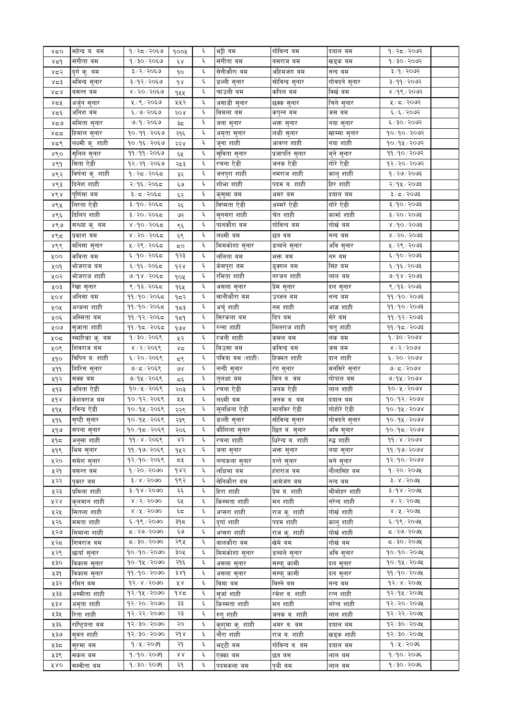| ४८०    | महेन्द्र ब. बम   | १/२८/२०६७                       | १००५              | ६          | भट्टी बम          | गोविन्द बम        | दयाल बम       | 9/25/2092                       |  |
|--------|------------------|---------------------------------|-------------------|------------|-------------------|-------------------|---------------|---------------------------------|--|
| ४द१    | संगीता बम        | १७३०७२०६७                       | έŖ                | ६          | संगीता बम         | बसराज बम          | खड्क बम       | १७३०७२०७२                       |  |
| ४द२    | दुर्ग कु. बम     | ३/२/२०६७                        | ٩o                | ٤          | सेनीकौरा बम       | अहिमजंग बम        | नन्द बम       | ३/१/२०७२                        |  |
| ४८३    | भविन्द्र सुनार   | ३/१२/२०६७                       | qr                | ٤          | डल्ली सुनार       | सोविन्द्र सुनार   | गोवदने सुनार  | $5005 \setminus 99 \setminus 5$ |  |
| ४८४    | बसन्त बम         | $8/20/50$ ई                     | १५५               | ٤          | चाउली बम          | कपिल बम           | विखे बम       | $8/9$ ९/२०७२                    |  |
| ४द्रप् | अर्जुन सुनार     | ५ / ९ / २०६७                    | ५५२               | ६          | असाडी सुनार       | छक्क सुनार        | चिने सुनार    | ५/८/२०७२                        |  |
| ४द६    | अनिश बम          | ६/७/२०६७                        | २०४               | ٤          | विमला बम          | कपुन्न बम         | जस वम         | $\xi/\xi/\xi$ ०७२               |  |
|        |                  | ७/१/२०६७                        |                   |            |                   |                   |               | ६/३०/२०७२                       |  |
| ४द७    | र्मामता सुनार    |                                 | ३≂                | ٤          | जना सुनार         | भक्त सुनार        | नया सुनार     |                                 |  |
| ४दद    | हिमाल सुनार      | १०/११/२०६७                      | २१६               | ٤          | अमृता सुनार       | लक्षी सुनार       | खाम्मा सुनार  | १०/१०/२०७२                      |  |
| ४द९    | लक्ष्मी कु. शाही | १०/१६/२०६७                      | २२४               | ٤          | जुना शाही         | आवप्त शाही        | नया शाही      | १०/१५/२०७२                      |  |
| ४९०    | सुनिल सुनार      | $99/99/20$ ६७                   | ६५                | $\epsilon$ | सुविता सुनार      | प्रजापति सुनार    | मुने सुनार    | ११/१०/२०७२                      |  |
| ४९१    | सिता ऐडी         | १२/२१/२०६७                      | २५३               | $\epsilon$ | रचना ऐडी          | जनक ऐडी           | गोरे ऐडी      | १२/२०/२०७२                      |  |
| ४९२    | विर्षना कु. शाही | १/२८/२०६८                       | ३२                | $\epsilon$ | जनपुरा शाही       | नमराज शाही        | कालु शाही     | 9/20/2003                       |  |
| ४९३    | दिनेश शाही       | २/१६/२०६८                       | ६७                | $\epsilon$ | शोभा शाही         | पदम ब. शाही       | हिर शाही      | २/१५/२०७३                       |  |
| ४९४    | पूर्णिमा बम      | ३/८/२०६८                        | ६२                | $\epsilon$ | कुसुमा बम         | अमर बम            | दयाल बम       | ३/८/२०७३                        |  |
| ४९५    | निरता ऐडी        | ३/१०/२०६८                       | २६                | $\epsilon$ | विष्मता ऐडी       | अम्मरे ऐडी        | गोरे ऐडी      | ३/१०/२०७३                       |  |
|        | दिलिप शाही       | ३/२०/२०६८                       |                   | $\epsilon$ | सुनसरा शाही       | चेत शाही          | कार्मा शाही   | $5005 \setminus 09 \setminus 5$ |  |
| ४९६    |                  |                                 | ও২                |            |                   |                   |               |                                 |  |
| ४९७    | सन्ध्या कु. बम   | ४/१०/२०६८                       | ९६                | $\epsilon$ | पानकौरा बम        | गोविन्द बम        | गोर्ख बम      | 8/90/2003                       |  |
| ४९८    | प्रकाश बम        | ४/२०/२०६८                       | ६९                | $\epsilon$ | लक्ष्मी बम        | छत्र बम           | नन्द बम       | 8/50/50                         |  |
| ४९९    | मनिसा सुनार      | ५/२९/२०६८                       | 5Ο                | $\epsilon$ | मिमकोशा सुनार     | डब्बले सुनार      | अवि सुनार     | ५ / २९ / २०७३                   |  |
| ५००    | कविता बम         | ६/१०/२०६८                       | १२३               | $\epsilon$ | ललिता बम          | भक्त बम           | नरु बम        | ६/१०/२०७३                       |  |
| ५०१    | भोजराज बम        | ६/१६/२०६८                       | १२४               | $\epsilon$ | केसपुरा बम        | डुक्गल बम         | सिंह बम       | ६/१६/२०७३                       |  |
| ५०२    | भोजराज शाही      | ७/१४/२०६८                       | १०५               | $\epsilon$ | रमिता शाही        | नरजन शाही         | लाल बम        | 9/98/2003                       |  |
| ५०३    | रेखा सुनार       | ९/१३/२०६८                       | १६५               | $\epsilon$ | असला सुनार        | प्रेम सुनार       | दल सुनार      | $5009 \times 59 \times 2$       |  |
| ४०४    | अनिसा बम         | ११/१०/२०६८                      | १८२               | $\epsilon$ | सानीकौरा बम       | उब्जन बम          | नन्द बम       | 99/90/2003                      |  |
| ५०५    | अन्जना शाही      | ११/१०/२०६८                      | १८३               | $\epsilon$ | अर्चु शाही        | नम शाही           | आज्ञ शाही     | 99/90/2003                      |  |
| ५०६    | अस्मिता बम       | ११/१२/२०६८                      | ۹≂۹               | $\epsilon$ | सिरकला बम         | दिप बम            | सेरे बम       | 99/92/2003                      |  |
| ५०७    | सुजाता शाही      | ११ ⁄ १८ ⁄ २०६८                  | १७४               | ٤          | रन्ना शाही        | लिलराज शाही       | चतु शाही      | 99/95/2003                      |  |
|        |                  | १/३०/२०६९                       |                   | $\epsilon$ | रजनी शाही         | कमल बम            | लक बम         | 9/30/3008                       |  |
| ५०द    | स्मारिका कु. बम  |                                 | ५२                |            |                   |                   |               |                                 |  |
| ५०९    | शिवराज बम        | ४/२/२०६९                        | $x^2$             | $\epsilon$ | बिउसा बम          | कविन्द्र बम       | जस बम         | 8/5/5008                        |  |
| ५१०    | विपिन ब. शाही    | ६/२०/२०६९                       | ξ٩                | $\epsilon$ | पवित्रा बम (शाही) | हिक्मत शाही       | दान शाही      | 6/30/5000                       |  |
| ५११    | शिरिस सुनार      | ७/८/२०६९                        | $\mathcal{A}$     | $\epsilon$ | नन्दी सुनार       | रंग सुनार         | मनसिरे सुनार  | 9/5/2098                        |  |
| ५१२    | सक्क बम          | ७/१५/२०६९                       | ξ                 | $\epsilon$ | तुलक्षा बम        | मिन ब. बम         | गोपाल बम      | 9/94/2098                       |  |
| ५१३    | अनिता ऐडी        | १०/५/२०६९                       | २०३               | $\epsilon$ | रचना ऐडी          | जनक ऐडी           | लाल शाही      | $90/\frac{y}{2008}$             |  |
| ५१४    | केशवराज बम       | १०/१२/२०६९                      | ५५                | $\epsilon$ | लक्ष्मी बम        | जनक ब. बम         | दयाल बम       | १०/१२/२०७४                      |  |
| ५१५    | रविन्द्र ऐडी     | १०/१५/२०६९                      | २२९               | $\epsilon$ | सुलक्षिना ऐडी     | मानविर ऐडी        | गोहोरे ऐडी    | $90/9$ k/2008                   |  |
| ५१६    | सृष्टी सुनार     | १०/१५/२०६९                      | २३९               | $\epsilon$ | डल्ली सुनार       | सोविन्द्र सुनार   | गोवदने सुनार  | $90/9$ k/2018                   |  |
| ५१७    | सपना सुनार       | १०७१८/२०६९                      | २०६               | ৼ          | कााशला सुनार      | ाछत व. सुनार      | आव सुनार      | १०/१८/२०७४                      |  |
| ५१८    | अनुसा शाही       | ११/४/२०६९                       | ४२                | ٤          | रचना शाही         | धिरेन्द्र ब. शाही | रुद्ध शाही    | 99 / 8 / 9098                   |  |
| ५१९    | भिम सुनार        | ११/१७/२०६९                      | १५२               | ٤          | जना सुनार         | भक्त सुनार        | नया सुनार     | 99/90/2008                      |  |
| ५२०    | समेश सुनार       | $9309 \times 90$                | < ২               | ٤          | नन्दकला सुनार     | दन्ते सुनार       | मने सुनार     | १२/१०/२०७४                      |  |
|        |                  | 9/20/2080                       | १४२               |            |                   |                   | नौलासिंह बम   | $9/20/209$ ४                    |  |
| ५२१    | बसन्त बम         |                                 |                   | ٤          | लक्षिमा बम        | हंशराज बम         |               |                                 |  |
| ५२२    | पकार बम          | 3 x 12000                       | १९२               | ٤          | सेनिकौरा बम       | आमेजंग बम         | नन्द बम       | $3 \times 150$ को               |  |
| ५२३    | प्रमिला शाही     | 3/98/3000                       | توتو              | ٤          | हिरा शाही         | प्रेम ब. शाही     | श्रीमोहर शाही | $3/98$ /२०७५                    |  |
| ५२४    | क्लमान शाही      | 8/5/5000                        | ६५                | ६          | किस्मता शाही      | मन शाही           | नरेन्द शाही   | 8/3/5004                        |  |
| ५२५    | सितला शाही       | 8/8/5000                        | ६८                | ٤          | अप्सरा शाही       | राज कु. शाही      | गोर्ख शाही    | $8/8/500$ अर्                   |  |
| ५२६    | ममता शाही        | ६/१९/२०७०                       | ३१८               | ٤          | दुर्गाशाही        | पदम शाही          | कालु शाही     | ६/१९/२०७५                       |  |
| ५२७    | सिमाना शाही      | ८८/२७/२०७०                      | ६७                | ६          | अप्सरा शाही       | राज कु. शाही      | गोर्ख शाही    | $Z > 9$ २७/२०७५                 |  |
| ५२८    | शिवराज बम        | $0809 \setminus 05 \setminus 7$ | २९५               | ٤          | बालकौरा बम        | खेमे बम           | गोर्ख बम      | $\frac{1}{2}$ २०७५ (            |  |
| ५२९    | छायाँ सुनार      | १०/१०/२०७०                      | ३०५               | Ę          | मिमकोशा सुनार     | डब्बले सुनार      | अवि सुनार     | १०/१०/२०७५                      |  |
| ५३०    | विकास सुनार      | १०/१५/२०७०                      | २१६               | ٤          | असला सुनार        | सम्फ् कामी        | दल सुनार      | १०/१५/२०७५                      |  |
| ५३१    | विकास सुनार      | 99/90/2000                      | 38d               | Ę          | असला सुनार        | सम्फ् कामी        | दल सुनार      | $99/90/20$ ७५                   |  |
| ५३२    | रमित बम          | $93 \times 15000$               | ४४                | ६          | विमा बम           | विस्ने बम         | नन्द बम       | $95 \times 150$                 |  |
|        |                  | १२/१५/२०७०                      | १४८               | ٤          |                   |                   |               | १२⁄१५⁄२०७५                      |  |
| ५३३    | अस्मीता शाही     |                                 |                   |            | सर्जा शाही        | रमेश व. शाही      | रत्न शाही     |                                 |  |
| ५३४    | अमृता शाही       | $98 \times 90 \times 90$        | ३३                | ٤          | किस्मता शाही      | मन शाही           | नरेन्द शाही   | १२/२०/२०७५                      |  |
| ५३५    | रिता शाही        | १२/२२/२०७०                      | २३                | ٤          | रुग् शाही         | जनक ब. शाही       | लाल शाही      | १२/२२/२०७५                      |  |
| ५३६    | राष्ट्रियता बम   | १२/३०/२०७०                      | २०                | ٤          | कुशुमा कु. शाही   | अमर ब. बम         | दयाल बम       | १२/३०/२०७५                      |  |
| ५३७    | सुवत शाही        | १२/३०/२०७०                      | २१४               | ٤          | नौरा शाही         | राज ब. शाही       | खड्क शाही     | १२/३०/२०७५                      |  |
| ५३८    | स्9मा बम         | १/५/२०७१                        | २१                | ٤          | भट्टी बम          | गोविन्द ब. बम     | दयाल बम       | $9/8/20$ ७६                     |  |
| ५३९    | सकल बम           | १/१०/२०७१                       | $\lambda \lambda$ | ६          | एक्का बम          | छत्र बम           | लाल बम        | १/१०/२०७६                       |  |
| ४४०    | सम्वीता बम       | १/३०/२०७१                       | ६१                | ٤          | पदमकला बम         | पृथी बम           | लाल बम        | १/३०/२०७६                       |  |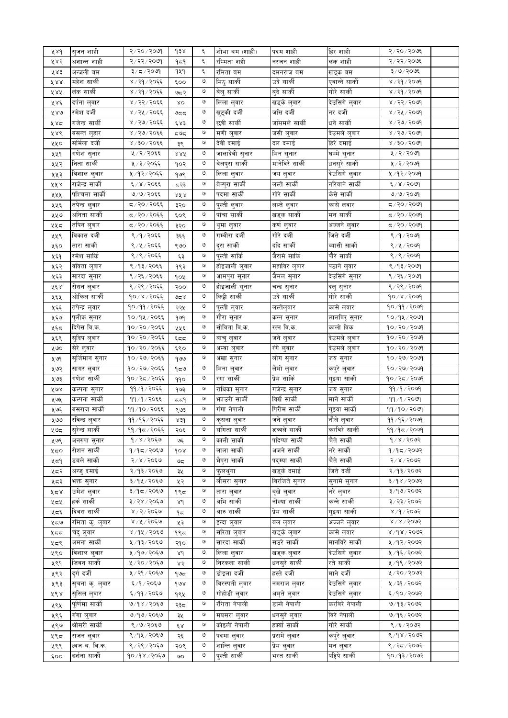| ४४१ | सुजन शाही                 | २/२०/२०७१      | $d$ $\pm 8$ | ६ | शोभा बम (शाही)            | पदम शाही                   | हिर शाही       | २/२०/२०७६                                           |  |
|-----|---------------------------|----------------|-------------|---|---------------------------|----------------------------|----------------|-----------------------------------------------------|--|
| ५४२ | अशान्त शाही               | २/२२/२०७१      | ۹≂۹         | ٤ | रम्मिता शही               | नरजन शाही                  | लंक शाही       | २/२२/२०७६                                           |  |
| ५४३ | अन्जली बम                 | ३/८/२०७१       | 949         | Ę | रमिता बम                  | दमनराज बम                  | खड्क बम        | ३/७/२०७६                                            |  |
| ४४४ | महेश सार्की               | ४ / २१ / २०६६  | ६००         | ও | मिठु सार्की               | उदे साकी                   | एवान्ने सार्की | $8009 \times 19$                                    |  |
| ५४५ | लंक सार्की                | ४ / २१ / २०६६  | ७८२         | ও | बेलु सार्की               | बुदे सार्की                | गोरे सार्की    | ४ / २१ / २०७१                                       |  |
| ५४६ | दर्पना लुवार              | ४ / २२ / २०६६  | $X$ O       | ও | लिला लुवार                | खड्के लुवार                | देउसिगे लुवार  | ४ / २२ / २०७१                                       |  |
| ५४७ | रमेश दर्जी                | ४ / २५ / २०६६  | ಅಧಧ         | ও | खुट्की दर्जी              | जसि दर्जी                  | नर दर्जी       | ४ / २५ / २०७१                                       |  |
|     | गजेन्द्र सार्की           | ४ / २७ / २०६६  |             | ও | छत्री सार्की              | जसिमले सार्की              | धने सार्की     | ४ / २७ / २०७९                                       |  |
| ५४८ |                           |                | ६४३         | ও |                           |                            |                | 8/20/5000                                           |  |
| ५४९ | बसन्त लुहार               | ४ / २७ / २०६६  | ≂ಅ≂         |   | मणी लुवार                 | जसी लुवार                  | देउमले लुवार   |                                                     |  |
| ५५० | सर्मिला दर्जी             | ४/३०/२०६६      | ३९          | ও | देवी दमाई                 | दल दमाई                    | हिरे दमाई      | 8005008                                             |  |
| ५५१ | गणेश सुनार                | ५/२/२०६६       | 8.RK        | ও | जालादेवी सुनार            | मिन सुनार                  | घम्मे सुनार    | ५/२/२०७१                                            |  |
| ५५२ | निता सार्की               | ५ / ३ / २०६६   | १०२         | ও | बेलपुरा सार्की            | मानेविरे सार्की            | धनसुरे सार्की  | $\mathbb{R} \times \mathbb{R} \setminus \mathbb{R}$ |  |
| ५५३ | बिशाल लुवार               | ५/१२/२०६६      | १७९         | ও | लिला लुवार                | जय लुवार                   | देउसिगे लुवार  | ४/१२/२०७१                                           |  |
| ४५४ | राजेन्द्र सार्की          | ६/४/२०६६       | द२३         | ও | बेल्पुरा सार्की           | लल्ते सार्की               | नरिवाने सार्की | ६/४/२०७१                                            |  |
| ५५५ | पश्चिमा सार्की            | ७/७/२०६६       | ४४४         | ও | पदमा सार्की               | गोरे सार्की                | केसे सार्की    | 9/9/2099                                            |  |
| ५५६ | तपेन्द्र लुवार            | द / २० / २०६६  | ३२०         | ও | पुल्ती लुवार              | लल्ते लुवार                | कासे लवार      | ८/२०/२०७१                                           |  |
| ५५७ | अनिता सार्की              | द / २० / २०६६  | ६०९         | ও | पांचा सार्की              | खड्क सार्की                | मन सार्की      | ८/२०/२०७१                                           |  |
| ५५८ | तपिन लुवार                | द / २० / २०६६  | ३२०         | ও | थुमा लुवार                | कर्ण लुवार                 | अज्जने लुवार   | ८/२०/२०७१                                           |  |
| ५५९ | विकास दर्जी               | ९/१/२०६६       | ३६६         | ও | गम्वीरा दर्जी             | गोरे दर्जी                 | जिते दर्जी     | $8/9/20$ अ                                          |  |
| ५६० | तारा सार्की               | ९/५/२०६६       | ९७०         | ও | दुरा सार्की               | ददि सार्की                 | व्यासी सार्की  | ९/५/२०७१                                            |  |
| ५६१ | रमेश सार्कि               | ९/९/२०६६       | ६३          | ও | पुल्ती सार्कि             | जैरामे सार्कि              | पौरे सार्की    | ९/९/२०७१                                            |  |
| ५६२ | वविता लुवार               | ९/१३/२०६६      | १९३         | ও | होइजाली लुवार             | महाविर लुवार               | पठाने लुवार    | ९/१३/२०७१                                           |  |
| ५६३ | सारदा सुनार               | ९ / २६ / २०६६  | १०५         | ও | आमपुरा सुनार              | जैमल सुनार                 | देउसिगे सुनार  | ९/२६/२०७१                                           |  |
| ५६४ | रोसन लुवार                | ९ / २९ / २०६६  | २००         | ও | होइजाली सुनार             | चन्द्र सुनार               | दलु सुनार      | ९/२९/२०७१                                           |  |
| ५६५ | ओकिल सार्की               | १०/४/२०६६      | کا ہے       | ও | किट्टी सार्की             | उदे सार्की                 | गोरे सार्की    | 90/x/x004                                           |  |
| ५६६ | तपेन्द्र लुवार            | १०/११/२०६६     | २२५         | ও | पुल्ती लुवार              | लल्तेलुवार                 | कासे लवार      | 90/99/2009                                          |  |
| ५६७ | पुलीक सुनार               | १०/१५/२०६६     | 969         | ও | गौरा सुनार                | कन्न सुनार                 | लालविरृ सुनार  | $90/9$ $\times$ $90$                                |  |
| ५६८ | दिपेस वि.क.               | १०/२०/२०६६     | ५५६         | ও | सोविता वि.क.              | रत्न वि.क.                 | कालो विक       | १०/२०/२०७१                                          |  |
| ५६९ | सुदिप लुवार               | १०/२०/२०६६     | ६८८         | ও | बाचु लुवार                | जने लुवार                  | देउमले लुवार   | १०/२०/२०७१                                          |  |
| ५७० | सेरे लुवार                | १०/२०/२०६६     | ६९०         | ও | अम्वा लुवार               | रंगे लुवार                 | देउमले लुवार   | १०/२०/२०७१                                          |  |
|     | सुर्जिमान सुनार           | १०/२७/२०६६     |             | ও |                           | लोग सुनार                  |                | $90 \times 90 \times 90$                            |  |
| ५७9 |                           | १०/२७/२०६६     | १७७         | ও | अंखा सुनार                |                            | जय सुनार       | $90 \times 90 \times 90$                            |  |
| ५७२ | सागर लुवार<br>गणेश सार्की | १०/२८/२०६६     | १८७         | ও | मिना लुवार<br>रंगा सार्की | लैमो लुवार<br>प्रेम सार्कि | कपुरे लुवार    |                                                     |  |
| ५७३ |                           |                | ११०         | ও |                           |                            | गुइया सार्की   | १०/२८/२०७१                                          |  |
| ५७४ | कल्पना सुनार              | ११/१/२०६६      | १७३         |   | राधिका सुनार              | गजेन्द्र सुनार             | जय सुनार       | 99/9/2099                                           |  |
| ५७५ | कल्पना सार्की             | ११/१/२०६६      | ⊄≃ظ         | ও | भाउरी सार्की              | विर्खे सार्की              | माने सार्की    | 99/9/2099                                           |  |
| ५७६ | बसराज साकी                | ११/१०/२०६६     | ९७३         | ও | गंगा नेपाली               | पिरीम सार्की               | गुइया सार्की   | ११/१०/२०७१                                          |  |
| ५७७ | रविन्द्र लुवार            | ११/१६/२०६६     | 8.54        | ও | कृसना लुवार               | जने लुवार                  | नौले लुवार     | ११/१६/२०७१                                          |  |
| ५७८ | सुरन्द्र साका             | ११ ⁄ १८ ⁄ २०६६ | २०६         |   | सागता साका                | डब्बल साकी                 | करावर साका     | ११/१८/२०७१                                          |  |
| ५७९ | अनरुपा सुनार              | १/४/२०६७       | ও६          | ও | काली सार्की               | पदिप्या सार्की             | चैते सार्की    | 9/8/2002                                            |  |
| ५८० | रोशन सार्की               | १/१८/२०६७      | १०४         | ও | लाला सार्की               | अजने सार्की                | नरे सार्की     | 9/95/2092                                           |  |
| ५८१ | डबले सार्की               | २/४/२०६७       | ಅಧ          | ও | भैपुरा सार्की             | पद्म्या सार्की             | चैते सार्की    | 8005/8/5                                            |  |
| ५८२ | अन्ज् दमाई                | २/१३/२०६७      | ३५          | ও | फुलथुंगा                  | खड्के दमाई                 | जिते दर्जी     | २/१३/२०७२                                           |  |
| ५८३ | भक्त सुनार                | ३/१५/२०६७      | ५२          | ও | लौसरा सुनार               | विरजिते सुनार              | सुनामे सुनार   | 3/98/3003                                           |  |
| ५८४ | उमेश लुवार                | ३/१८/२०६७      | १९८         | ও | तारा लुवार                | बृखे लुवार                 | नरे लुवार      | ३/१७/२०७२                                           |  |
| ५८५ | हर्क सार्की               | ३/२४/२०६७      | 8d          | ও | अभि सार्की                | नौल्या सार्की              | कन्ने सार्की   | ३/२३/२०७२                                           |  |
| ५८६ | दिवस सार्की               | 8/2/3060       | ۹≂          | ও | आरु सार्की                | प्रेम सार्की               | गुइया सार्की   | $8009 \times 100$                                   |  |
| ५८७ | रमिता क्. लुवार           | 8/8/2060       | ५३          | ও | इन्दा लुवार               | बल लुवार                   | अज्जने लुवार   | $8 \times 8 \times 5005$                            |  |
| ५८८ | चंदु लुवार                | ४/१५/२०६७      | १९८         | ও | सरिता लुवार               | खड्के लुवार                | कासे लवार      | 8/98/5005                                           |  |
| ५८९ | अमना सार्की               | ५/१३/२०६७      | २१०         | ও | सारदा सार्की              | सउरे सार्की                | मानविरे सार्की | ५/१२/२०७२                                           |  |
| ५९० | विशाल लुवार               | ५/१७/२०६७      | $\lambda d$ | ও | लिला लुवार                | खड्क लुवार                 | देउसिगे लुवार  | ५ / १६ / २०७२                                       |  |
| ५९१ | जिवन सार्की               | ५ / २० / २०६७  | ४२          | ও | निरकला सार्की             | धनसुरे सार्की              | रते सार्की     | ५/१९/२०७२                                           |  |
| ५९२ | दुर्ग दर्जी               | ५ / २१ / २०६७  | م9 م        | ও | डोइला दर्जी               | हस्ते दर्जी                | माने दर्जी     | ५/२०/२०७२                                           |  |
| ५९३ | सुचना क्. लुवार           | ६/१/२०६७       | gur         | ও | विरस्पती लुवार            | नमराज लुवार                | देउसिगे लुवार  | ५ / ३१ / २०७२                                       |  |
| ५९४ | सुसिल लुवार               | ६/११/२०६७      |             | ও | गोहोडी लुवार              | अमृते लुवार                | देउसिगे लुवार  | ६/१०/२०७२                                           |  |
|     | पूर्णिमा सार्की           | ७/१४/२०६७      | १९५         | ও | रंगिता नेपाली             | डल्ले नेपाली               | करविरे नेपाली  | 9/93/2092                                           |  |
| ५९५ |                           |                | २३८         |   |                           |                            |                |                                                     |  |
| ५९६ | गंगा लुवार                | ७/१७/२०६७      | ३५          | ও | मयसरा लुवार               | धनसुरे लुवार               | विरे नेपाली    | ७/१६/२०७२                                           |  |
| ५९७ | श्रीसरी सार्की            | ९/७/२०६७       | έχ          | ও | कोइली नेपाली              | हक्यां सार्की              | गोरे सार्की    | ९/६/२०७२                                            |  |
| ५९८ | राजन लुवार                | ९/१५/२०६७      | २६          | ও | पदमा लुवार                | प्ररामे लुवार              | कपुरे लुवार    | 8/98/2092                                           |  |
| ५९९ | ध्वज ब. वि.क.             | ९ / २९ / २०६७  | २०९         | ও | शान्ति लुवार              | प्रेम लुवार                | मन लुवार       | ९ / २द / २०७२                                       |  |
| ६०० | दर्शना सार्की             | १०/१४/२०६७     | ৩০          | ও | पुल्ती सार्की             | भरत सार्की                 | पद्दिपे सार्की | १०/१३/२०७२                                          |  |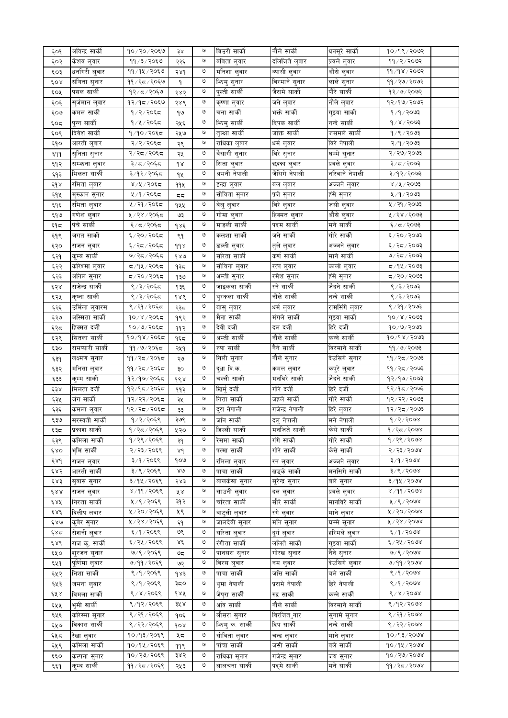| ६०१         | अविन्द्र सार्की  | १०/२०/२०६७     | ३४            | V | बिउरी सार्की     | नौले सार्की     | धनसुरे सार्की  | $90/9$ ९/२०७२           |  |
|-------------|------------------|----------------|---------------|---|------------------|-----------------|----------------|-------------------------|--|
| ६०२         | केशव लुवार       | ११ ⁄ ३ ⁄ २०६७  | २२६           | ও | वविता लुवार      | दलिजिते लुवार   | प्रवले लुवार   | ११/२/२०७२               |  |
| ६०३         | धनगिरी लुवार     | ११/१५/२०६७     | २४१           | ও | मनिशा लुवार      | व्यासी लुवार    | औसे लुवार      | 99/98/9092              |  |
| ६०४         | संगिता सुनार     | ११ / २८ / २०६७ | ۹             | ও | भिन्मु सुनार     | विरमाने सुनार   | लाले सुनार     | ११ / २७ / २०७२          |  |
| ६०५         | पसल सार्की       | १२⁄ द ⁄ २०६७   | २४२           | ও | पुल्ती सार्की    | जैरामे सार्की   | पौरे सार्की    | १२/७/२०७२               |  |
|             |                  | १२/१८/२०६७     |               | ও |                  |                 | नौले लुवार     | १२/१७/२०७२              |  |
| ६०६         | सुर्जमान लुवार   |                | २४९           |   | कृष्णा लुवार     | जने लुवार       |                |                         |  |
| ६०७         | कमल सार्की       | १/२/२०६८       | ۹७            | ও | चना सार्की       | भक्ते सार्की    | गुइया सार्की   | १/१/२०७३                |  |
| ६०द         | पुन्न सार्की     | १/५/२०६८       | २५६           | ও | भिन्मु सार्की    | दिपक सार्की     | नन्दे सार्की   | 9 / 8 / 2003            |  |
| ६०९         | दिवेश सार्की     | १ ⁄ १० ⁄ २०६द  | २५७           | ও | तुल्क्षा सार्की  | जक्ति सार्की    | जसमले सार्की   | १/९/२०७३                |  |
| ६१०         | आरती लुवार       | २/२/२०६८       | २९            | ও | राधिका लुवार     | धर्म लुवार      | विरे नेपाली    | २/१/२०७३                |  |
| ६११         | सुनिता सुनार     | २/२द/२०६द      | २५            | ও | बैसागी सुनार     | विरे सुनार      | घम्मे सुनार    | २/२७/२०७३               |  |
| ६१२         | सम्भन्ा लुवार    | ३/८/२०६८       | dx            | ও | सिता लुवार       | छक्का लुवार     | प्रवले लुवार   | ३/८/२०७३                |  |
|             | मिलता सार्की     | ३/१२/२०६८      |               | ও | अमनी नेपाली      | जैसिगे नेपाली   | नरिवाने नेपाली | ३/१२/२०७३               |  |
| ६१३         |                  |                | ٩X            |   |                  |                 |                |                         |  |
| و ه پ       | रमिता लुवार      | ४/५/२०६८       | 99X           | ও | इन्द्रा लुवार    | बल लुवार        | अज्जने लुवार   | ४/५/२०७३                |  |
| ६१५         | मुस्कान सुनार    | ५/१/२०६८       | 55            | ও | सोविता सुनार     | प्रजे सुनार     | हंसे सुनार     | ५/१/२०७३                |  |
| ६१६         | रमिता लुवार      | ५ / २१ / २०६८  | १५५           | ও | बेलु लुवार       | विरे लुवार      | जसी लुवार      | ५ / २१ / २०७३           |  |
| ६१७         | गणेश लुवार       | ५/२४/२०६८      | ও३            | ও | गोमा लुवार       | हिक्मत लुवार    | औसे लुवार      | ५ / २४ / २०७३           |  |
| ६٩द         | पंचे सार्की      | ६/८/२०६८       | १४६           | ও | माङली सार्की     | पदम सार्की      | मने सार्की     | ६/८/२०७३                |  |
| ६१९         | जगत सार्की       | ६/२०/२०६८      | ९१            | ও | कलशा साकी        | जने सार्की      | गोरे सार्की    | ६/२०/२०७३               |  |
| ६२०         | राजन लुवार       | ६/२द/२०६द      | $d d \lambda$ | ও | डल्ली लुवार      | तुले लुवार      | अज्जने लुवार   | ६/२८/२०७३               |  |
|             | कुम्ब सार्की     |                |               | ও | सरिता सार्की     |                 | माने सार्की    |                         |  |
| ६२१         |                  | ७/२द/२०६द      | १४७           |   |                  | कर्ण सार्की     |                | ७/२८/२०७३               |  |
| ६२२         | करिश्मा लुवार    | द ⁄ १५ ⁄ २०६द  | १३८           | ও | सोविना लुवार     | रत्न लुवार      | कालो लुवार     | द∕१५∕२०७३               |  |
| ६२३         | अनिल सुनार       | द / २० / २०६द  | १३७           | ও | अम्ती सुनार      | रमेश सुनार      | हंसे सुनार     | द्र/२०/२०७३             |  |
| ६२४         | राजेन्द्र सार्की | ९ / ३ / २०६८   | १३६           | ৩ | जाइकला सार्की    | रने सार्की      | जैदने सार्की   | 8/3/2003                |  |
| ६२५         | कृष्ना सार्की    | ९ / ३ / २०६८   | १४९           | ও | थुरकला साकीं     | नौले सार्की     | नन्दे सार्की   | 8/3/2003                |  |
| ६२६         | उमिला लुवारस     | ९ / २१ / २०६८  | २३८           | ও | बासु लुवार       | धर्म लुवार      | रामसिंगे लुवार | ९ / २१ / २०७३           |  |
| ६२७         | अस्मिता सार्की   | १०/४/२०६८      | १९२           | ৩ | मैना सार्की      | मंगले सार्की    | गुइया सार्की   | $10 \times 15003$       |  |
| ६२८         | हिक्मत दर्जी     | १०/७/२०६द      | ११२           | ও | देवी दर्जी       | दल दर्जी        | हिरे दर्जी     | १०/७/२०७३               |  |
|             | सितला सार्की     |                |               | ও | अम्ती सार्की     | नौले सार्की     | कन्ने सार्की   | 90/98/2003              |  |
| ६२९         |                  | १०/१४/२०६८     | १६८           |   |                  |                 |                |                         |  |
| ६३०         | रामप्यारी सार्की | ११ ⁄ ७ ⁄ २०६द  | २५१           | ৩ | रुपा सार्की      | नैने सार्की     | विरमाने सार्की | 99/9/2093               |  |
| ६३१         | लक्ष्मण सुनार    | ११ / २८ / २०६८ | ২७            | ও | निली सुनार       | नौले सुनार      | देउसिगे सुनार  | ११ ⁄ २८ ⁄ २०७३          |  |
| ६३२         | मनिसा लुवार      | ११ / २८ / २०६८ | ३०            | ও | दुधा वि.क.       | कमल लुवार       | कपुरे लुवार    | 99/25/2003              |  |
| ६३३         | कुम्म सार्की     | १२/१७/२०६८     | ds            | ও | चल्ली सार्की     | मनविरे सार्की   | जैदने सार्की   | १२/१७/२०७३              |  |
| ६३४         | मिलता दर्जी      | १२/१८/२०६८     | ११३           | ও | खिर्मु दर्जी     | गोरे दर्जी      | हिरे दर्जी     | १२/१८/२०७३              |  |
| ६३५         | जंग सार्की       | १२/२२/२०६८     | ३५            | ও | गिता सार्की      | जहले सार्की     | गोरे सार्की    | १२/२२/२०७३              |  |
| ६३६         | कमला लुवार       | १२/२८/२०६८     | ३३            | ও | दुरा नेपाली      | गजेन्द्र नेपाली | हिरे लुवार     | १२⁄ २८ ⁄ २०७३           |  |
| ६३७         | सरस्वती सार्की   | १/२/२०६९       | ३७९           | ও | जनि सार्की       | दलु नेपाली      | मने नेपाली     | 9/2/2008                |  |
|             |                  |                |               | ও | डिल्ली सार्की    | मनजिते सार्की   | केसे सार्की    |                         |  |
| ६३८         | प्रकाश साकी      | १ / २द / २०६९  | ५२०           |   |                  |                 |                | १ ⁄ २द ⁄ २०७४           |  |
| ६३९         | कमिला सार्की     | १/२९/२०६९      | ३१            | ও | रेसमा सार्की     | गंगे सार्की     | गोरे सार्की    | १ / २९ / २०७४           |  |
| 680         | भूमि सार्की      | २/२३/२०६९      | 8d            | ও | पत्मा सार्की     | गोरे सार्की     | केसे सार्की    | 5/55/500                |  |
| ६४१         | राजन ल्वार       | ३/१/२०६९       | १०७           | ও | रमिला लुवार      | रन लुवार        | अज्जने लुवार   | ३/१/२०७४                |  |
| ६४२         | आरती सार्की      | ३/९/२०६९       | $80^{\circ}$  | ও | पाचा सार्की      | खड्के सार्की    | मनसिगे सार्की  | ३/९/२०७४                |  |
| ६४३         | सुवास सुनार      | ३/१५/२०६९      | २४३           | ও | बालकेसा सुनार    | सुरेन्द्र सुनार | बले सुनार      | ३/१५/२०७४               |  |
| <b>څې پ</b> | राजन लुवार       | ४/११/२०६९      | ४४            | ও | साउनी लुवार      | दल लुवार        | प्रवले लुवार   | ४/११/२०७४               |  |
| ६४५         | निरुता सार्की    | ५ / ९ / २०६९   | ३१२           | ও | चरिता सार्की     | सौरे सार्की     | मानविरे सार्की | ५ / ९ / २०७४            |  |
| ६४६         |                  | ५ / २० / २०६९  | ५९            | ও |                  |                 |                | ४/२०/२०७४               |  |
|             | दिलीप लवार       |                |               | ও | बाट्ली ल्वार     | रंगे लुवार      | माने लुवार     |                         |  |
| ६४७         | कुवेर सुनार      | ५ / २४ / २०६९  | ६१            |   | जालदेवी सुनार    | र्मान सुनार     | घम्मे सुनार    | ४/२४/२०७४               |  |
| ६४द         | रोशनी लुवार      | ६/१/२०६९       | ७९            | ও | सरिता लुवार      | दुर्ग लुवार     | हरिमले लुवार   | ६/१/२०७४                |  |
| ६४९         | राज कु. सार्की   | ६ / २५ / २०६९  | ४६            | ও | रंगीता सार्की    | र्लालते साकी    | गइया सार्की    | ६/२५/२०७४               |  |
| ६५०         | शुरजन सुनार      | ७/९/२०६९       | ಅಧ            | ও | पानसरा सुनार     | गोरख सुनार      | नैने सुनार     | ७/९/२०७४                |  |
| ६५१         | पुर्णिमा लुवार   | ७/११/२०६९      | ও२            | ও | विरस लुवार       | नम लुवार        | देउसिगे लुवार  | ७/११/२०७४               |  |
| ६५२         | निशा सार्की      | ९ /१ / २०६९    | das           | ও | पाचा सार्की      | जसि सार्की      | बले सार्की     | ९/१/२०७४                |  |
| ६५३         | जमना लुवार       | ९/१/२०६९       | ३द०           | ও | थुमा नेपाली      | प्ररामे नेपाली  | हिरे नेपाली    | ९/१/२०७४                |  |
| ६५४         | विमला साकी       | ९/४/२०६९       | १४५           | ও | जैपरा सार्की     | रुद्र सार्की    | कन्ने सार्की   | ९/४/२०७४                |  |
|             |                  |                |               |   |                  |                 |                |                         |  |
| ६५५         | भमी सार्की       | ९/१२/२०६९      | ३५४           | ও | अवि सार्की       | नौले सार्की     | विरमाने सार्की | 8/92/2008               |  |
| ६५६         | करिस्मा सुनार    | ९ / २१ / २०६९  | १०६           | ও | लौसरा सनार       | विरजित ुनार     | सुनामे सुनार   | 8/29/2008               |  |
| ६५७         | विकास सार्की     | ९/२२/२०६९      | gor           | ও | भिन्मु क. सार्की | दिप सार्की      | नन्दे सार्की   | 8/25/500                |  |
| ६५८         | रेखा लुवार       | १०/१३/२०६९     | ५८            | ও | सोविता लुवार     | चन्द्र लुवार    | माने लुवार     | 90/93/9008              |  |
| ६५९         | कमिला सार्की     | १०/१५/२०६९     | ११९           | ও | पांचा साकी       | जसी सार्की      | वले सार्की     | १०/१५/२०७४              |  |
| ६६०         | कल्पना सुनार     | १०/२७/२०६९     | ३४२           | ও | राधिका सुनार     | गजेन्द्र सुनार  | जय सुनार       | $90 \times 50 \times 6$ |  |
| ६६१         | कुम्ब सार्की     | ११ / २८ / २०६९ | २५३           | ও | लालचना सार्की    | पदमे सार्की     | मने सार्की     | ११/२८/२०७४              |  |
|             |                  |                |               |   |                  |                 |                |                         |  |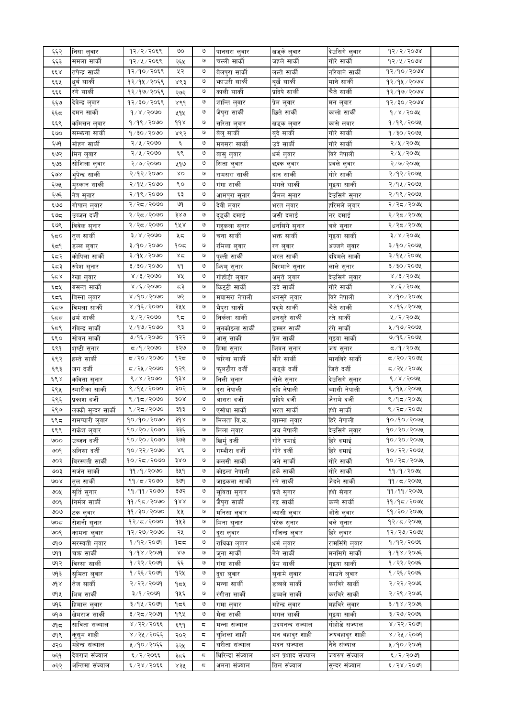| ६६२   | निसा लुवार          | १२/२/२०६९                    | ৩০            | ও | पानसरा लुवार       | खड्के लुवार       | देउसिगे लुवार  | 93/2/3008                 |  |
|-------|---------------------|------------------------------|---------------|---|--------------------|-------------------|----------------|---------------------------|--|
| ६६३   | समला सार्की         | १२/५/२०६९                    | २६५           | ও | चल्ली सार्की       | जहले सार्की       | गोरे सार्की    | $93/x \times 500x$        |  |
| وو x  | तपेन्द्र सार्की     | $92/90/205$ ९                | ५२            | ও | बेलपुरा सार्की     | लल्ते सार्की      | नरिवाने सार्की | १२/१०/२०७४                |  |
| ६६५   | धुर्ब सार्की        | १२/१५/२०६९                   | ४९३           | ও | भगउरी सार्की       | बृर्खे सार्की     | माने सार्की    | 92/94/2008                |  |
| ६६६   | रंगे सार्की         | १२/१७/२०६९                   | २७२           | ও | काली सार्की        | प्रदिपे सार्की    | चैते सार्की    | 93/90/2008                |  |
| ६६७   | देवेन्द्र लुवार     | १२/३०/२०६९                   | ४९१           | ও | शान्ति लुवार       | प्रेम लुवार       | मन लुवार       | $95/50 \times 60$         |  |
| ६६द   | दमन सार्की          | $d \times 15000$             | ५१५           | ও | जैपुरा सार्की      | छिते सार्की       | कालो सार्की    | $d \times 1$ $d \times d$ |  |
|       |                     |                              |               |   |                    |                   |                |                           |  |
| ६६९   | र्कामसन लुवार       | $9/9$ ९/२०७०                 | $d d \lambda$ | ও | सरिता लुवार        | खड्क लुवार        | कासे लवार      | 9/98/200x                 |  |
| ६७०   | सम्भन्ना सार्की     | $9/30/200$ ०                 | ४९२           | ও | बेलु सार्की        | बुदे सार्की       | गोरे सार्की    | १/३०/२०७५                 |  |
| ६७१   | मोहन सार्की         | २/५/२०७०                     | ६             | ও | मनसरा सार्की       | उदे सार्की        | गोरे सार्की    | २/५/२०७५                  |  |
| ६७२   | मिन लुवार           | २/५/२०७०                     | وع            | ও | बासु लुवार         | धर्म लुवार        | विरे नेपाली    | २/५/२०७५                  |  |
| ६७३   | सोशिला लुवार        | २/७/२०७०                     | ५१७           | ও | सिता लुवार         | छक्क लुवार        | प्रवले लुवार   | २/७/२०७५                  |  |
| ६७४   | भुपेन्द्र सार्की    | २/१२/२०७०                    | δO            | ও | रामसरा साकी        | दान सार्की        | गोरे सार्की    | २/१२/२०७५                 |  |
| ६७५   | मुस्कान सार्की      | २/१५/२०७०                    | ९०            | ও | गंगा सार्की        | मंगले सार्की      | गुइया सार्की   | २/१५/२०७५                 |  |
| ६७६   | नेत्र सुनार         | २/१९/२०७०                    | ६३            | ও | आमपुरा सुनार       | जैमल सुनार        | देउसिगे सुनार  | २/१९/२०७५                 |  |
| ६७७   | गोपाल लुवार         | २/२८/२०७०                    | ७१            | ও | देवी लुवार         | भरत लुवार         | हरिमले लुवार   | २/२८/२०७५                 |  |
|       | उब्जन दर्जी         | २/२८/२०७०                    | ३४७           | ও |                    | जसी दमाई          | नर दमाई        | २/२८/२०७५                 |  |
| ६७द्र |                     | २/२८/२०७०                    |               | ও | दुइकी दमाई         |                   |                |                           |  |
| ६७९   | विवेक सुनार         |                              | १५४           |   | गहुकला सुनार       | धनसिंगे सुनार     | बले सुनार      | २/२८/२०७५                 |  |
| ६द०   | तुल सार्की          | $3 \times 15000$             | ५८            | ও | चना सार्की         | भक्त सार्की       | गुइया सार्की   | $3 \times 1500$ अर्       |  |
| ६द१   | डल्ल लुवार          | ३/१०/२०७०                    | १०८           | ও | रमिला लुवार        | रन लुवार          | अज्जने लुवार   | ३/१०/२०७५                 |  |
| ६द२   | कोपिला सार्की       | ३/१५/२०७०                    | ४द            | ও | पुल्ती सार्की      | भरत सार्की        | ददिमले सार्की  | ३/१५/२०७५                 |  |
| ६८३   | रुपेश सुनार         | ३/३०/२०७०                    | ξ٩            | ও | भिन्मु सुनार       | विरमाने सुनार     | लाले सुनार     | ३/३०/२०७५                 |  |
| ६८४   | रेखा लुवार          | $8 \times 15 \times 6000$    | ४४            | ও | गोहोडी लुवार       | अमृते लुवार       | देउसिगे लुवार  | $8 \times 3 \times 5000$  |  |
| ६८५   | बसन्त सार्की        | 8/6/5000                     | द३            | ও | किट्टी सार्की      | उदे सार्की        | गोरे सार्की    | $8/5/50$ अर्              |  |
| ६८६   | विस्ना लुवार        | $8\sqrt{3}$ ०/२०७०           | ७२            | ও | मयासरा नेपाली      | धनसुरे लुवार      | विरे नेपाली    | ४/१०/२०७५                 |  |
| ६८७   | विमला सार्की        | ४/१६/२०७०                    | ३५५           | ও | भैपुरा सार्की      | पद्मे सार्की      | चैते सार्की    | ४ / १६ / २०७५             |  |
| ६दद   | धर्म सार्की         | ५/२/२०७०                     | ९८            | ও | निर्कला सार्की     | धनसुरे सार्की     | रते सार्की     | ५/२/२०७५                  |  |
|       | रविन्द्र सार्की     | ५ ⁄ १७ ⁄ २०७०                | ९३            | ও |                    |                   | रंगे सार्की    | ५ / १७ / २०७५             |  |
| ६द९   |                     |                              |               |   | सुनकोइला साकी      | डम्मर सार्की      |                |                           |  |
| ६९०   | सोवन सार्की         | ७/१६/२०७०                    | १२२           | ও | आसु सार्की         | प्रेम सार्की      | गुइया सार्की   | ७/१६/२०७५                 |  |
| ६९१   | शृष्टी सुनार        | $\sigma$ ८०९ $\sim$ १ $\sim$ | ३२७           | ও | हिमा सुनार         | जिवन सुनार        | जय सुनार       | $\frac{1}{2}$ पुर         |  |
| ६९२   | हस्ते सार्की        | ८/२०/२०७०                    | १२८           | ও | चरिना सार्की       | सौरे सार्की       | मानविरे सार्की | द / २० / २०७५             |  |
| ६९३   | जग दर्जी            | द / २५ / २०७०                | १२९           | ও | फुलटौरा दर्जी      | खड्के दर्जी       | जिते दर्जी     | ८/२५/२०७५                 |  |
| ६९४   | कविता सुनार         | $8 \times 8 \times 5000$     | dźx           | ও | निली सुनार         | नौले सुनार        | देउसिगे सुनार  | ४/४/२०७५                  |  |
| ६९५   | स्मारीका सार्की     | ९/१५/२०७०                    | ३०२           | ও | दुरा नेपाली        | ददि नेपाली        | व्यासी नेपाली  | ९/१५/२०७५                 |  |
| ६९६   | प्रकाश दर्जी        | ९/१८/२०७०                    | ३०४           | ও | आसरा दर्जी         | प्रदिपे दर्जी     | जैरामे दर्जी   | $8/95/200$ ५              |  |
| ६९७   | लक्की सुन्दर सार्की | ९/२८/२०७०                    | ३१३           | ও | एसोधा सार्की       | भरत सार्की        | हंशे सार्की    | ९/२८/२०७५                 |  |
| ६९८   | रामप्यारी लुवार     | १०/१०/२०७०                   | ३१४           | ও | मिलता वि.क.        | खाम्मा लुवार      | हिरे नेपाली    | १०/१०/२०७५                |  |
| ६९९   | राकंश लुवार         | ५०/ २०/ २०७०                 | ३३५           | ও | लिला लुवार         | जय नपाला          | देउसिगे लुवार  | ५०/ २०/ २०७१              |  |
| ७००   | उब्जन दजी           | $90 \times 20 \times 200$    | ३७३           | ও | खिर्म दर्जी        | गोरे दमाई         | हिरे दमाई      | १०/२०/२०७५                |  |
|       |                     | १०/२२/२०७०                   |               | ও |                    |                   |                | १०/२२/२०७५                |  |
| ७०१   | अनिसा दर्जी         |                              | ४६            |   | गम्भीरा दर्जी      | गोरे दर्जी        | हिरे दमाई      |                           |  |
| ७०२   | विरस्पती सार्की     | १०/२८/२०७०                   | 380           | ও | कलसी सार्की        | जने सार्की        | गोरे सार्की    | १०/२८/२०७५                |  |
| ७०३   | सर्जन सार्की        | ११/१/२०७०                    | ३५१           | ও | कोइला नेपाली       | हर्के सार्की      | गोरे सार्की    | 99/9/2002                 |  |
| १०४   | तल सार्की           | 99 / 5 / 90                  | ३७१           | ও | जाइकला सार्की      | रने सार्की        | जैदने सार्की   | $99 / 5 / 209$ ४          |  |
| ७०५   | सुर्ति सुनार        | 99/99/2000                   | ३७२           | ও | सुविता सुनार       | प्रजे सुनार       | हंशे सेनार     | $99/99/209$ ४             |  |
| ७०६   | निर्मल सार्की       | ११/१८/२०७०                   | dxx           | ও | जैपुरा सार्की      | रुद्र सार्की      | कन्ने सार्की   | ११ ⁄ १८ ⁄ २०७५            |  |
| ७०७   | टंक लवार            | ११ / ३० / २०७०               | ५५            | ও | मनिसा लुवार        | व्यासी लुवार      | औसे लुवार      | ११/३०/२०७५                |  |
| ७०८   | रोशनी सुनार         | $98 \times 75$               | १५३           | ও | मिना सुनार         | परेक सुनार        | बले सुनार      | १२/८/२०७५                 |  |
| ७०९   | कामना लुवार         | १२/२७/२०७०                   | २५            | ও | दुरा लुवार         | गोजन्द्र लुवार    | हिरे लुवार     | 93/3006/6006              |  |
| ७१०   | सरस्वती लुवार       | १/१२/२०७१                    | १८८           | ও | राधिका लुवार       | धर्म लुवार        | रामसिंगे लुवार | 9/92/2096                 |  |
|       |                     | $9/98/30$ ७१                 | $80^{\circ}$  | ও |                    | नैने सार्की       |                | 9/98/2005                 |  |
| ७११   | चक्र सार्की         | १/२२/२०७१                    | وو            | ও | जुना सार्की        |                   | मनसिगे सार्की  | १/२२/२०७६                 |  |
| ७१२   | विरसा सार्की        |                              |               |   | गंगा साकी          | प्रेम सार्की      | गुइया सार्की   |                           |  |
| ও৭ ३  | सममेता लवार         | १/२६/२०७१                    | १२५           | ও | द्दा लुवार         | सुनामे लुवार      | साउने लुवार    | १ / २६ / २०७६             |  |
| ७१४   | तेज साकी            | २/२२/२०७१                    | १८५           | ও | मन्ना सार्की       | डब्बले सार्की     | करविरे साकी    | २/२२/२०७६                 |  |
| ও৭५   | भिम सार्की          | ३/१/२०७१                     | १५६           | ও | रंगीता सार्की      | डब्बले सार्की     | करविरे सार्की  | २/२९/२०७६                 |  |
| ७१६   | हिमाल लुवार         | ३/१५/२०७१                    | १८६           | ও | गमा लुवार          | महेन्द्र लुवार    | महविरे लुवार   | ३/१४/२०७६                 |  |
| ७१७   | खेमराज सार्की       | ३/२८/२०७१                    | १९५           | ও | मैना सार्की        | मंगल सार्की       | गुइया सार्की   | ३/२७/२०७६                 |  |
| ওণ্ল  | साविता संज्याल      | ४ / २२ / २०६६                | ६९१           | ς | मन्ना संज्याल      | उदयनन्द संज्याल   | गोहोडे संज्याल | ४ / २२ / २०७१             |  |
| ७१९   | कसम शाही            | ४ / २५ / २०६६                | २०२           | ς | स्शिला शाही        | मन बहादुर शाही    | जयबहाद्र शाही  | ४ / २५ / २०७१             |  |
| ७२०   | महेन्द्र संज्याल    | ५/१०/२०६६                    | ३२५           | ς | सरीता संज्याल      | मदन संज्याल       | नैने संज्याल   | ५ /१० / २०७१              |  |
| ७२१   | देवराज संज्याल      | ६ / २ / २०६६                 | ३८६           | ς | धिरिन्द्रा संज्याल | धन प्रशाद संज्याल | जयरुप संज्याल  | ६/२/२०७१                  |  |
| ७२२   | अन्तिमा संज्याल     | ६/२४/२०६६                    |               | ς | अमना संज्याल       | तिल संज्याल       | सन्दर संज्याल  | ६/२४/२०७१                 |  |
|       |                     |                              | ४३५           |   |                    |                   |                |                           |  |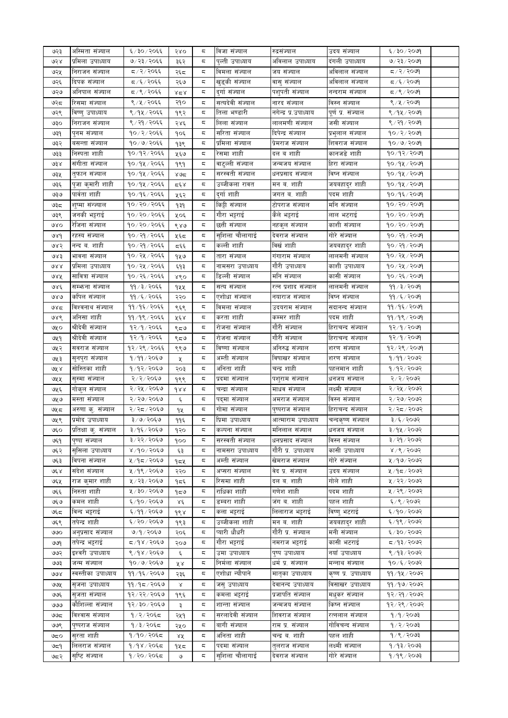| ७२३    | अस्मिता संज्याल      | ६/३०/२०६६      | २४०           | ς | विजा संज्याल     | रुद्रसज्याल           | उदय सज्याल          | $609 \times 12$               |  |
|--------|----------------------|----------------|---------------|---|------------------|-----------------------|---------------------|-------------------------------|--|
| ও২४    | प्रोमला उपाध्याय     | ७/२३/२०६६      | ३६२           | ς | पुल्ती उपाध्याय  | अविलाल उपाध्याय       | दंगली उपाध्याय      | ७/२३/२०७१                     |  |
| ७२५    | निराजन संज्याल       | द ⁄ २∕ २०६६    | २६८           | ς | विमला संज्याल    | जय सज्याल             | अविलाल संज्याल      | $g \circ \zeta \circ \zeta$ र |  |
| ७२६    | दिपक सज्याल          | द ∕६ ⁄ २०६६    | २६७           | ς | खुड्की संज्याल   | वासु संज्याल          | अविलाल संज्याल      | द ∕६ ⁄ २०७९                   |  |
| ৩২৩    | अनिपाल सज्याल        | द ⁄ ९ ⁄ २०६६   | $x \leq x$    | ς | दुर्गा संज्याल   | पशुपती संज्याल        | नन्दराम सज्याल      | द ∕९ ⁄ २०७९                   |  |
| ও২ন    | रिसमा संज्याल        | ९ / ५ / २०६६   | २१०           | ς | सत्यदेवी संज्याल | नारद संज्याल          | विस्न संज्याल       | ९ ⁄ ५ ⁄ २०७१                  |  |
| ७२९    | विष्णु उपाध्याय      | ९/१५/२०६६      | १९२           | ς | तिला भण्डारी     | नगेन्द्र प्र.उपाध्याय | पूर्ण प्र. संज्याल  | ९/१५/२०७१                     |  |
|        |                      | ९/२१/२०६६      |               | ς | लिला सज्याल      | लालमणी संज्याल        | जसी संज्याल         | ९ / २१ / २०७१                 |  |
| ७३०    | निराजन सज्याल        |                | २४६           |   |                  |                       |                     |                               |  |
| ७३१    | पुनम सज्याल          | १०७२/२०६६      | १०६           | ς | सरिता संज्याल    | दिपेन्द्र सज्याल      | प्रभुलाल संज्याल    | १०/२/२०७१                     |  |
| ७३२    | बसन्ता सज्याल        | १०/७/२०६६      | १३९           | ς | प्रमिला संज्याल  | प्रेमराज सज्याल       | शिवराज सज्याल       | १०/७/२०७१                     |  |
| ও३३    | निस्पता शाही         | १०/१२/२०६६     | ५६७           | ς | रेसमा शाही       | दल व शाही             | कानजडे शाही         | १०/१२/२०७१                    |  |
| ও३४    | संगीता सज्याल        | १०/१५/२०६६     | १९१           | ς | वाट्ल्ली संज्याल | जन्मजय संज्याल        | हिरा संज्याल        | १०⁄१५⁄२०७१                    |  |
| ७३५    | तुफान संज्याल        | १०/१५/२०६६     | ≫ه×           | ς | सरस्वती संज्याल  | धनप्रसाद संज्याल      | विष्न संज्याल       | १०/१५/२०७१                    |  |
| ७३६    | पुजा कुमारी शाही     | १०/१५/२०६६     | کے وج ج       | ς | उब्जीकला रावत    | मन ब. शाही            | जयबहादुर शाही       | १०/१५/२०७१                    |  |
| ৩३७    | पार्वता शाही         | १०/१६/२०६६     | ५६२           | ς | दुर्गाशाही       | जगत ब. शाही           | पदम शाही            | १०/१६/२०७१                    |  |
| ಅ३८    | शुष्मा सन्ज्याल      | १०/२०/२०६६     | १३१           | ς | किट्टी संज्याल   | टोपराज संज्याल        | मनि संज्याल         | १०/२०/२०७१                    |  |
| ७३९    | जनकी भट्टराई         | १०/२०/२०६६     | ५०६           | ς | गौरा भट्टराई     | कैले भट्टराई          | लाल भटराई           | १०/२०/२०७१                    |  |
| ७४०    | रीजना सज्याल         | १०/२०/२०६६     | ९४७           | ς | छत्ती संज्याल    | नहकुल संज्याल         | काशी संज्याल        | १०/२०/२०७१                    |  |
| ७४१    | रहस्य सज्याल         | १०/२१/२०६६     |               | ς | सुशिला चौलागाई   | देवराज सज्याल         | गोरे संज्याल        | १०/२१/२०७१                    |  |
|        |                      |                | ५६८           |   | कल्ली शाही       |                       |                     |                               |  |
| ७४२    | नन्द ब. शाही         | १०/२१/२०६६     | द६६           | ς |                  | विखे शाही             | जयबहादुर शाही       | 90/29/20%                     |  |
| ওপই    | भावना सज्याल         | १०/२५/२०६६     | १५७           | ς | तारा संज्याल     | गंगाराम संज्याल       | लालमनी संज्याल      | १०/२५/२०७१                    |  |
| 988    | प्रोमला उपाध्याय     | १०/२५/२०६६     | ६१३           | ς | नामसरा उपाध्याय  | गौरी उपाध्याय         | काशी उपाध्याय       | १०/२५/२०७१                    |  |
| ७४५    | सावित्रा संज्याल     | १०/२६/२०६६     | ४९०           | ς | डिल्ली संज्याल   | मनि संज्याल           | कासी संज्याल        | १०/२६/२०७१                    |  |
| ७४६    | सम्भन्ना सज्याल      | ११ / ३ / २०६६  | १५५           | ς | सत्य सज्याल      | रत्न प्रशाद सज्याल    | लालमनी संज्याल      | 99 / 3 / 20                   |  |
| 080    | कपिल सज्याल          | ११ /६ / २०६६   | २२०           | ς | एशोधा सज्याल     | नयाराज संज्याल        | विष्न संज्याल       | $99 / 5 / 20$ ७१              |  |
| ও४८    | विश्वनाथ संज्याल     | ११/१६/२०६६     | ९६९           | ς | विमला संज्याल    | उदयराम सज्याल         | सदानन्द सज्याल      | ११/१६/२०७१                    |  |
| ७४९    | अनिसा शाही           | ११/१९/२०६६     | ५६४           | ς | करता शाही        | कम्मर शाही            | पदम शाही            | ११/१९/२०७१                    |  |
| ৩५০    | श्रीदेवी संज्याल     | १२/१/२०६६      | ९८७           | ς | रोजना संज्याल    | गौरी संज्याल          | हिराचन्द सज्याल     | १२/१/२०७१                     |  |
| ৩५৭    | श्रीदेवी संज्याल     | १२/१/२०६६      | ९८७           | ς | रोजना सज्याल     | गौरी संज्याल          | हिराचन्द सज्याल     | १२/१/२०७१                     |  |
| ७५२    | सवराज सज्याल         | १२/२९/२०६६     |               | ς | विष्णा संज्याल   | अनिरुद्ध संज्याल      | शरण सज्याल          | १२/२९/२०७१                    |  |
|        |                      |                | ९९७           |   |                  |                       |                     |                               |  |
| ७५३    | सुनपुरा सज्याल       | १/११/२०६७      | X.            | ς | अम्ती संज्याल    | विषाखर सज्याल         | शरण सज्याल          | १/११/२०७२                     |  |
| ও⊻ ४   | सोस्तिका शाही        | १/१२/२०६७      | २०३           | ς | अनिता शाही       | चन्द्र शाही           | पहलमान शाही         | १/१२/२०७२                     |  |
| ७५५    | सुस्मा सज्याल        | २/२/२०६७       | १९९           | ς | प्रदमा संज्याल   | पशुराम सज्याल         | धनजय सज्याल         | २/२/२०७२                      |  |
| ७५६    | गोकुल संज्याल        | २/२५/२०६७      | 988           | ς | चन्द्रा सज्याल   | माधव संज्याल          | लक्ष्मी संज्याल     | २/२५/२०७२                     |  |
| ওy ও   | मस्ता सज्याल         | २/२७/२०६७      | ٤             | ς | पद्मा सज्याल     | अमराज सज्याल          | विस्न संज्याल       | २/२७/२०७२                     |  |
| ७५८    | अरुणा कु. संज्याल    | २/२८/२०६७      | १५            | ς | गोमा संज्याल     | पुष्पराज सज्याल       | हिराचन्द सज्याल     | २/२द/२०७२                     |  |
| ७५९    | प्रमोद उपाध्याय      | ३/७/२०६७       | ११६           | ς | प्रिमा उपाध्याय  | आत्माराम उपाध्याय     | चन्दकृष्ण संज्याल   | ३/६/२०७२                      |  |
| ७६०    | प्रातक्षा कु. सज्याल | ३/५६/ २०६७     | १२०           |   | कल्पना सज्याल    | मानलाल सज्याल         | धनजय सज्याल         | ३/५५ / २०७२                   |  |
| ७६१    | पुष्पा सज्याल        | ३/२२/२०६७      | १००           | ς | सरस्वती संज्याल  | धनप्रसाद सज्याल       | विस्न संज्याल       | ३/२१/२०७२                     |  |
| ७६२    | सुसिला उपाध्याय      | ४/१०/२०६७      | ६३            | ς | नामसरा उपाध्याय  | गौरी प्र. उपाध्याय    | कासी उपाध्याय       | ४ / ९ / २०७२                  |  |
| ७६३    | विपना सज्याल         | ५ ⁄ १८ ⁄ २०६७  |               | ς | अम्ती संज्याल    | खेमराज संज्याल        | गोरे संज्याल        | ५ ⁄ १७ ⁄ २०७२                 |  |
|        |                      | ५/१९/२०६७      | १८५           |   |                  | वेद प्र. संज्याल      |                     | ५/१८/२०७२                     |  |
| ও६ ४   | संदेश संज्याल        |                | २२०           | ς | अप्सरा संज्याल   |                       | उदय संज्याल         |                               |  |
| ७६५    | राज क्मार शाही       | ५ / २३ / २०६७  | १८६           | ς | रिसमा शाही       | दल ब. शाही            | गोले शाही           | ५ / २२ / २०७२                 |  |
| ७६६    | निरुता शाही          | ५ / ३० / २०६७  | 959           | ς | राधिका शाही      | गणेश शाही             | पदम शाही            | ५ / २९ / २०७२                 |  |
| ও২৩    | कमल शाही             | ६/१०/२०६७      | $\lambda \xi$ | ς | डम्बरा शाही      | जंग ब. शाही           | पहल शाही            | ६/९/२०७२                      |  |
| ಅ್ಳದ   | विन्द भट्टराई        | ६/११/२०६७      | १९४           | ς | कला भट्टराई      | लिलाराज भट्टराई       | विष्णु भटराई        | ६/१०/२०७२                     |  |
| ७६९    | तपेन्द्र शाही        | ६/२०/२०६७      | १९३           | ς | उब्जीकला शाही    | मन ब. शाही            | जयबहाद्र शाही       | ६/१९/२०७२                     |  |
| ७७०    | अनुप्रसाद संज्याल    | ७/१/२०६७       | २०६           | ς | प्यारी धौधरी     | गौरी प्र. संज्याल     | मनी संज्याल         | ६/३०/२०७२                     |  |
| ৩৩৭    | तपेन्द्र भट्टराई     | द ∕ १४ ⁄ २०६७  | २०७           | ς | गौरा भट्टराई     | नमराज भट्टराई         | कासी भटराई          | द ⁄ १३ ⁄ २०७२                 |  |
| ৩৩२    | इश्वरी उपाध्याय      | ९/१४/२०६७      | ٤             | ς | उमा उपाध्याय     | पुष्प उपाध्याय        | नयाँ उपाध्याय       | ९ ⁄ १३ ⁄ २०७२                 |  |
| ওও     | जन्म सज्याल          | १०/७/२०६७      | ४४            | ς | निर्मला संज्याल  | धर्म प्र. संज्याल     | मन्नाथ संज्याल      | १०/६/२०७२                     |  |
| ७७४    | स्वस्तीका उपाध्याय   | ११ ⁄ १६ ⁄ २०६७ | २३६           | ς | एशोधा न्यौपाने   | मातृका उपाध्याय       | कृष्ण प्र. उपाध्याय | ११ ⁄ १४ ⁄ २०७२                |  |
|        |                      |                |               |   |                  |                       | विसाखर उपाध्याय     |                               |  |
| ७७५    | सृजना उपाध्याय       | ११ ⁄ १८ ⁄ २०६७ | $\propto$     | ς | जस् उपाध्याय     | देवानन्द उपाध्याय     |                     | ११ ⁄ १७ ⁄ २०७२                |  |
| ৩৩६    | सुजता संज्याल        | १२⁄२२⁄ २०६७    | १९६           | ς | कमला भट्टराई     | प्रजापति संज्याल      | मधुकर संज्याल       | १२⁄ २१ ⁄ २०७२                 |  |
| واواقا | कौशिल्ला संज्याल     | १२/३०/२०६७     | ३             | ς | शान्ता संज्याल   | जन्मजय संज्याल        | किष्न संज्याल       | १२⁄ २९ ⁄ २०७२                 |  |
| ಅಅದ    | विश्वास संज्याल      | १/२/२०६८       | २५१           | ς | सरलादेवी संज्याल | शिवराज संज्याल        | रत्नलाल संज्याल     | १/१/२०७३                      |  |
| ७७९    | पुष्पराज संज्याल     | १/३/२०६८       | २५०           | ς | बागी संज्याल     | राम प्र. संज्याल      | गोविचन्द संज्याल    | 9/2/2003                      |  |
| ಅದ೦    | सुरता शाही           | १/१०/२०६८      | ४४            | ς | अनिता शाही       | चन्द्र ब. शाही        | पहल शाही            | १/९/२०७३                      |  |
| ওন্    | लिलराज संज्याल       | १/१४/२०६द      | १५८           | ς | पदमा संज्याल     | तलराज संज्याल         | लक्ष्मी संज्याल     | १/१३/२०७३                     |  |
| ७द२    | सृष्टि संज्याल       | १/२०/२०६८      | ও             | ς | सुशिला चौलागाई   | देवराज संज्याल        | गोरे संज्याल        | १/१९/२०७३                     |  |
|        |                      |                |               |   |                  |                       |                     |                               |  |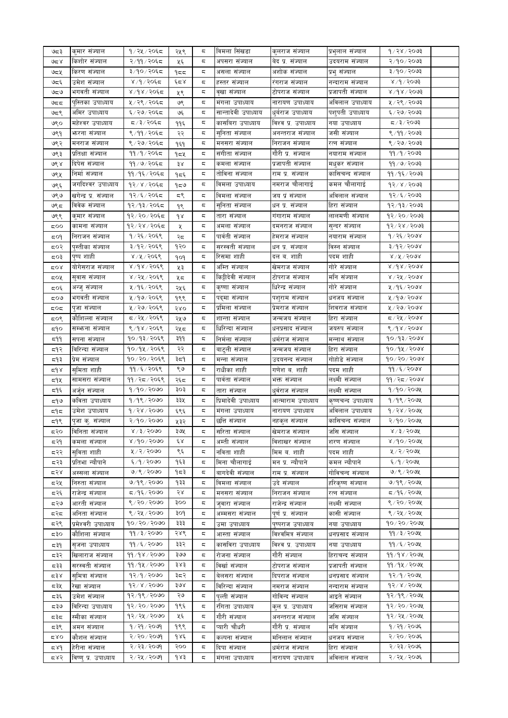| ಅದ ३   | कमार सज्याल           | १/२५/२०६८      | २५९   | ς  | विमला सिंखडा        | कुलराज संज्याल      | प्रभुलाल संज्याल   | 9/28/3003                               |  |
|--------|-----------------------|----------------|-------|----|---------------------|---------------------|--------------------|-----------------------------------------|--|
| 95 کا  | किशोर संज्याल         | २/११/२०६८      | ५६    | ς  | अपसरा सज्याल        | बेद प्र. संज्याल    | उदयराम संज्याल     | २/१०/२०७३                               |  |
|        |                       |                |       |    |                     |                     |                    |                                         |  |
| ওন্ন খ | किरण सज्याल           | ३/१०/२०६८      | ۹≂≂   | ς  | असला सज्याल         | अशोक संज्याल        | प्रभु सज्याल       | ३/१०/२०७३                               |  |
| ಅದ್    | उमेश संज्याल          | ४/१/२०६८       | ६८४   | ς  | हस्तर सज्याल        | रगराज सज्याल        | नन्दाराम सज्याल    | 8005/6/x                                |  |
| ಅವರಿ   | भगवती सज्याल          | ४/१४/२०६८      | ५९    | ς  | वृखा सज्याल         | टोपराज सज्याल       | प्रजापती संज्याल   | ४ /१४ / २०७३                            |  |
| ಅದದ    | पुस्तिका उपाध्याय     | ५ / २९ / २०६८  | ७९    | ς  | मगला उपाध्याय       | नारायण उपाध्याय     | अविलाल उपाध्याय    | ५ / २९ / २०७३                           |  |
| ಅದ९    | अमिर उपाध्याय         | ६/२७/२०६८      | ও६    | ς  | सान्तादेवी उपाध्याय | धुबराज उपाध्याय     | पशुपती उपाध्याय    | ६/२७/२०७३                               |  |
| ७९०    | महंश्वर उपाध्याय      | द /३/२०६द      | ११६   | ς  | कासबिरा उपाध्याय    | विश्व प्र. उपाध्याय | नया उपाध्याय       | $500$ २/३/२०७३                          |  |
| ७९१    | भारना सज्याल          | ९/११/२०६८      | २२    | ς  | सुनिता सज्याल       | अनन्तराज सज्याल     | जसी संज्याल        | ९/११/२०७३                               |  |
| ७९२    | मनराज सज्याल          | ९ / २७ / २०६८  | १६१   | ς  | मनसरा सज्याल        | निराजन सज्याल       | रत्न सज्याल        | ९ / २७ / २०७३                           |  |
| ७९३    | प्रतिक्षा संज्याल     | ११/१/२०६८      | १८५   | ς  | सगीता सज्याल        | गौरी प्र. संज्याल   | नयाराम संज्याल     | 99/9/8093                               |  |
|        |                       |                |       |    |                     |                     |                    |                                         |  |
| ७९ ४   | दिपेस संज्याल         | ११ / ७ / २०६८  | ३४    | ς  | कमला सज्याल         | प्रजापती संज्याल    | मधुकर सज्याल       | ११ / ७ / २०७३                           |  |
| ७९५    | निर्मा संज्याल        | ११/१६/२०६८     | १८६   | ς  | तोविना संज्याल      | राम प्र. संज्याल    | कासिचन्द संज्याल   | ११ ⁄ १६ ⁄ २०७३                          |  |
| ७९६    | जगदिश्वर उपाध्याय     | १२/४/२०६८      | ৭≂७   | ς  | विमला उपाध्याय      | नमराज चौलागाई       | कमल चौलागाई        | १२/४/२०७३                               |  |
| ७९७    | खगेन्द्र प्र. संज्याल | १२/६/२०६८      | ζ,    | ς  | विमला संज्याल       | जय प्रं संज्याल     | अविलाल संज्याल     | १२⁄६⁄२०७३                               |  |
| ७९८    | विवेक सज्याल          | १२/१३/२०६८     | १९    | ς  | सुनिता सज्याल       | धन प्र. सज्याल      | हिरा सज्याल        | १२ / १३ / २०७३                          |  |
| ७९९    | कुमार संज्याल         | १२/२०/२०६८     | dx    | ς  | तारा सज्याल         | गगाराम सज्याल       | लालमणी संज्याल     | १२/२०/२०७३                              |  |
| ಧ೦೦    | कामना सज्याल          | १२/२४/२०६८     | X     | ς  | अमला सज्याल         | दमनराज सज्याल       | सुन्दर संज्याल     | १२⁄२४⁄२०७३                              |  |
| ८०१    | निराजन सज्याल         | १ / २६ / २०६९  | २८    | ς  | पार्वती संज्याल     | हेमराज सज्याल       | नयाराम सज्याल      | १ / २६ / २०७४                           |  |
|        |                       |                |       |    |                     |                     |                    |                                         |  |
| द्र0२  | पस्तीका संज्याल       | ३/१२/२०६९      | १२०   | ς  | सरस्वती संज्याल     | धन प्र. संज्याल     | विस्न संज्याल      | ३/१२/२०७४                               |  |
| द्र0३  | पुष्प शाही            | ४ / ५ / २०६९   | १०१   | ς  | रिसमा शाही          | दल व. शाही          | पदम शाही           | $8\lambda$ ४ $\lambda$ ४ $\lambda$ २०७४ |  |
| ದ೦४    | योगेसराज संज्याल      | ४/१४/२०६९      | ५३    | ς  | अम्ति संज्याल       | खेमराज संज्याल      | गोरे संज्याल       | $8\lambda d$ $8\lambda$ SORR            |  |
| द०५    | सुवास संज्याल         | ४ / २५ / २०६९  | ५८    | ς  | किट्टीदेवी संज्याल  | टोपराज संज्याल      | मनि संज्याल        | ४ / २५ / २०७४                           |  |
| द्र0६  | अन्जु सज्याल          | ५/१६/२०६९      | २५६   | ς  | कृष्णा संज्याल      | धिरेन्द्र संज्याल   | गोरे संज्याल       | ५/१६/२०७४                               |  |
| ಧ೦ಅ    | भगवती संज्याल         | ५ ⁄ १७ ⁄ २०६९  | १९९   | ς  | पदमा संज्याल        | पशुराम सज्याल       | धनजय सज्याल        | ५ ⁄ १७ ⁄ २०७४                           |  |
| ದ೦ದ    | पुजा सज्याल           | ५ / २७ / २०६९  | २४०   | ς  | प्रोमला सज्याल      | प्रेमराज सज्याल     | शिवराज सज्याल      | ५/२७/२०७४                               |  |
| ८०९    | कौशिल्ला संज्याल      | द / २५ / २०६९  | २५७   | ς  | शान्ता सज्याल       | जन्मजय सज्याल       | हिरा सज्याल        | द ∕ २५ ⁄ २०७४                           |  |
|        |                       |                |       | ς  |                     |                     |                    |                                         |  |
| ⊂۹ο    | सम्भन्ना सज्याल       | ९/१४/२०६९      | २५८   |    | धिरिन्दा संज्याल    | धनप्रसाद सज्याल     | जयरुप सज्याल       | ९/१४/२०७४                               |  |
| 599    | सपना सज्याल           | १०/१३/२०६९     | ३११   | ς  | निर्मला संज्याल     | धर्मराज सज्याल      | मन्नाथ सज्याल      | १०/१३/२०७४                              |  |
| द१२    | विरिन्दा संज्याल      | १०/१५/२०६९     | २२    | ς  | बाटुली संज्याल      | जन्मजय संज्याल      | हिरा सज्याल        | १०/१५/२०७४                              |  |
| द१३    | प्रेम सज्याल          | १०/२०/२०६९     | ३८१   | ς  | मन्ना सज्याल        | उदयनन्द सज्याल      | गोहोडे संज्याल     | १०/२०/२०७४                              |  |
| م ہے   | समिता शाही            | ११ /६ / २०६९   | ९७    | ς  | राधीका शाही         | गणेश व. शाही        | पदम शाही           | ११ ⁄ ६ ⁄ २०७४                           |  |
| द१५    | सामसरा सज्याल         | ११ / २८ / २०६९ | २६८   | ς  | पार्वता संज्याल     | भक्त सज्याल         | लक्ष्मी संज्याल    | ११ ⁄ २द ⁄ २०७४                          |  |
| द१६    | अर्जुन संज्याल        | १/१०/२०७०      | ३०३   | ς  | तारा संज्याल        | धवेराज संज्याल      | लक्ष्मी संज्याल    | १/१०/२०७५                               |  |
| द१७    | कविता उपाध्याय        | $9/9$ ९/२०७०   | ३३५   | ς  | प्रिमादेवी उपाध्याय | आत्माराम उपाध्याय   | कृष्णचन्द उपाध्याय | १/१९/२०७५                               |  |
|        | उमेश उपाध्याय         | १/२४/२०७०      |       | ς  | मगला उपाध्याय       | नारायण उपाध्याय     | अविलाल उपाध्याय    | १/२४/२०७५                               |  |
| ≂۹     |                       |                | ६९६   |    |                     |                     |                    |                                         |  |
| द१९    | पुजा कु. संज्याल      | २/१०/२०७०      | ५३२   | ς  | छत्ति सज्याल        | नहकुल सज्याल        | कासिचन्द सज्याल    | २/१०/२०७५                               |  |
| द२०    | विनिता सज्याल         | ४ / ३ / २०७०   | ३७५   | ς  | सरिता सज्याल        | खेमराज सज्याल       | जोस सज्याल         | ४ / ३ / २०७५                            |  |
| द २१   | कमला सज्याल           | ४/१०/२०७०      | ६४    | ζ  | अम्ती संज्याल       | विशाखर संज्याल      | शरण सज्याल         | 8/90/300                                |  |
| द२२    | सविता शाही            | ५ / २ / २०७०   | ९६    | ς  | र्नावेता शाही       | मिम ब. शाही         | पदम शाही           | ५/२/२०७५                                |  |
| द२३    | प्रतिभा न्यौपाने      | ६/१/२०७०       | १६३   | ζ  | मिना चौलागाई        | मन प्र. न्यौपाने    | कमल न्यौपाने       | ६/१/२०७५                                |  |
| द२४    | अस्सला संज्याल        | ७/९/२०७०       | १८३   | ς  | बागदेवी संज्याल     | राम प्र. संज्याल    | गोविचन्द संज्याल   | ७/९/२०७५                                |  |
| द२५    | निरुता संज्याल        | ७/१९/२०७०      | १३३   | ς. | विमला संज्याल       | उदे संज्याल         | हरिकृष्ण संज्याल   | ७/१९/२०७५                               |  |
| द२६    | राजेन्द्र संज्याल     | द ⁄ १६ ⁄ २०७०  | २४    | ζ  | मनसरा संज्याल       | निराजन संज्याल      | रत्न संज्याल       | द ⁄ १६ ⁄ २०७५                           |  |
|        | आरती संज्याल          | ९ / २० / २०७०  | ३००   | ζ  |                     | राजेन्द्र संज्याल   | लक्ष्मी संज्याल    | ९ / २० / २०७५                           |  |
| द२७    |                       |                |       |    | जवारा संज्याल       |                     |                    |                                         |  |
| द२द    | अनिता संज्याल         | ९ / २५ / २०७०  | ३०१   | ζ  | अम्मसरा संज्याल     | पूर्ण प्र. संज्याल  | कासी संज्याल       | ९ / २५ / २०७५                           |  |
| द२९    | प्रमेश्वरी उपाध्याय   | १०७२०/२०७०     | ३३३   | ς  | उमा उपाध्याय        | पुष्पराज उपाध्याय   | नया उपाध्याय       | १०/२०/२०७५                              |  |
| ಧ३೦    | कौशिला संज्याल        | ११ / ३ / २०७०  | २४९   | ζ  | आस्ता संज्याल       | विश्वमित्र संज्याल  | धनप्रसाद सज्याल    | ११ / ३ / २०७५                           |  |
| ≂३৭    |                       |                |       |    |                     |                     |                    |                                         |  |
| द३२    | सजना उपाध्याय         | ११ ⁄ ६ ⁄ २०७०  | ३३२   | ς  | कासविरा उपाध्याय    | विश्व प्र. उपाध्याय | नया उपाध्याय       | ११ ⁄ ६ ⁄ २०७५                           |  |
| द३३    | खिलाराज संज्याल       | 99/98/2090     | ३७७   | ς  | रोजना संज्याल       | गौरी संज्याल        | हिराचन्द संज्याल   | 99/98/2002                              |  |
|        | सरस्वती संज्याल       | ११/१५/२०७०     | ३४३   | ς  | विखो संज्याल        | टोपराज संज्याल      | प्रजापती संज्याल   | ११/१५/२०७५                              |  |
|        |                       |                |       |    |                     |                     |                    |                                         |  |
| ⊄ ج ج  | समित्रा संज्याल       | १२/१/२०७०      | ३८२   | ς  | बेलसरा संज्याल      | दिपराज संज्याल      | धनप्रसाद संज्याल   | १२/१/२०७१                               |  |
| ⊂३५    | रेखा संज्याल          | 9२/४/२०७०      | ३७४   | ς  | विरिन्दा संज्याल    | नमराज संज्याल       | नन्दाराम संज्याल   | १२/४/२०७५                               |  |
| द३६    | उमेश संज्याल          | १२/१९/२०७०     | २७    | ς  | पल्ती संज्याल       | गोविन्द संज्याल     | आइते संज्याल       | १२⁄१९⁄२०७५                              |  |
| ಧ३७    | विरिन्दा उपाध्याय     | १२/२०/२०७०     | १९६   | ς  | रंगिता उपाध्याय     | कल प्र. उपाध्याय    | जसिराम संज्याल     | १२/२०/२०७५                              |  |
| ಧ३ಧ    | स्मीका संज्याल        | १२/२५/२०७०     | ५६    | ς  | गौरी संज्याल        | अनन्तराज संज्याल    | जसि संज्याल        | १२⁄२५⁄२०७५                              |  |
| द३९    | अमन संज्याल           | १/२१/२०७१      | १९९   | ζ, | प्यारी चौधरी        | गौरी प्र. संज्याल   | मनि संज्याल        | १ / २१ / २०७६                           |  |
| 5,80   | कौशल संज्याल          | २/२०/२०७९      | १४६   | ζ, | कल्पना संज्याल      | र्मानलाल संज्याल    | धनजय संज्याल       | २/२०/२०७६                               |  |
| 584    | हेरीना संज्याल        | २/२३/२०७१      | २००   | ζ, | दिपा संज्याल        | धर्मराज संज्याल     | हिरा संज्याल       | २/२३/२०७६                               |  |
| द४२    | विष्णु प्र. उपाध्याय  | २/२५/२०७१      | 9 X 3 | ζ, | मंगला उपाध्याय      | नारायण उपाध्याय     | अविलाल संज्याल     | २/२५/२०७६                               |  |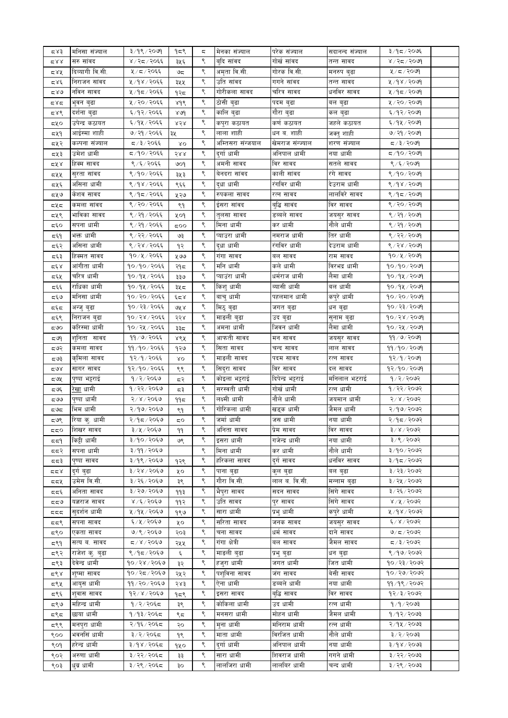| ⊄ 8 ج   | मनिसा संज्याल               | ३/१९/२०७१      | १८९  | ς | मेनका संज्याल     | परेक संज्याल         | सदानन्द संज्याल         | ३/१८/२०७६                 |  |
|---------|-----------------------------|----------------|------|---|-------------------|----------------------|-------------------------|---------------------------|--|
| 287 م   | सरु सावद                    | ४ / २८ / २०६६  | ३५६  | ९ | बदि सांवद         | गोखं सांवद           | तन्त सावद               | ४/२८/२०७१                 |  |
| ८४५     | दिव्यागी वि.सी.             | ५/८/२०६६       | ಅಧ   | ९ | अमृता वि.सी.      | गोरक वि.सी.          | मनरुप बुढा              | ५/८/२०७१                  |  |
| द४६     | निराजन सांवद                | ५/१४/२०६६      | ३५५  | ९ | उति सांवद         | गगने सांवद           | तन्त सावद               | ४/१४/२०७१                 |  |
| ८४७     | र्नावन सावद                 | ५/१८/२०६६      | १२८  | ९ | गोरीकला सावद      | चरित्र सावद          | धनविर सावद              | ५/१८/२०७१                 |  |
| ಧ४ಧ     | भुवन बुढा                   | ५/२०/२०६६      | ४१९  | ९ | ठोसी बुढा         | पदम बुढा             | वल बुढा                 | ५ / २० / २०७९             |  |
|         | दर्शना बुढा                 | ६/१२/२०६६      |      | ९ | कालि बुढा         |                      |                         | ६/१२/२०७१                 |  |
| ⊄ 8ک    |                             |                | 80d  |   |                   | गौरा बुढा            | कल बुढा                 |                           |  |
| द५०     | उपेन्द्र कठायत              | ६/१५/२०६६      | ४२४  | ९ | कपुरा कठायत       | कर्ण कठायत           | जहले कठायत              | ६/१५/२०७१                 |  |
| द्रप्र१ | आईस्मा शाही                 | ७/२१/२०६६      | ३५   | ९ | लाला शाही         | धन ब. शाही           | जक्तु शाही              | ७/२१/२०७१                 |  |
| द्रप्र२ | कल्पना संज्याल              | ८/३/२०६६       | λO   | ९ | अम्तिसरा संन्जयाल | खेमराज संन्ज्याल     | शरण संज्याल             | द /३/२०७१                 |  |
| द५३     | उमेश धामी                   | द्र/१०/२०६६    | 588  | ९ | दर्गा धामी        | अनिपाल धामी          | नया धामी                | $g \circ g \circ g$ ्य    |  |
| द्र ४   | हिक्म सावद                  | ९ / ६ / २०६६   | ७०१  | ९ | अमनी सावद         | विर सावद             | सतले सावद               | ९/६/२०७१                  |  |
| દપ્ર⊻   | सुरता सांवद                 | ९/१०/२०६६      | ३५३  | ९ | बेनदरा सांवद      | काली सांवद           | रंगे सावद               | ९/१०/२०७१                 |  |
| द्रप्रद | असिना धामी                  | ९/१४/२०६६      | ९६६  | ९ | द्धा धामी         | रंगविर धामी          | देउराम धामी             | 8/98/2009                 |  |
| द्रप्र७ | केशव सावद                   | ९ ⁄ १८ / २०६६  | ५२७  | ९ | रुपकला सावद       | रत्न सावद            | लालविरे सावद            | ९/१८/२०७१                 |  |
| ದ೪ದ     | कमला सांवद                  | ९ / २० / २०६६  | ९१   | ९ | इंसरा सांवद       | बुद्धि सावंद         | विर सावद                | ९ / २० / २०७१             |  |
| द५९     | भाविका सावद                 | ९ / २१ / २०६६  | ५०१  | ९ | तुलसा सावद        | डब्बले सावद          | जयसुर सावद              | ९ / २१ / २०७१             |  |
| द६०     | सपना धामी                   | ९ / २१ / २०६६  | 500  | ९ | मिना धामी         | कर धामी              | नौले धामी               | ९/२१/२०७१                 |  |
| द६१     | भक्त धामी                   | ९ / २२ / २०६६  | ও३   | ९ | प्याउरा धामी      | नमराज धामी           | तिर धामी                | ९ / २२ / २०७१             |  |
| द६२     | असिना धामी                  | ९/२४/२०६६      | १२   | ९ | दुधा धामी         | रंगविर धामी          | देउराम धामी             | ९/२४/२०७१                 |  |
| द६३     | हिक्मत सावद                 | १०/५/२०६६      | ५७७  | ९ | गंगा सावद         | बल सावद              | राम सावद                | १०/५/२०७१                 |  |
| द६४     | आंगीता धामी                 | १०/१०/२०६६     | २१८  | ९ | मनि धामी          | कले धामी             | विरभद्र धामी            | १०/१०/२०७१                |  |
| द६५     | चरित्र धामी                 | १०/१५/२०६६     | ३३७  | ९ | प्याउंरा धामी     | धर्मराज धामी         | लैमा धामी               | १०/१५/२०७१                |  |
| द६६     | राधिका धामी                 | १०/१५/२०६६     | ३५८  | ९ | किशु धामी         | ब्यासी धामी          | बल धामी                 | $90/9$ k/२०७१             |  |
| ಧ್ಳತ    | मनिसा धामी                  | १०/२०/२०६६     | ودیع | ९ | बाचु धामी         | पहलमान धामी          | कपुरे धामी              | १०/२०/२०७१                |  |
|         |                             | १०/२३/२०६६     | ७५ ४ | ९ | मिठु बुढा         |                      | धन बुढा                 | १०/२३/२०७१                |  |
| ದ್ಳದ    | अन्जु बुढा                  | १०/२४/२०६६     | २२४  | ९ | माङली बुढा        | जगत बुढा             |                         | $90 \times 8 \times 2009$ |  |
| द६९     | निराजन बुढा<br>करिस्मा धामी | १०/२५/२०६६     |      | ९ | अमना धामी         | उद बुढा<br>जिवन धामी | सुनाम बुढा<br>लैमा धामी | १०/२५/२०७१                |  |
| ಧಅಂ     |                             | ११ / ७ / २०६६  | ३३८  | ९ | आफती सावद         |                      |                         | 99/9/909                  |  |
| द७१     | श्निता सावद                 |                | ४९५  |   |                   | मन सावद              | जयसुर सावद              |                           |  |
| द७२     | कमला सावद                   | ११/१०/२०६६     | १२७  | ९ | सिता सावद         | चन्द सावद            | लाल सावद                | 99/90/20                  |  |
| ದ ಅ३    | कृमिला सावद                 | १२/१/२०६६      | δO   | ९ | माङली सावद        | पदम सावद             | रत्न सावद               | 92/9/2099                 |  |
| ಧ७४     | सागर सावद                   | १२/१०/२०६६     | ९९   | ९ | सिदुरा सावद       | विर सावद             | दल सावद                 | १२/१०/२०७१                |  |
| द७५     | पुष्पा भट्टराइ              | १/२/२०६७       | द२   | ९ | कोइला भट्टराई     | दिपेन्द्र भट्टराई    | मनिलाल भटराई            | 9/2/2092                  |  |
| ದ ಅ೯    | रेखा धामी                   | १/२२/२०६७      | द३   | ९ | सरस्वती धामी      | गोर्ख धामी           | रत्न धामी               | १/२२/२०७२                 |  |
| ದಅಲ     | पुष्पा धामी                 | २/४/२०६७       | ۹۹≂  | ९ | लक्ष्मी धामी      | नौले धामी            | जयमान धामी              | २/४/२०७२                  |  |
| ದರಿದ    | भिम धामी                    | २/१७/२०६७      | ९१   | ९ | गोरिकला धामी      | खड्क धामी            | जैमल धामी               | २/१७/२०७२                 |  |
| ಧಅ९     | रिया कु. धामी               | २/१८/२०६७      | 5Ο   | ९ | जर्मा धामी        | जस धामी              | नया धामी                | २/१८/२०७२                 |  |
| ಧಧ೦     | शिखर सावद                   | ३/५/२०६७       | ۹۹   |   | .<br>अनिता सावद   | प्रेम सावद           | विर सावद                | ३/४/२०७२                  |  |
| 559     | किट्टी धामी                 | ३/१०/२०६७      | ७९   | ९ | इसरा धामी         | गजेन्द्र धामी        | नया धामी                | ३/९/२०७२                  |  |
| दद२     | सपना धामी                   | ३/११/२०६७      |      | ९ | मिना धामी         | कर धामी              | नौले धामी               | 800700                    |  |
| ದದತಿ    | पुष्पा सावद                 | ३/१९/२०६७      | १२९  | ९ | हरिकला सावद       | दुर्ग सावद           | धनविर सावद              | $500$ २/३१                |  |
| 558     | दुर्ग बुढा                  | ३/२४/२०६७      | ५०   | ९ | पाना बुढा         | कुल बुढा             | बल बुढा                 | ३/२३/२०७२                 |  |
| ದದ⊻     | उमेस वि.सी.                 | ३/२६/२०६७      | ३९   | ९ | गौरा वि.सी.       | लाल ब. वि.सी.        | मन्नाम बुढा             | ३/२५/२०७२                 |  |
| दद६     | अनिता सावद                  | ३/२७/२०६७      | ११३  | ९ | भैपुरा सावद       | सदन सावद             | सिंगे सावद              | ३/२६/२०७२                 |  |
| ಧಧ9     | यज्ञराज सावद                | ४/६/२०६७       | ११२  | ९ | उति सावद          | पुर सावद             | सिंगे सावद              | 8/4/3009                  |  |
| πππ     | सुदर्शन धामी                | ५ ⁄ १५ ⁄ २०६७  | १९७  | ९ | सारा धामी         | प्रभु धामी           | कपुरे धामी              | ५/१४/२०७२                 |  |
| ದದ९     | सपना सावद                   | ६/५/२०६७       | ५०   | ९ | सरिता सावद        | जनक सावद             | जयसुर सावद              | 6/8/5005                  |  |
| द९०     | एकता सावद                   | ७/९/२०६७       | २०३  | ९ | चना सावद          | धर्म सावद            | दाने सावद               | 9/5/209                   |  |
| द९१     | सत्य ब. सावद                | 505/8/4        | २५५  | ९ | गंगा क्षेत्री     | बल सावद              | जैमल सावद               | $500$ २९ $\sqrt{5}$       |  |
| द९२     | राजेश कु. बुढा              | ९/१८/२०६७      |      | ९ | माङली बुढा        |                      | धन बुढा                 | 8/99/2092                 |  |
|         |                             | १०/२४/२०६७     | ६    | ९ |                   | प्रभु बुढा           |                         | १०/२३/२०७२                |  |
| द९३     | देवेन्द्र धामी              | १०/२८/२०६७     | ३२   | ९ | हजुरा धामी        | जगत धामी             | जित धामी                | १०/२७/२०७२                |  |
| द९४     | शुष्मा सावद                 |                | २५२  | ९ | पशुविना सावद      | जंग सावद             | बेसी सावद               |                           |  |
| द९५     | आयुस धामी                   | ११ / २० / २०६७ | २४३  |   | ऐना धामी          | डब्बले धामी          | नया धामी                | ११/१९/२०७२                |  |
| द९६     | श्वास सावद                  | १२/४/२०६७      | १८९  | ९ | इसरा सावद         | बुद्धि सावद          | विर सावद                | १२/३/२०७२                 |  |
| द९७     | महिन्द्र धामी               | १/२/२०६८       | ३९   | ९ | कोकिला धामी       | उद धामी              | रत्न धामी               | १/१/२०७३                  |  |
| द९द     | छाया धामी                   | १/१३/२०६८      | ९८   | ९ | मनसरा धामी        | मोहन धामी            | जैमल धामी               | १/१२/२०७३                 |  |
| द९९     | मनपुरा धामी                 | २/१६/२०६८      | २०   | ९ | मुना धामी         | मनिराम धामी          | रत्न धामी               | २/१५/२०७३                 |  |
| ९००     | भवनसिं धामी                 | ३/२/२०६८       | ۹९   | ९ | माता धामी         | विरजित धामी          | नौले धामी               | ३/२/२०७३                  |  |
| ९०१     | हरेन्द्र धामी               | ३/१४/२०६द      | १५०  | ९ | दुर्गा धामी       | अनिपाल धामी          | नया धामी                | $3\sqrt{9} \times 2003$   |  |
| ९०२     | अरुणा धामी                  | ३/२२/२०६८      | ३३   | ९ | सारा धामी         | शिवराज धामी          | गगने धामी               | $5009 \times 79$          |  |
| ९०३     | धब्र धामी                   | ३/२९/२०६८      | ३०   | ९ | लालजिरा धामी      | लालबिर धामी          | चन्द धामी               | ३/२९/२०७३                 |  |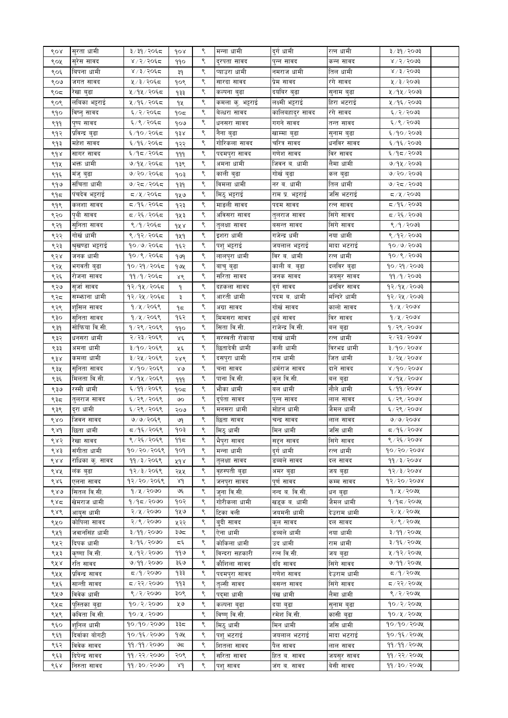| ९०४ | सुरता धामी        | ३/३१/२०६८                | dox           | ९ | मन्ना धामी       | दुर्ग धामी       | रत्न धामी    | ३ ∕ ३१ ⁄ २०७३                 |  |
|-----|-------------------|--------------------------|---------------|---|------------------|------------------|--------------|-------------------------------|--|
| ९०५ | सुरेस सावद        | ४ / २ / २०६८             | ११०           | ९ | दुरपता सावद      | पुन्न सावद       | कन्न सावद    | ४ / २ / २०७३                  |  |
| ९०६ | बिपना धामी        | ४ / ३ / २०६८             | ३१            | ९ | प्याउरा धामी     | नमराज धामी       | तिल धामी     | 8/3/5003                      |  |
| ९०७ | जगत सावद          | ५ / ३ / २०६८             | १०९           | ९ | सारदा सावद       | प्रेम सावद       | रंगे सावद    | $\frac{1}{2}$ । $\frac{1}{2}$ |  |
| ९०द | रखा बुढा          | ५ ⁄ १५ ⁄ २०६८            | १३३           | ९ | कल्पना बुढा      | दर्याबर बुढा     | सुनाम बुढा   | ५ / १५ / २०७३                 |  |
| ९०९ | लबिका भट्टराई     | ५ ⁄ १६ ⁄ २०६८            | १५            | ९ | कमला कु. भट्टराई | लक्ष्मी भट्टराई  | हिरा भटराई   | ५ ⁄ १६ ⁄ २०७३                 |  |
| ९१० | विष्नु सावद       | ६/२/२०६८                 | १०८           | ९ | बेल्धरा सावद     | कालिबहादुर सावद  | रंगे सावद    | ६/२/२०७३                      |  |
| ९११ | पुष्प सावद        | ६/९/२०६८                 | १०७           | ९ | धनसरा सावद       | गगने सावद        | तन्त सावद    | ६/९/२०७३                      |  |
|     | प्रविन्द्र बुढा   | ६/१०/२०६८                |               | ९ | नेना बुढा        | खाम्मा बुढा      |              | \$00,000                      |  |
| ९१२ |                   |                          | १३४           | ९ |                  |                  | सुनाम बुढा   |                               |  |
| ९१३ | महंश सावद         | ६/१६/२०६द                | १२२           |   | गोरिकला सावद     | चरित्र सावद      | धनोवर सावद   | ६/१६/२०७३                     |  |
| ९१४ | सागर सावद         | ६/१८/२०६८                | 999           | ९ | पदमपुरा सावद     | गणेश सावद        | विर सावद     | $\S$ ९०९ $\times$ १/३         |  |
| ९१५ | भक्त धामी         | ७/१५/२०६८                | १३९           | ९ | अमना धामी        | जिवन ब. धामी     | लैमा धामी    | ७/१५/२०७३                     |  |
| ९१६ | मजु बुढा          | ७/२०/२०६८                | १०३           | ९ | काली बुढा        | गोखे बुढा        | कल बुढा      | 9/20/2003                     |  |
| ९१७ | संचिता धामी       | ७/२८/२०६८                | १३१           | ९ | विमला धामी       | नर ब. धामी       | तिल धामी     | 9/25/2093                     |  |
| ९१८ | पंचदेव भट्टराई    | द /५/२०६द                | १५७           | ९ | मिठु भट्टराई     | राम प्र. भट्टराई | जसि भटराई    | द⁄५/२०७३                      |  |
| ९१९ | कलशा सावद         | द ⁄ १६ ⁄ २०६द            | १२३           | ९ | माङली सावद       | पदम सावद         | रत्न सावद    | द्र ⁄ १६ ⁄ २०७३               |  |
| ९२० | पृथी सावद         | द / २६ / २०६द            | १५३           | ९ | अविसरा सावद      | तुलराज सावद      | सिंगे सावद   | द / २६ / २०७३                 |  |
| ९२१ | सुनिता सावद       | ९ /१ / २०६८              | १५४           | ९ | तुलक्षा सावद     | बसन्त सावद       | सिंगे सावद   | 8/9/2003                      |  |
| ९२२ | गोर्ख धामी        | ९/१२/२०६८                | 949           | ९ | इशरा धामी        | गजेन्द्र धमी     | नया धामी     | ९/१२/२०७३                     |  |
| ९२३ | श्रृखण्डा भट्टराई | १०/७/२०६८                | १६२           | ९ | पशु भट्टराई      | जयलाल भट्टराई    | मादा भटराई   | 90/9/2093                     |  |
| ९२४ | जनक धामी          | १०/९/२०६८                | १७१           | ९ | लालपुरा धामी     | विर ब. धामी      | रत्न धामी    | १०/९/२०७३                     |  |
| ९२५ | भगवती बुढा        | १०/२१/२०६८               | १७५           | ९ | बाचु बुढा        | काली ब. बुढा     | दलविर बुढा   | १०/२१/२०७३                    |  |
|     | रोजना सावद        | ११ / १ / २०६८            |               | ९ | सरिता सावद       | जनक सावद         | जयसुर सावद   | 99/9/8093                     |  |
| ९२६ |                   | १२/१५/२०६८               | ४९            | ९ |                  |                  | धनविर सावद   | १२/१५/२०७३                    |  |
| ९२७ | सुजा सावद         |                          | ٩             |   | दहकला सावद       | दुर्ग सावद       |              |                               |  |
| ९२८ | सम्भाना धामी      | १२/२५/२०६८               | ३             | ९ | आरती धामी        | पदम ब. धामी      | मन्दिरे धामी | 92/28/2003                    |  |
| ९२९ | श्सिल सावद        | $9/4/205$ ९              | ۹≂            | ९ | अग्रा सावद       | गोर्ख सावद       | कालो सावद    | 9/4/2008                      |  |
| ९३० | सुनिता सावद       | १/५/२०६९                 | १६२           | ९ | मिमसरा सावद      | धर्व सावद        | विर सावद     | 9/4/2008                      |  |
| ९३१ | सोफिया वि.सी.     | १/२९/२०६९                | ११०           | ९ | सिता वि.सी.      | राजेन्द्र वि.सी. | बल बुढा      | १/२९/२०७४                     |  |
| ९३२ | धनसरा धामी        | २/२३/२०६९                | $\lambda \xi$ | ९ | सरस्वती रोकाया   | गार्ख धामी       | रत्न धामी    | 5/55/5000                     |  |
| ९३३ | अमना धामी         | ३/१०/२०६९                | ५६            | ९ | छितादेवी धामी    | कली धामी         | विरभद्र धामी | 3/90/2008                     |  |
| ९३४ | कमला धामी         | ३/२५/२०६९                | २४९           | ९ | दसपुरा धामी      | राम धामी         | जित धामी     | ३/२५/२०७४                     |  |
| ९३५ | सुनिता सावद       | ४/१०/२०६९                | $80^{\circ}$  | ९ | चना सावद         | धर्मराज सावद     | दाने सावद    | $8\sqrt{90}$ / $500$          |  |
| ९३६ | मिलता वि.सी.      | ४/१५/२०६९                | 999           | ९ | पाना वि.सी.      | कुल वि.सी.       | बल बुढा      | 8/98/5008                     |  |
| ९३७ | रस्मी धामी        | 5,99/99                  | १०८           | ९ | भौका धामी        | बल धामी          | नौले धामी    | 6/99/2008                     |  |
| ९३८ | तुलराज सावद       | ६/२९/२०६९                | ७०            | ९ | दुर्पता सावद     | पुन्न सावद       | लाल सावद     | ६/२९/२०७४                     |  |
| ९३९ | दुरा धामी         | ६/२९/२०६९                | २०७           | ९ | मनसरा धामी       | मोहन धामी        | जैमल धामी    | ६/२९/२०७४                     |  |
| ९४० | जिवन सावद         | ७/७/२०६९                 | ७१            | ९ | छिता सावद        | चन्द्र सावद      | लाल सावद     | 0/9/2008                      |  |
|     |                   |                          |               |   |                  | मिन धामी         |              |                               |  |
| ९४१ | छिता धामी         | द ⁄ ९६ ⁄ २०६९            | १०३           |   | मिठ् धामी        |                  | जोस धामी     | द ⁄ १६ ⁄ २०७४<br>९/२६/२०७४    |  |
| ९४२ | रेखा सावद         | ९ / २६ / २०६९            | ११८           | ९ | भैपरा सावद       | सद्दन सावद       | सिंगे सावद   |                               |  |
| ९४३ | संगीता धामी       | १०/२०/२०६९               | १०१           | ९ | मन्ना धामी       | दुर्ग धामी       | रत्न धामी    | 90/90/9098                    |  |
| ९४४ | राधिका क्. सावद   | ११ / ३ / २०६९            | ५१४           | ९ | त्लक्षा सावद     | डब्बले सावद      | दल सावद      | 99/3/2008                     |  |
| ९४५ | लक बुढा           | १२/३/२०६९                | २५५           | ९ | वृहस्पती बुढा    | अमर बुढा         | जय बुढा      | 93/3/2008                     |  |
| ९४६ | एलना सावद         | १२/२०/२०६९               | 8d            | ९ | जनपुरा सावद      | पणे सावद         | कम्म सावद    | 93/30/500                     |  |
| ९४७ | सितल वि.सी.       | 9/4/3000                 | ও६            | ९ | जुना वि.सी.      | नन्द ब. वि.सी.   | धन बढा       | 9/8/2098                      |  |
| ९४८ | खेमराज धामी       | १/१८/२०७०                | १०२           | ९ | गोरीकला धामी     | खड्क ब. धामी     | जैमल धामी    | 9/95/209                      |  |
| ९४९ | आयुस धामी         | २/५/२०७०                 | १५७           | ९ | टिका वली         | जयमनी धामी       | देउराम धामी  | २/५/२०७५                      |  |
| ९५० | कोपिला सावद       | २/९/२०७०                 | ५२२           | ९ | बदी सावद         | कुल सावद         | दल सावद      | २/९/२०७५                      |  |
| ९५१ | जवानसिंह धामी     | ३/११/२०७०                | ३७८           | ९ | ऐना धामी         | डब्बले धामी      | नया धामी     | ३/११/२०७५                     |  |
| ९५२ | दिपक धामी         | ३/१६/२०७०                | تة ثو         | ९ | कोकिला धामी      | उद धामी          | राम धामी     | ३/१६/२०७५                     |  |
| ९५३ | कृष्णा वि.सी.     | ५/१२/२०७०                | ११७           | ९ | विन्दरा सहकारी   | रत्न वि.सी.      | जय बढा       | ५ ⁄ १२ ⁄ २०७५                 |  |
| ९५४ | रति सावद          | ७/११/२०७०                | ३६७           | ९ | कौशिला सावद      | ददि सावद         | सिंगे सावद   | 9/99/209x                     |  |
| ९५५ | प्रविन्द्र सावद   | $\sigma$ /१/२०७०         | १३३           | ९ |                  | गणेश सावद        | देउराम धामी  | ८/१/२०७५                      |  |
|     |                   | ८८/२२/२०७०               | ११३           | ९ | पदमपुरा सावद     |                  |              | $Z > 2$ २२/२०७५               |  |
| ९५६ | सान्ती सावद       |                          |               |   | तल्सी सावद       | बसन्त सावद       | सिंगे सावद   |                               |  |
| ९५७ | विवेक धामी        | 8/2/3000                 | ३०९           | ९ | पदमा धामी        | पंख धामी         | लैमा धामी    | ९/२/२०७५                      |  |
| ९५८ | पस्तिका बढा       | 90/2/2090                | ५७            | ९ | कल्पना बढा       | दया बढा          | सुनाम बढा    | १०/२/२०७५                     |  |
| ९५९ | कविता वि.सी.      | १०/५/२०७०                |               | ९ | विष्णु वि.सी.    | रमेश वि.सी.      | कासी बढा     | $90 / 4 / 200$ ५              |  |
| ९६० | र्शानल धामी       | १०/१०/२०७०               | ३३८           | ९ | मिठ् धामी        | मिन धामी         | जसि धामी     | १०/१०/२०७५                    |  |
| ९६१ | दिर्वाका बोगटी    | १०/१६/२०७०               | १७५           | ९ | पश भटराई         | जयलाल भटराई      | मादा भटराई   | १०/१६/२०७५                    |  |
| ९६२ | विवेक सावद        | ११/११/२०७०               | ಅದ            | ९ | शितला सावद       | पैल सावद         | लाल सावद     | ११/११/२०७५                    |  |
| ९६३ | दिपेन्द्र सावद    | ११/२२/२०७०               | २०९           | ९ | सरिता सावद       | हित ब. सावद      | जयस्र सावद   | 99/22/209                     |  |
| ९६४ | निरुता सावद       | $99 \times 90 \times 90$ | λd            | ९ | पशुसावद          | जंग ब. सावद      | बेसी सावद    | $99/30/30$ ७५                 |  |
|     |                   |                          |               |   |                  |                  |              |                               |  |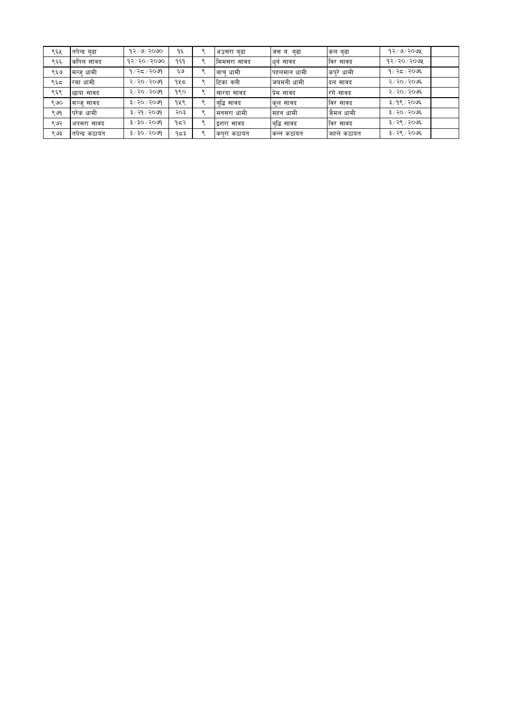| ९६५ | तपेन्द्र बढा   | १२∕ ७∕ २०७०               | ۹६  | अउसरा बढा   | जस ब. बुढा  | कल बुढा    | 93/9/309        |
|-----|----------------|---------------------------|-----|-------------|-------------|------------|-----------------|
| ९६६ | कपिल सावद      | 93/30/3090                | १६१ | मिमसरा सावद | धुबं सावद   | विर सावद   | $93/30/50$ अप्र |
| ९६७ | ।मन्जु धामी    | १⁄२८∕२०७९                 | ६७  | बाच् धामी   | पहलमान धामी | कपुरे धामी | १/२८/२०७६       |
| ९६८ | रमा धामी       | २/२०/२०७१                 | १५८ | टिका वली    | जयमनी धामी  | दल सावद    | २/२०/२०७६       |
| ९६९ | छाया सावद      | २/२०/२०७१                 | १९० | सारदा सावद  | प्रेम सावद  | रंगे सावद  | २/२०/२०७६       |
| ९७० | सञ्ज् सावद     | ३/२०/२०७१                 | १५९ | बद्धिसावद   | कुल सावद    | विर सावद   | ३/१९/२०७६       |
| ९७१ | परेक धामी      | ३/२१/२०७१                 | २०३ | मनसरा धामी  | महन धामी    | ।जैमल धामी | ३/२०/२०७६       |
| ९७२ | अपसरा सावद     | $3 \times 30 \times 6000$ | १८२ | इशरा सावद   | बोद्ध सावद  | विर सावद   | ३/२९/२०७६       |
| ९७३ | तपेन्द्र कठायत | ३/३०/२०७१                 | १८३ | कपुरा कठायत | कन्न कठायत  | जहले कठायत | ३/२९/२०७६       |
|     |                |                           |     |             |             |            |                 |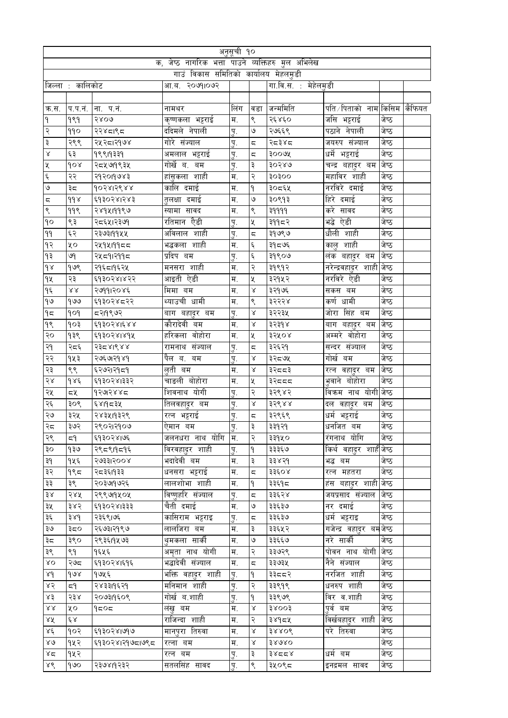|                  |                  |                 |                                                | अनुसूची १०  |                         |                      |                                   |       |  |
|------------------|------------------|-----------------|------------------------------------------------|-------------|-------------------------|----------------------|-----------------------------------|-------|--|
|                  |                  | क,              | जेष्ठ नागरिक भत्ता पाउने व्यक्तिहरु मुल अभिलेख |             |                         |                      |                                   |       |  |
|                  |                  |                 | गाउं विकास समितिको कार्यालय मेहलमुडी           |             |                         |                      |                                   |       |  |
|                  | जिल्ला : कालिकोट |                 | २०७१।०७२<br>आ.ब.                               |             |                         | गा.वि.स. : मेहेलमुडी |                                   |       |  |
|                  |                  |                 |                                                |             |                         |                      |                                   |       |  |
| क.स.             | प.प.न.           | ना. प.नं.       | नामथर                                          | लिंग        | वडा                     | जन्ममिति             | पति ∕ पिताको   नाम किसिम   कैफियत |       |  |
| ۹                | 999              | २४०७            | कृष्णकला भट्टराई                               | म.          | ९                       | २६४६०                | जसि भट्टराइं                      | जेष्ठ |  |
| २                | ११०              | २२४८१९८         | ददिमले नेपाली                                  | पु.         | ৩                       | २७६६९                | पठाने नेपाली                      | जेष्ठ |  |
| ३                | २९९              | २५२८।२१७४       | गोरे संज्याल                                   | Ţ.          | ς                       | २८३४८                | जयरुप संज्याल                     | जेष्ठ |  |
| $\propto$        | ६३               | 99919339        | अमलाल भट्टराई                                  | <u>प</u> ू. | ς                       | ३००७१                | धर्मे भट्टराई                     | जेष्ठ |  |
| X                | gor              | २८५७१९३५        | गोर्खे ब.<br>बम                                | पु.         | ३                       | ३०२४७                | चन्द्र बहा्दर बम                  | जेष्ठ |  |
| Ę                | २२               | २१२०१७४३        | हांसुकला शाही                                  | म.          | २                       | oogog                | महाविर शाही                       | जेष्ठ |  |
| ٯ                | ३८               | १०२४।२९४४       | कालि दमाई                                      | म.          | ٩                       | ३०द६५                | नरविरे दमाई                       | जेष्ठ |  |
| ζ                | $d\delta$        | ६१३०२४।२४३      | तुलक्षा दमाई                                   | म.          | $\mathsf{G}$            | ३०९१३                | हिरे दमाई                         | जेष्ठ |  |
| ९                | 99९              | २४१५।११९७       | स्यामा सावद                                    | म.          | ९                       | ३११११                | करे सावद                          | जेष्ठ |  |
| 90               | ९३               | २८६५।२३७१       | रतिमान ऐैडी                                    | पु.         | X                       | ३११८२                | भद्धे ऐडी                         | जेष्ठ |  |
| 99               | ६२               | २३७३।११५५       | अविलाल शाही                                    | <u>प</u> ू. | ς                       | ३१७९७                | धौली शाही                         | जेष्ठ |  |
| १२               | ५०               | २५१५।११८८       | भद्धकला शाही                                   | म.          | ٤                       | ३१८७६                | कालु शाही                         | जेष्ठ |  |
| ۹₹               | ७१               | २५८१।२११८       | प्रदिप बम                                      | <u>प</u> ू. | Ę                       | ३१९०७                | लंक बहादुर बम                     | जेष्ठ |  |
| $\delta$         | १७९              | २१६८।१६२५       | मनसरा शाही                                     | म.          | २                       | ३१९१२                | नरेन्द्रवहादुर शाही जेष्ठ         |       |  |
| ٩X               | २३               | ६१३०२४।४२२      | आइती ऐडी                                       | म.          | X                       | ३२१५२                | नरविरे ऐडी                        | जेष्ठ |  |
| ۹६               | $\lambda\lambda$ | २७११।२०४६       | मिमा बम                                        | म.          | $\propto$               | ३२१७६                | सकस बम                            | जेष्ठ |  |
| ۹७               | १७७              | ६१३०२४८२२       | थ्याउची धामी                                   | म.          | ९                       | ३२२२४                | कर्ण धामी                         | जेष्ठ |  |
| ۹ς               | pop              | दश9९७२          | बाग बहादुर बम                                  | <u>प</u> ू. | Χ                       | ३२२३५                | जोरा सिंह बम                      | जेष्ठ |  |
| 98               | १०३              | ६१३०२४।६४४      | कौरादेवी बम                                    | म.          | Χ                       | ३२३१४                | बाग बहा्दर बम                     | जेष्ठ |  |
| २०               | १३९              | ६१३०२४।४१५      | वोहोरा<br>हरिकला                               | म.          | X                       | ३२५०४                | अम्मरे वोहोरा                     | जेष्ठ |  |
| २१               | २८६              | २३८४।९४४        | रामनाथ संज्याल                                 | पु.         | $\overline{\mathbf{c}}$ | ३२६२१                | सन्दर संज्याल                     | जेष्ठ |  |
| २२               | १५३              | २७६७१२१४१       | पैल ब.<br>बम                                   | <u>प</u> ू. | $\propto$               | ३२८७५                | गोर्ख बम                          | जेष्ठ |  |
| २३               | ९९               | ६२७२।२१८१       | लुती बम                                        | म.          | Χ                       | ३२८८३                | रत्न वहा्दर बम                    | जेष्ठ |  |
| २४               | $d$ s ć          | ६१३०२४।३३२      | चाङली बोहोरा                                   | म.          | X                       | ३२ददद                | भुवाने बोहोरा                     | जेष्ठ |  |
| २५               | ≂५               | १२७२४४८         | शिवनाथ योगी                                    | पु.         | २                       | ३२९४२                | विक्रम नाथ योगी जेष्ठ             |       |  |
| २६               | ३०९              | ६४११८३५         | तिलवहादुर बम                                   | Ţ.          | Χ                       | ३२९४४                | दल वहादुर बम                      | जेष्ठ |  |
| ২७               | ३२५              | २४३५।१३२९       | रत्न भट्टराई                                   | पु.         | ς                       | ३२९६९                | धर्म<br>भट्टराई                   | जेष्ठ |  |
| ২ন               | ३७२              | २९०२।२१०७       | ऐमान बम                                        | प.          | ३                       | ३३१२१                | धनजित बम                          | जेष्ठ |  |
| २९               | ξ٩               | ६१३०२४।७६       | जलनधरा नाथ योगि                                | म.          | २                       | ३३१५०                | रंगनाथ योगि                       | जेष्ठ |  |
| ३०               | १३७              | २९८९19८१६       | विरवहादुर शाही                                 | पु.         | ۹                       | ३३३६७                | किर्थ वहादुर शाहीजेष्ठ            |       |  |
| ३१               | १५६              | २७३३।२००४       | भदादेवी बम                                     | म.          | ३                       | ३३४२१                | भद्ध बम                           | जेष्ठ |  |
| ३२               | १९८              | २८३६।१३३        | धनसरा भट्टराई                                  | म.          | ζ                       | ३३६०४                | रत्न महतरा                        | जेष्ठ |  |
| ३३               | ३९               | २०३७१७२६        | लालशोभा शाही                                   | म.          | ۹                       | ३३६१८                | हंस बहादुर शाही जेष्ठ             |       |  |
| ३४               | २४५              | २९९७१५०५        | विष्णुहरि संज्याल                              | पु.         | ς                       | ३३६२४                | जयप्रसाद संज्याल                  | जेष्ठ |  |
| ३५               | ३४२              | ६१३०२४।३३३      | चैती दमाई                                      | म.          | ৩                       | ३३६३७                | नर दमाई                           | जेष्ठ |  |
| ३६               | ३४१              | २३६९।७६         | कासिराम भट्टराइ                                | पु.         | ς                       | ३३६३७                | धर्म भट्टराइ                      | जेष्ठ |  |
| ३७               | ३८०              | २६७३।२१९७       | लालजिरा बम                                     | म.          | ३                       | ३३६५२                | गजेन्द्र वहादुर बमजेष्ठ           |       |  |
| ३८               | ३९०              | २९३६।१५७३       | थुमकला सार्की                                  | म.          | ৩                       | ३३६६७                | नरे सार्की                        | जेष्ठ |  |
| ३९               | ९१               | १६५६            | अमृता नाथ योगी                                 | म.          | २                       | ३३७२९                | पोवन नाथ योगी                     | जेष्ठ |  |
| XΟ               | २७८              | ६१३०२४।६१६      | भद्धादेवी संज्याल                              | म.          | ζ                       | ३३७३५                | नैने संज्याल                      | जेष्ठ |  |
| $\lambda d$      | $\delta$         | १७५६            | भक्ति वहादुर शाही                              | प.          | ۹                       | ३३८८२                | नरजित शाही                        | जेष्ठ |  |
| ४२               | ح\               | २४३३।१६२१       | मनिमान शाही                                    | पु.         | २                       | ३३९१९                | धनरुप शाही                        | जेष्ठ |  |
| ४३               | २३४              | २०७३।१६०९       | गोर्ख ब.शाही                                   | पु.         | ۹                       | ३३९७९                | विर व.शाही                        | जेष्ठ |  |
| $\lambda\lambda$ | ५०               | १द०द            | लंख बम                                         | म.          | ४                       | ३४००३                | पुर्व बम                          | जेष्ठ |  |
| ΧX               | بع ح             |                 | राजिन्दा शाही                                  | म.          | २                       | ३४१८५                | विर्खबहादुर शाही                  | जेष्ठ |  |
| Χέ               | १०२              | ६१३०२४।७१७      | मानपुरा तिरुवा                                 | म.          | Χ                       | 38806                | परे तिरुवा                        | जेष्ठ |  |
| ४७               | १५२              | ६१३०२४।२१७८।७९८ | रत्ना बम                                       | म.          | $\propto$               | 38080                |                                   | जेष्ठ |  |
| ४द               | १५२              |                 | रत्न बम                                        | पु.         | ३                       | १४८८४                | धर्म बम                           | जेष्ठ |  |
| ४९               | $\log$           | २३७४।१२३२       | सतलसिंह सावद                                   | पु.         | ९                       | ३५०९८                | इनद्रमल सावद                      | जेष्ठ |  |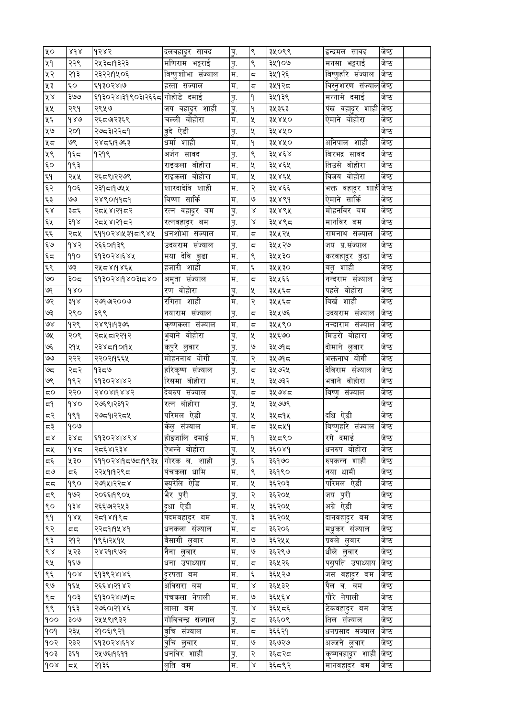| ५०               | 2d x | १२४२                          | दलवहादुर सावद      | पु.         | ९                         | ३५०९९ | इन्द्रमल सावद                        | जष्ठ  |  |
|------------------|------|-------------------------------|--------------------|-------------|---------------------------|-------|--------------------------------------|-------|--|
| ५१               | २२९  | २५३८19३२३                     | मणिराम भट्टराई     | <u>प</u> ू. | ९                         | ३५१०७ | मनसा भट्टराई                         | जेष्ठ |  |
| ५२               | २१३  | २३२२११५०६                     | विष्णुशोभा संज्याल | म.          | $\overline{\mathbf{c}}$   | ३५१२६ | विष्णुहरि संज्याल                    | जेष्ठ |  |
| ५३               | ćΟ   | ६१३०२४।७                      | हस्ता संज्याल      | म.          | $\overline{\mathsf{c}},$  | ३५१२८ | विस्तृशरण संज्याल जेष्ठ              |       |  |
| ४४               | ३७७  | ६१३०२४।३१९०३।२६६८ गोहोडे दमाई |                    | पु.         | $\mathsf{P}$              | ३५१३९ | मन्नामे दमाई                         | जेष्ठ |  |
| ५५               | २९१  | २९५७                          | जय वहादुर शाही     | पु.         | ۹                         | ३५३६३ | पंख वहादुर शाही <mark> </mark> जेष्ठ |       |  |
| ५६               | 980  | २६८७२३६९                      | चल्ली बोहोरा       | म.          | $\pmb{\times}$            | ३५४५० | ऐमाने बोहोरा                         | जेष्ठ |  |
| ५७               | २०१  | २७८३।२२८१                     | वुदे ऐडी           | पु.         | $\pmb{\mathsf{x}}$        | ३५४५० |                                      | जेष्ठ |  |
| ५८               | ७९   | २४८६।१७६३                     | धर्मा शाही         | म.          | ٩                         | ३५४५० | अनिपाल शाही                          | जेष्ठ |  |
| ५९               | १६८  | १२१९                          | अर्जन सावद         | पु.         | ९                         | ३५४६४ | बिरभद्र सावद                         | जेष्ठ |  |
| ćΟ               | १९३  |                               | राइकला वोहोरा      | म.          | $\pmb{\mathsf{X}}$        | ३५४६५ | तिउसे वोहोरा                         | जेष्ठ |  |
| ξ٩               | २५५  | २६८९।२२७९                     | राइकला वोहोरा      | म.          | $\chi$                    | ३५४६५ | विजय वोहोरा                          | जेष्ठ |  |
| ६२               | १०६  | २३१८।१७५५                     | शारदादेवि शाही     | म.          | २                         | ३५४६६ | भक्त वहादुर शाहीजेष्ठ                |       |  |
| ६३               | ٯٯ   | २४९०११६१                      | विष्णा सार्कि      | म.          | ও                         | ३५४९१ | ऐमाने सार्कि                         | जेष्ठ |  |
| $\xi \, \lambda$ | ३८६  | २८४४।२१८२                     | रत्न वहा्दर बम     | पु.         | Χ                         | ३५४९५ | मोहनविर बम                           | जेष्ठ |  |
| ६५               | ३१४  | २८४४।२१८२                     | रत्नवहादुर बम      | पु.         | $\propto$                 | ३५४९८ | मानविर बम                            | जेष्ठ |  |
| $\xi\,$          | २द५  | ६११०२४।५३१८।९४५               | धनशोभा संज्याल     | म.          | $\overline{\mathbb{C}_1}$ | ३५५२५ | रामनाथ संज्याल                       | जेष्ठ |  |
| وره              | १४२  | २६६०१३९                       | उदयराम संज्याल     | पु.         | $\overline{\mathbb{C}}$   | ३५५२७ | जय प्र.संज्याल                       | जेष्ठ |  |
| ξς               | ११०  | ६१३०२४।६४५                    | मया देवि बुढा      | म.          | ९                         | ३५५३० | करवहा्दर बुढा                        | जेष्ठ |  |
| ६९               | ६७   | २५८४।१४६५                     | हजारी शाही         | म.          | $\xi$                     | ३५५३० | बतु शाही                             | जेष्ठ |  |
| ७०               | ३०द  | ६१३०२४।१४०३।८४०               | अमृता संज्याल      | म.          | $\overline{\mathbf{c}}$   | ३५५६६ | नन्दराम संज्याल                      | जेष्ठ |  |
| ७१               | 680  |                               | रण वोहोरा          | पु.         | $\pmb{\mathsf{x}}$        | ३५५६८ | पहले वोहोरा                          | जेष्ठ |  |
| ও२               | ३१४  | २७१७२००७                      | रंगिता शाही        | म.          | २                         | ३५५६८ | बिर्ख शाही                           | जेष्ठ |  |
| ६९               | २९०  | ३९९                           | नयाराम संज्याल     | <u>प</u> ू. | $\overline{\mathbb{C}}$   | ३५५७६ | उदयराम संज्याल                       | जेष्ठ |  |
| १९               | १२९  | २४९१।१३७६                     | कृष्णकला संज्याल   | म.          | $\overline{\mathbb{C}}_i$ | ३५५९० | नन्दाराम संज्याल                     | जेष्ठ |  |
| ७५               | २०९  | २८५८।२२१२                     | भुवाने वोहोरा      | पु.         | Κ                         | ३५६७० | मिउरो वोहारा                         | जेष्ठ |  |
| بگا              | २१५  | २३४८19019५                    | कपुरे लुवार        | पु.         | $\mathsf{G}$              | ३५७१८ | दोमाने लुवार                         | जेष्ठ |  |
| ٯٯ               | २२२  | २२०२११६६५                     | मोहननाथ योगी       | पु.         | २                         | ३५७१८ | भक्तनाथ योगी                         | जेष्ठ |  |
| ಅದ               | २८२  | ৭३८७                          | हरिकृष्ण संज्याल   | पु.         | $\overline{\mathsf{C}_i}$ | ३५७२५ | देविराम संज्याल                      | जेष्ठ |  |
| ७९               | १९२  | ६१३०२४।४२                     | रिसमा वोहोरा       | म.          | X                         | ३५७३२ | भवाने वोहोरा                         | जेष्ठ |  |
| 5Ο               | २२०  | १४०४।१४४२                     | देवरुप संज्याल     | पु.         | $\overline{\mathsf{c}},$  | ३५७४८ | विष्णु संज्याल                       | जेष्ठ |  |
| ξ۹               | dxo  | २७६९।२३१२                     | रत्न बोहोरा        | <u>प</u> .  | $\pmb{\times}$            | ३५७७९ |                                      | जेष्ठ |  |
| द२               | १९१  | २७८१।२२८५                     | परिमल ऐडी          | पु.         | X                         | ३५८१५ | दधि ऐडी                              | जेष्ठ |  |
| ಧ३               | १०७  |                               | केलु संज्याल       | म.          | $\overline{\mathbb{C}}$   | ३५८५१ | बिष्णुहरि संज्याल                    | जेष्ठ |  |
| ⊄ کا             | ३४८  | ६१३०२४।४९४                    | होइजालि दमाई       | म.          | ۹                         | ३५८९० | रगे दमाई                             | जेष्ठ |  |
| 5빗               | 985  | २८६४।२३४                      | ऐभन्ने बोहोरा      | पु.         | ৼ                         | ३६०४१ | धनरुप बोहोरा                         | जेष्ठ |  |
| $\varsigma$      | ४३०  | ६११०२४।१८७८।१९३५              | गोरक ब. शाही       | पु.         | $\boldsymbol{\xi}$        | ३६१७० | रुपकन्न शाही                         | जेष्ठ |  |
| ದ೪               | Σξ   | २२५१११२९८                     | पंचकला धामि        | म.          | ९                         | ३६१९० | नया धामी                             | जेष्ठ |  |
| 55               | १९०  | २७१५।२२८४                     | क्युरेलि ऐडि       | म.          | $\pmb{\mathsf{X}}$        | ३६२०३ | परिमल ऐडी                            | जेष्ठ |  |
| ξ۹               | १७२  | २०६६।१९०५                     | भैर पुरी           | पु.         | २                         | ३६२०५ | जय पुरी                              | जेष्ठ |  |
| ९०               | ds   | २६६७।२२५३                     | दुधा ऐडी           | म.          | ৼ                         | ३६२०५ | अग्रे ऐडी                            | जेष्ठ |  |
| ९१               | 988  | २द१४।१९द                      | पदमवहादुर बम       | पु.         | ३                         | ३६२०५ | दानवहादुर बम                         | जेष्ठ |  |
| ९२               | 55   | २२८११५४१                      | धनकला संज्याल      | म.          | $\overline{\mathbb{C}_1}$ | ३६२०६ | मधुकर संज्याल                        | जेष्ठ |  |
| ९३               | २१२  | १९६।२५१५                      | वैसागी लुवार       | म.          | ৩                         | ३६२५५ | प्रवले लुवार                         | जेष्ठ |  |
| $\delta \lambda$ | ५२३  | २४२१।९७२                      | नैना लुवार         | म.          | ও                         | ३६२९७ | धौले लुवार                           | जेष्ठ |  |
| ९५               | १६७  |                               | धना उपाध्याय       | म.          | $\overline{\mathbf{c}}$   | ३६५२६ | पसुपति उपाध्याय                      | जेष्ठ |  |
| ९६               | gor  | ६१३९२४।४६                     | दरपता बम           | म.          | $\boldsymbol{\xi}$        | ३६५२७ | जस वहादुर बम                         | जेष्ठ |  |
| ९७               | १६५  | २६६४।२१४२                     | अविसरा बम          | म.          | Χ                         | ३६५३२ | पैल व. बम                            | जेष्ठ |  |
| ९८               | १०३  | ६१३०२४।७१८                    | पंचकला नेपाली      | म.          | ٯا                        | ३६५६४ | पौरे नेपाली                          | जेष्ठ |  |
| ९९               | १६३  | २७६०।२१४६                     | लाला बम            | पु.         | $\propto$                 | ३६५८६ | टेकवहादुर बम                         | जेष्ठ |  |
| 900              | २०७  | २५५९।९३२                      | गोविचन्द्र संज्याल | <u>प</u> ू. | $\overline{\mathbb{C}_1}$ | ३६६०९ | तिल संज्याल                          | जेष्ठ |  |
| pop              | २३५  | २१०६।९२१                      | वचि संज्याल        | म.          | $\overline{\mathbb{C}_1}$ | ३६६२१ | धनप्रसाद संज्याल                     | जेष्ठ |  |
| १०२              | २३२  | ६१३०२४।६१४                    | वृचि लुवार         | म.          | ৩                         | ३६७२७ | अज्जने लुवार                         | जेष्ठ |  |
| १०३              | ३६१  | २५७६।१६११                     | धनविर शाही         | पु.         | २                         | ३६८२८ | कृष्णवहादुर शाही                     | जेष्ठ |  |
| $\delta$         | ८५   | २१३६                          | लुति बम            | म.          | $\propto$                 | ३६८९२ | मानवहा्दर बम                         | जेष्ठ |  |
|                  |      |                               |                    |             |                           |       |                                      |       |  |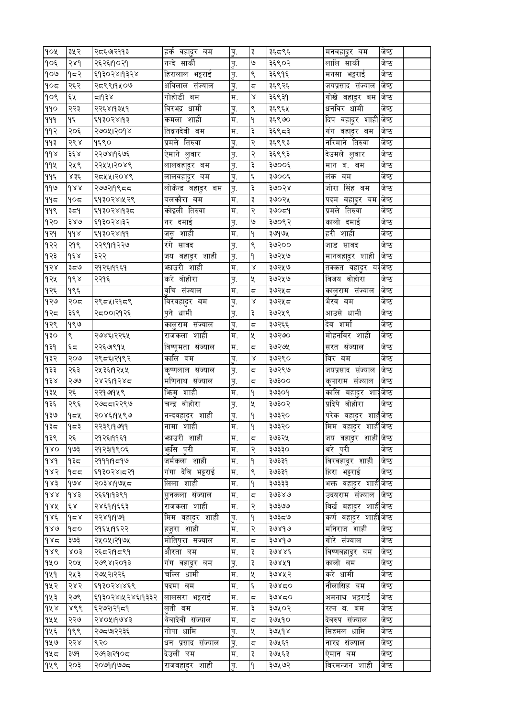| १०५                    | ३५२           | २८६७२११३         | हकं वहा्दर बम       | पु.         | ३                       | ३६८९६          | मनवहा्दर बम                          | जष्ठ  |  |
|------------------------|---------------|------------------|---------------------|-------------|-------------------------|----------------|--------------------------------------|-------|--|
| १०६                    | २४१           | २६२६।१०२१        | नन्दे सार्की        | पू.         | ৩                       | ३६९०२          | लालि सार्की                          | जेष्ठ |  |
| 909                    | १८२           | ६१३०२४।१३२४      | हिरालाल भट्टराई     | पु.         | ९                       | ३६९१६          | मनसा भट्टराई                         | जेष्ठ |  |
| $\delta$               | २६२           | २८९९१५०७         | अविलाल संज्याल      | <u>प</u> ू. | $\overline{\mathbb{C}}$ | ३६९२६          | जयप्रसाद संज्याल                     | जेष्ठ |  |
| १०९                    | ६५            | द।१३४            | गोहोडी बम           | म.          | Χ                       | ३६९३१          | गोखे वहादुर बम                       | जेष्ठ |  |
| 990                    | २२३           | २२६४।१३५१        | धामी<br>विरभद्र     | पु.         | ९                       | ३६९६५          | धनविर धामी                           | जेष्ठ |  |
| 999                    | ۹६            | ६१३०२४।१३        | कमला शाही           | म.          | ۹                       | ३६९७०          | दिप वहादुर शाही <mark> जे</mark> ष्ठ |       |  |
| ११२                    | २०६           | २७०५।२०१४        | तिब्रनदेवी बम       | म.          | ३                       | ३६९८३          | गंग वहादुर बम                        | जेष्ठ |  |
| ११३                    | २९४           | १६९०             | प्रमले तिरुवा       | <u>प</u> ू. | २                       | ३६९९३          | नरिमाने तिरुवा                       | जेष्ठ |  |
| $d d \lambda$          | ३६४           | २२७४।१६७६        | ऐमाने लुवार         | पु.         | २                       | ३६९९३          | देउमले लुवार                         | जेष्ठ |  |
| 99k                    | २५९           | २२५५।२०४९        | लालवहादुर बम        | <u>प</u> ू. | ३                       | ३७००६          | मान ब. बम                            | जेष्ठ |  |
| ११६                    | ४३६           | २८४५।२०४९        | लालवहादुर बम        | पु.         | $\xi$                   | ३७००६          | लक बम                                | जेष्ठ |  |
| ११७                    | dxx           | २७७२।१९८८        | लोकेन्द्र वहादुर बम | <u>प्</u> . | ३                       | 30058          | जोरा सिंह बम                         | जेष्ठ |  |
| ۹۹≂                    | १०८           | ६१३०२४।५२९       | बलकौरा बम           | म.          | ३                       | ३७०२५          | पदम बहादुर बम जेष्ठ                  |       |  |
| 99९                    | ३द9           | ६१३०२४।१३८       | कोइली तिरुवा        | म.          | २                       | ३७०८१          | प्रमले तिरुवा                        | जेष्ठ |  |
| १२०                    | ३४७           | ६१३०२४।३२        | नर दमाई             | पु.         | ৩                       | ३७०९२          | कालो दमाई                            | जेष्ठ |  |
| १२१                    | $d d \lambda$ | ६१३०२४।११        | जसु शाही            | म.          | ۹                       | ३७१७५          | हरी शाही                             | जेष्ठ |  |
| १२२                    | २१९           | २२९१।१२२७        | रंगे सावद           | पु.         | ९                       | ३७२००          | जाड सावद                             | जेष्ठ |  |
| १२३                    | $d \epsilon$  | ३२२              | जय वहादुर शाही      | <u>प</u> ू. | ۹                       | ३७२५७          | मानवहादुर शाही                       | जेष्ठ |  |
| $\partial \mathcal{S}$ | ३८७           | २१२६।११६१        | भाउरी शाही          | म.          | $\propto$               | ३७२५७          | तक्कत वहा्दर बग                      | जेष्ठ |  |
| १२५                    | dsx           | २२१६             | करे वोहोरा          | पु.         | $\pmb{\mathsf{x}}$      | ३७२५७          | विजय वोहोरा                          | जेष्ठ |  |
| १२६                    | १९६           |                  | वृचि संज्याल        | म.          | ς                       | ३७२५ द         | कालुराम संज्याल                      | जेष्ठ |  |
| १२७                    | २०८           | २९८५।२१८९        | विरवहादुर बम        | <u>प</u> .  | Χ                       | ३७२५ द         | भैरव बम                              | जेष्ठ |  |
| १२८                    | ३६९           | २८००१२१२६        | पुने धामी           | पु.         | ३                       | ३७२५९          | आउसे धामी                            | जेष्ठ |  |
| १२९                    | १९७           |                  | कालुराम संज्याल     | पु.         | $\overline{\mathbb{C}}$ | ३७२६६          | देव शर्मा                            | जेष्ठ |  |
| १३०                    | ९             | २७४६।२२६५        | राजकला शाही         | म.          | X                       | ३७२७०          | मोहनविर शाही                         | जेष्ठ |  |
| 939                    | ६द            | २२६७९१५          | विष्णूमता संज्याल   | म.          | $\overline{\mathbb{C}}$ | ३७२७५          | सरत संज्याल                          | जेष्ठ |  |
| १३२                    | २०७           | २९८६।२१९२        | कालि बम             | <u>प</u> ू. | Χ                       | ३७२९०          | विर बम                               | जेष्ठ |  |
| १३३                    | २६३           | २५३६।१२५५        | कृष्णलाल संज्याल    | पु.         | ς                       | ३७२९७          | जयप्रसाद संज्याल                     | जेष्ठ |  |
| d3x                    | २७७           | २४२६।१२४८        | मणिनाथ संज्याल      | पु.         | ζ,                      | ३७३००          | कृपाराम संज्याल                      | जेष्ठ |  |
| १३५                    | २६            | २२१७१५९          | भिन्म शाही          | म.          | ۹                       | २७३०१          | कालि बहादुर शाह                      | जेष्ठ |  |
| १३६                    | २९६           | २७८८।२२९७        | चन्द्र वोहोरा       | पु.         | Κ                       | ३७३०२          | प्रदिपे वोहोरा                       | जेष्ठ |  |
| १३७                    | १८५           | २०४६।१५९७        | नन्दवहादुर शाही     | पु.         | ۹                       | ३७३२०          | परेक वहादुर शाह <b>ी</b> जेष्ठ       |       |  |
| १३८                    | १८३           | २२३९।१७११        | नामा शाही           | म.          | ۹                       | ३७३२०          | मिम वहादुर शाहीजे <b>ष्ठ</b>         |       |  |
| १३९                    | २६            | २१२६।११६१        | भाउरी शाही          | म.          | ς                       | ३७३२५          | जय वहादुर शाही जेष्ठ                 |       |  |
| 980                    | १७३           | २१२३।१९०६        | <u>भ</u> ृसि पुरी   | म.          | २                       | ३७३३०          | थरे पुरी                             | जेष्ठ |  |
| $d\lambda d$           | १३८           | २१११।१८१७        | जर्मकला शाही        | म.          | ۹                       | ३७३३१          | विरवहादुर शाही                       | जेष्ठ |  |
| 985                    | १८८           | ६१३०२४।८२१       | गंगा देवि भट्टराई   | म.          | ९                       | ३७३३१          | हिरा भट्टराई                         | जेष्ठ |  |
| $\delta$               | 908           | २०३४।१७५८        | लिला शाही           | म.          | ۹                       | ३७३३३          | भक्त वहादुर शाहीजेष्ठ                |       |  |
| dxx                    | dxs           | २६६१।१३९१        | सनकला संज्याल       | म.          | 5                       | ३७३४७          | उदयराम संज्याल                       | जेष्ठ |  |
| dax                    | έχ            | २४६१।१६६३        | राजकला शाही         | म.          | २                       | ३७३७७          | विर्ख बहादुर शाहीजेष्ठ               |       |  |
| dxe                    | 958           | २२४१।१७१         | मिम वहादुर शाही     | पु.         | ۹                       | ३७३८७          | कर्ण वहादुर शाह <mark>ी</mark> जेष्ठ |       |  |
| 989                    | १८०           | २१६५।१६२२        | हज़रा शाही          | म.          | २                       | ३७४१७          | मनिराज शाही                          | जेष्ठ |  |
| 985                    | ३७३           |                  | मोतिपुरा संज्याल    | म.          |                         | ३७४१७          | गोरे संज्याल                         | जेष्ठ |  |
| $d\lambda d$           |               | २५०५।२१७५        | औरता बम             |             | ς                       |                | विष्णवहादुर बम                       | जेष्ठ |  |
|                        | ४०३           | २६८२११८९१        |                     | म.          | ३<br>३                  | ३७४४६<br>३७४५१ | कालो बम                              | जेष्ठ |  |
| १५०                    | २०५           | २७९४।२०१३        | गंग वहादुर बम       | पु.         |                         |                |                                      |       |  |
| 929                    | २५३           | २७५२।२२६         | चल्लि धामी          | म.          | X                       | ३७४५२          | करे धामी                             | जेष्ठ |  |
| १५२                    | २४२           | ६१३०२४।४६९       | पदमा बम             | म.          | ٤                       | 30820          | नौलासिंह बम                          | जेष्ठ |  |
| १५३                    | २७९           | ६१३०२४।५२४६।१३३२ | लालसरा भट्टराई      | म.          | ζ,                      | 30820          | अमनाथ भट्टराई                        | जेष्ठ |  |
| dx                     | ४९९           | ६२७२।२१८१        | लती बम              | म.          | ३                       | ३७५०२          | रत्न ब. बम                           | जेष्ठ |  |
| १५५                    | २२७           | २४०५११७४३        | थेवादेवी संज्याल    | म.          | ζ,                      | ३७५१०          | देवरुप संज्याल                       | जेष्ठ |  |
| १५६                    | १९९           | २७८७१२३६         | गोपा धामि           | ्प.         | X                       | ३७५१४          | सिहमल धामि                           | जेष्ठ |  |
| १५७                    | २२४           | ९२०              | धन प्रसाद संज्याल   | <u>प</u> ू. | ς                       | ३७५६१          | नारद संज्याल                         | जेष्ठ |  |
| १५८                    | ३७१           | २७१३।२१०८        | देउली बम            | म.          | ३                       | ३७५६३          | ऐमान बम                              | जेष्ठ |  |
| १५९                    | २०३           | २०७१।१७७८        | राजवहादुर शाही      | पु.         | ۹                       | ३७५७२          | विरमन्जन शाही                        | जेष्ठ |  |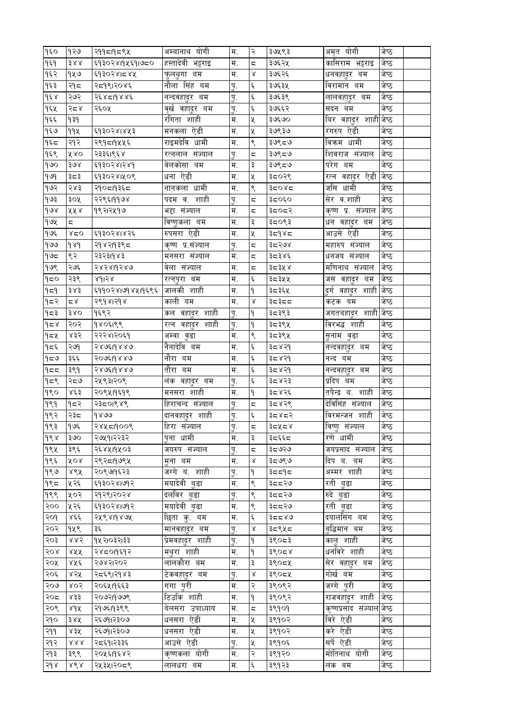| १६०          | १२७                     | २११८१६९५         | अम्बानाथ योगी     | म.          | २                         | ३७५९३ | अमृत योगी                            | जष्ठ  |  |
|--------------|-------------------------|------------------|-------------------|-------------|---------------------------|-------|--------------------------------------|-------|--|
| १६१          | 388                     | ६१३०२४।१५६१।७८०  | हस्तादेवी भट्टराइ | म.          | $\overline{\mathbb{C}}$   | ३७६२५ | कासिराम भट्टराइ                      | जेष्ठ |  |
| १६२          | १५७                     | ६१३०२४।८४५       | फुलथुगा बम        | म.          | $\propto$                 | ३७६२६ | धनवहा्दर बम                          | जेष्ठ |  |
| १६३          | २१८                     | २८१९।२०४६        | नौला सिंह बम      | पु.         | $\xi$                     | ३७६३५ | विरामान बम                           | जेष्ठ |  |
| $d \epsilon$ | २७२                     | २६४८19४४६        | नन्दवहा्दर बम     | पु.         | $\xi$                     | ३७६३९ | लालवहा्दर बम                         | जेष्ठ |  |
| १६५          | २८४                     | २६०५             | वृर्ख वहा्दर बम   | पु.         | $\xi$                     | ३७६६२ | सदन बम                               | जेष्ठ |  |
| १६६          | १३१                     |                  | रंगिता शाही       | म.          | X                         | ३७६७० | बिर वहादुर शाही <mark> जे</mark> ष्ठ |       |  |
| १६७          | 99X                     | ६१३०२४।४५३       | मनकला ऐडी         | म.          | $\chi$                    | ३७९३७ | रंगरुप ऐडी                           | जेष्ठ |  |
| १६८          | २१२                     | २९१८११५६         | राइमदेवि धामी     | म.          | ९                         | ३७९८७ | विकम धामी                            | जेष्ठ |  |
| १६९          | ४४०                     | २३३६।९६४         | रत्नलाल संज्याल   | पु.         | $\overline{\mathbb{C}}$   | ३७९८७ | शिवराज संज्याल                       | जेष्ठ |  |
| १७०          | ३७४                     | ६१३०२४।२४१       | वेलकोसा बम        | म.          | ३                         | ३७९८७ | परेग बम                              | जेष्ठ |  |
| 999          | ३८३                     | ६१३०२४।५०९       | धना ऐडी           | म.          | X                         | ३८०२९ | रत्न वहादुर ऐडी                      | जेष्ठ |  |
| १७२          | २४३                     | २१०८११३६८        | नानकला धामी       | म.          | $\zeta$                   | ३द०४द | जसि धामी                             | जेष्ठ |  |
| १७३          | ३०५                     | २२९६।११७४        | पदम व. शाही       | पु.         | $\overline{\mathbb{C}}_i$ | ३द०६० | सेर व.शाही                           | जेष्ठ |  |
| १७४          | ५५४                     | १९२।२५१७         | भद्दा संज्याल     | म.          | 5                         | ३द०द२ | कृष्ण प्र. संज्याल                   | जेष्ठ |  |
| guy          | 5                       |                  | विष्णुकला बम      | म.          | ३                         | ३८०९३ | धन वहा्दर बम                         | जेष्ठ |  |
| १७६          | ४८०                     | ६१३०२४।४२६       | रुपसरा ऐडी        | म.          | $\pmb{\mathsf{x}}$        | ३द१४द | आउसे ऐडी                             | जेष्ठ |  |
| १७७          | $d\lambda d$            | २१४२।१३९८        | कृष्ण प्र.संज्याल | पु.         | $\overline{\mathbb{C}_1}$ | ३८२७४ | महारुप संज्याल                       | जेष्ठ |  |
| १७द          | ९२                      | २३२३।१४३         | मनसरा संज्याल     | म.          | ς                         | ३८३४६ | धनजय संज्याल                         | जेष्ठ |  |
| १७९          | २७६                     | २४२४।१२४७        | वेला संज्याल      | म.          | $\overline{\mathsf{C}_i}$ | ३८३५४ | मणिनाथ संज्याल                       | जेष्ठ |  |
| १८०          | २३९                     | ४१।२४            | रत्नपुरा बम       | म.          | $\xi$                     | ३८३५५ | जस वहादुर बम                         | जेष्ठ |  |
| 959          | ३४३                     | ६११०२४।७१४५।१६९६ | जालकी शाही        | म.          | ۹                         | ३८३६५ | दुर्ग वहादुर शाही जेष्ठ              |       |  |
| १८२          | $\simeq$ $\times$       | २९१४।२१४         | काली बम           | म.          | γ                         | ३द३दद | कटक बम                               | जेष्ठ |  |
| १८३          | 380                     | १६९२             | कल वहा्दर शाही    | <u>प</u> ू. | ۹                         | ३८३९३ | जगतबहादुर शाही जेष्ठ                 |       |  |
| १८४          | २०२                     | १४०६१९९          | रत्न वहादुर शाही  | पु.         | ۹                         | ३८३९५ | विरभद्ध शाही                         | जेष्ठ |  |
| १८५          | ४३२                     | २२२४।२०६१        | अम्वा बुढा        | म.          | $\varsigma$               | ३८३९५ | सुनाम वुढा                           | जेष्ठ |  |
| १८६          | २७१                     | २४७६।१४४७        | नैनादेवि बम       | म.          | $\boldsymbol{\xi}$        | ३८४२१ | नन्दवहा्दर बम                        | जेष्ठ |  |
| ৭≂७          | ३६६                     | २०७६19४४७        | नौरा बम           | म.          | Ę                         | ३८४२१ | नन्द बम                              | जेष्ठ |  |
| 455          | ३९१                     | २४७६।१४४७        | तौरा बम           | म.          | $\boldsymbol{\xi}$        | ३८४२१ | नन्दवहा्दर बम                        | जेष्ठ |  |
| 959          | २८७                     | २५९३।२०९         | लंक वहा्दर बम     | <u>प</u> ू. | $\xi$                     | ३८४२३ | प्रदिप बम                            | जेष्ठ |  |
| १९०          | ४६३                     | २०९५११६१९        | मनसरा शाही        | म.          | ۹                         | ३८४२६ | तपेन्द्र ब. शाही                     | जेष्ठ |  |
| १९१          | १८२                     | २३८०१४९          | हिराचन्द संज्याल  | पु.         | $\overline{\mathbb{C}}_i$ | ३८४२९ | देविसिंह संज्याल                     | जेष्ठ |  |
| १९२          | २३द                     | १४७७             | दानवहादुर शाही    | पु.         | ٤                         | ३८४८२ | विरमन्जन शाही                        | जेष्ठ |  |
| १९३          | १७६                     | २४५८1900९        | हिरा संज्याल      | Ţ.          | $\overline{\mathsf{c}},$  | ३द५द४ | विष्णु संज्याल                       | जेष्ठ |  |
| १९४          | ३७०                     | २७५१।२२३२        | पुना धामी         | म.          | ३                         | ३द६६द | रणे धामी                             | जेष्ठ |  |
| १९५          | ३९६                     | २६४५११५०३        | जयरुप संज्याल     | पु.         | ς                         | ३द७२७ | जयप्रसाद संज्याल                     | जेष्ठ |  |
| १९६          | ४०४                     | २९२८19७९५        | मना बम            | म.          | Χ                         | ३८७९७ | दिप ब. बम                            | जेष्ठ |  |
| 980          | ४९५                     | २०९७१६२३         | जग्गे ब. शाही     | <u>प</u> ू. | ۹                         | ३८८१८ | अम्मर शाही                           | जेष्ठ |  |
| १९८          | ५२६                     | ६१३०२४।७१२       | मयादेवी बुढा      | म.          | ९                         | ३८८२७ | रती बढा                              | जेष्ठ |  |
| १९९          | ५०२                     | २१२९।२०२४        | दलविर बुढा        | पु.         | ९                         | ३दद२७ | रुदे बढा                             | जेष्ठ |  |
| २००          | ५२६                     | ६१३०२४।७१२       | मयादेवी बुढा      | म.          | ९                         | ३८८२७ | रती बढा                              | जेष्ठ |  |
| २०१          | لاوو                    | २५९४११४७५        | छिता क्. बम       | म.          | ٤                         | ३८८४७ | दयालसिंग बम                          | जेष्ठ |  |
| २०२          | १५९                     | ३६               | मानवहा्दर बम      | <u>प</u> ू. | $\propto$                 | ३८९५८ | बुद्धिमान बम                         | जेष्ठ |  |
| २०३          | ४४२                     | १५२।०३२।३३       | प्रमवहादुर शाही   | पु.         | ۹                         | ३९०८३ | कालु शाही                            | जेष्ठ |  |
| २०४          | ४५५                     | २४८०१६१२         | मथुरा शाही        | म.          | ۹                         | ३९०८४ | धनविरे शाही                          | जेष्ठ |  |
| २०५          | ४५६                     | २७४२।२०२         | लालकौरा बम        | म.          | ३                         | ३९०८५ | सेर वहादुर बम                        | जेष्ठ |  |
| २०६          | ४२५                     | २८६९।२१४३        | टेकवहादुर बम      | <u>प</u> ू. | $\propto$                 | ३९०८५ | गोर्ख बम                             | जेष्ठ |  |
| २०७          | ४०२                     | २०६५।१६६३        | गंगा पुरी         | म.          | २                         | ३९०९२ | जग्गे पुरी                           | जेष्ठ |  |
| २०द          | ४३३                     | २०७२।१७७९        | टिउकि शाही        | म.          | ۹                         | ३९०९२ | राजवहादुर शाही                       | जेष्ठ |  |
| २०९          | ४१५                     | २१७६।१३९९        | बेलसरा उपाध्याय   | म.          | $\overline{\mathbb{C}}_i$ | ३९१०१ | कृष्णप्रसाद संज्याल जेष्ठ            |       |  |
| २१०          | ३४५                     | २६७१।२३०७        | धनसरा ऐडी         | म.          | X                         | ३९१०२ | विरे ऐडी                             | जेष्ठ |  |
| २११          | ४३५                     | २६७१।२३०७        | धनसरा ऐडी         | म.          | ५                         | ३९१०२ | करे ऐडी                              | जेष्ठ |  |
|              | $\lambda\lambda\lambda$ | २८६१।२३३६        | आउसे ऐडी          |             | X                         |       | सर्पे ऐडी                            | जेष्ठ |  |
| २१२          |                         |                  | कृष्णकला योगी     | पु.         | २                         | ३९१०६ | मोतिनाथ योगी                         |       |  |
| २१३          | ३९९                     | २०५६।१६४२        |                   | म.          |                           | ३९१२० |                                      | जेष्ठ |  |
| 5d           | ४९४                     | २५३५।२०८९        | लालधरा बम         | म.          | $\xi$                     | ३९१२३ | लंक बम                               | जेष्ठ |  |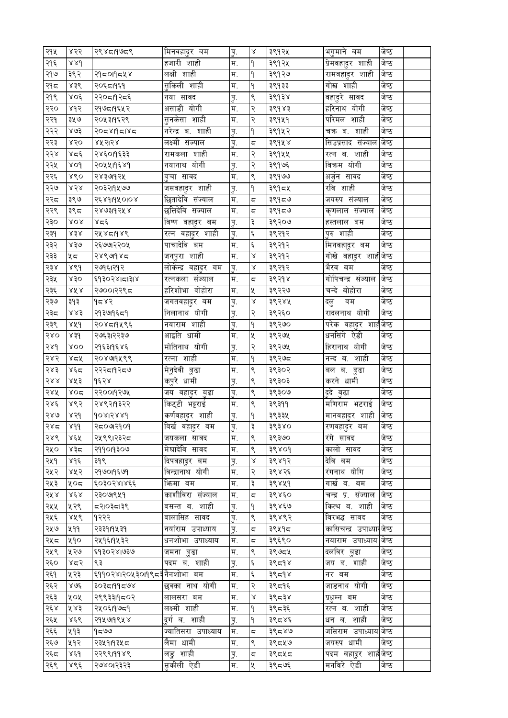| २१५  | ४२२                     | २९४८1५७८९                   | ामनवहा्दर बम        | पु.         | γ                         | ३९१२४ | भगमान बम                 | जष्ठ  |  |
|------|-------------------------|-----------------------------|---------------------|-------------|---------------------------|-------|--------------------------|-------|--|
| २१६  | 88d                     |                             | हजारी शाही          | म.          | $\mathsf{P}$              | ३९१२५ | प्रेमवहादुर शाही         | जेष्ठ |  |
| २१७  | ३९२                     | २१८०१६४४                    | लक्षी शाही          | म.          | ۹                         | ३९१२७ | रामवहादुर शाही           | जष्ठ  |  |
| २१८  | ४३९                     | २०६८।१६१                    | सुकिली शाही         | म.          | ۹                         | ३९१३३ | गोख शाही                 | जेष्ठ |  |
| २१९  | ४०६                     | २२०८१२८६                    | नया सावद            | पु.         | ९                         | ३९१३४ | वहादुरे सावद             | जेष्ठ |  |
| २२०  | ४१२                     | २१७८।१६५२                   | असाडी योगी          | म.          | २                         | ३९१४३ | हरिनाथ योगी              | जेष्ठ |  |
| २२१  | ३५७                     | २०५३११६२९                   | सुनकेसा शाही        | म.          | २                         | ३९१५१ | परिमल शाही               | जेष्ठ |  |
| २२२  | ४७३                     | २०८४।१८।४८                  | नरेन्द्र ब. शाही    | पु.         | ۹                         | ३९१५२ | चक्र ब. शाही             | जेष्ठ |  |
| २२३  | ४२०                     | ४५२।२४                      | लक्ष्मी संज्याल     | पु.         | $\overline{\mathsf{C}_i}$ | ३९१५४ | सिउप्रसाद संज्याल        | जेष्ठ |  |
| २२४  | ४द६                     | २४६०१९३३                    | रामकला शाही         | म.          | २                         | ३९१५५ | रत्न ब. शाही             | जेष्ठ |  |
| २२५  | 80d                     | २०५५१९६४१                   | नयानाथ योगी         | पु.         | २                         | ३९१७६ | विक्रम योगी              | जेष्ठ |  |
| २२६  | ४९०                     | २४३७१२५                     | बुचा सावद           | म.          | ९                         | ३९१७७ | अर्जुन सावद              | जेष्ठ |  |
| २२७  | 858                     | २०३२।१५७७                   | जसवहादुर शाही       | पु.         | ۹                         | ३९१८५ | रवि शाही                 | जेष्ठ |  |
| २२द  | ३९७                     | २६४१।१५०।०४                 | छितादेवि संज्याल    | म.          | $\overline{\mathbb{C}_1}$ | ३९१८७ | जयरुप संज्याल            | जेष्ठ |  |
| २२९  | ३९८                     | २४७३।१२५४                   | छत्तिदेवि संज्याल   | म.          | $\overline{\mathbb{C}}$   | ३९१८७ | कृणलाल संज्याल           | जेष्ठ |  |
| २३०  | $X\mathcal{O} \chi$     | ४द६                         | विष्ण वहादुर बम     | <u>प</u> ू. | ३                         | ३९२०७ | हस्तलाल बम               | जेष्ठ |  |
| २३१  | ४३४                     | २५४८19४९                    | रत्न वहादुर शाही    | पु.         | $\xi$                     | ३९२१२ | पुरु शाही                | जेष्ठ |  |
| २३२  | ४३७                     | २६७७१२०५                    | पाचादेवि बम         | म.          | $\xi$                     | ३९२१२ | मिनवहा्दर बम             | जेष्ठ |  |
| २३३  | ५८                      | २४९७१४८                     | जनपुरा शाही         | म.          | Χ                         | ३९२१२ | गोखे वहादुर शार्ह        | जेष्ठ |  |
| २३४  | ४९१                     | २७१६।२१२                    | लोकेन्द्र वहा्दर बम | पु.         | $\propto$                 | ३९२१२ | भैरव बम                  | जेष्ठ |  |
| २३५  | ४३०                     | ६१३०२४।दा३।४                | रत्नकला संज्याल     | म.          | $\overline{\mathbb{C}_1}$ | ३९२१४ | गोपिचन्द्र संज्याल       | जेष्ठ |  |
| २३६  | ४४४                     | २७००।२२९८                   | हरिशोभा बोहोरा      | म.          | X                         | ३९२२७ | चन्दे बोहोरा             | जेष्ठ |  |
| २३७  | ३१३                     | १८४२                        | जगतवहा्दर बम        | पु.         | $\propto$                 | ३९२४५ | बम<br>दल्                | जेष्ठ |  |
| २३८  | ४४३                     | २१३७१६८१                    | निलानाथ योगी        | पु.         | २                         | ३९२६० | रादलनाथ योगी             | जेष्ठ |  |
| २३९  | sxd                     | २०४८१५९६                    | नयाराम शाही         | <u>प</u> ू. | ۹                         | ३९२७० | परेक वहादुर शार्हजेष्ठ   |       |  |
| २४०  | ४३१                     | २७६३।२२३७                   | आइति धामी           | म.          | X                         | ३९२७५ | धनसिंगे ऐडी              | जेष्ठ |  |
| २४१  | 800                     | २१६३।१६४६                   | मोतिनाथ योगी        | पु.         | २                         | ३९२७५ | हिरानाथ योगी             | जेष्ठ |  |
| २४२  | ४द्रप्                  | २०४७१५९९                    | रत्ना शाही          | म.          | ۹                         | ३९२७८ | शाही<br>नन्द ब.          | जेष्ठ |  |
| २४३  | ४६द                     | २२२दा9२द७                   | मेनुदेवी बुढा       | म.          | ९                         | ३९३०२ | बल ब. बुढा               | जेष्ठ |  |
| २४४  | ४४३                     | १६२४                        | कपुरे धामी          | <u>प</u> ू. | ९                         | ३९३०३ | करने धामी                | जेष्ठ |  |
| २४५  | ४०द                     | २२००११२७५                   | जय वहादुर बुढा      | पु.         | ९                         | ३९३०७ | दुदे वुढा                | जेष्ठ |  |
| २४६  | ४९२                     | २४९२।१३२२                   | किट्टी भट्टराई      | म.          | ९                         | ३९३११ | मणिराम भटराइ             | जेष्ठ |  |
| २४७  | ४२१                     | 68851806                    | कर्णवहादुर शाही     | पु.         | ۹                         | ३९३३५ | मानवहादुर शाही           | जेष्ठ |  |
| २४८  | 868                     | २८०७२१०१                    | बिर्ख वहादुर बम     | पु.         | ३                         | ३९३४० | रणवहादुर बम              | जेष्ठ |  |
| २४९  | ४६५                     | २५९९।२३२८                   | जयकला सावद          | म.          | ९                         | ३९३७० | रंगे सावद                | जेष्ठ |  |
| २५०  | ४३८                     | २११०।१३०७                   | मेघादेवि सावद       | म.          | ९                         | ३९४०१ | कालो सावद                | जेष्ठ |  |
| २५१  | ४१६                     | ३१९                         | दिपवहादुर बम        | पु.         | Χ                         | ३९४१२ | देवि बम                  | जेष्ठ |  |
| २५२  | ४५२                     | २१७०।१६७१                   | विन्द्रानाथ योगी    | म.          | २                         | ३९४२६ | रंगनाथ योगि              | जेष्ठ |  |
| २५३  | ५०८                     | ६०३०२४।४६६                  | भिन्मा बम           | म.          | ३                         | ३९४५१ | गार्ख ब.<br>बम           | जेष्ठ |  |
| २५ ४ | $X \not\in \mathcal{R}$ | २३०७९५१                     | काशीविरा संज्याल    | म.          | ς                         | ३९४६० | चन्द्र प्र. संज्याल      | जेष्ठ |  |
| २५५  | ५२९                     | दश०३दा३९                    | शाही<br>बसन्त ब.    | <u>प</u> ू. | ۹                         | ३९४६७ | कित्थ ब. शाही            | जष्ठ  |  |
| २५६  | ४५९                     | १२२२                        | बालासिंह सावद       | पू.         | ९                         | ३९४९२ | विरभद्ध सावद             | जेष्ठ |  |
| २५७  | ५११                     | २३३१।१५३१                   | नयांराम उपाध्याय    | पु.         | ς                         | ३९५१८ | कासिचन्द्र उपाध्या जेष्ठ |       |  |
| २५८  | ५१०                     | २५१६।१५३२                   | धनशोभा उपाध्याय     | म.          | $\overline{\mathsf{c}},$  | ३९६९० | नयाराम उपाध्याय जेष्ठ    |       |  |
| २५९  | ५२७                     | ६१३०२४।७३७                  | जमना बढा            | म.          | ९                         | ३९७८५ | _<br>दलविर <u>ब</u> ृढा  | जेष्ठ |  |
| २६०  | ४द२                     | ९३                          | पदम ब. शाही         | पु.         | $\boldsymbol{\xi}$        | ३९८१४ | जय ब.<br>शाही            | जेष्ठ |  |
| २६१  | ५२३                     | ६११०२४।२०५३०।१९८३नैनशोभा बम |                     | म.          | ٤                         | ३९८१४ | नर बम                    | जेष्ठ |  |
| २६२  | ४७६                     | ३०३८।११८७४                  | छक्का नाथ योगी      | म.          | २                         | ३९८१६ | जाडनाथ योगी              | जेष्ठ |  |
| २६३  | ५०५                     | २९९३३११८०२                  | लालसरा बम           | म.          | Χ                         | ३९८३४ | प्रधुम्न बम              | जेष्ठ |  |
| २६४  | ५४३                     | २५०६।१७८१                   | लक्ष्मी शाही        | म.          | ۹                         | ३९८३६ | रत्न ब. शाही             | जेष्ठ |  |
| २६५  | ४६९                     | २१५७१९५४                    | दर्ग ब. शाही        | पु.         | ۹                         | ३९८४६ | धन ब. शाही               | जेष्ठ |  |
| २६६  | ५१३                     | 959                         | ज्यातिसरा उपाध्याय  | म.          | $\overline{\mathsf{c}},$  | ३९८४७ | जसिराम उपाध्याय          | जेष्ठ |  |
| २६७  | ५१२                     | २३५१।१३५८                   | लैमा धामी           | म.          | ९                         | ३९८५७ | जयरुप धामी               | जेष्ठ |  |
| २६८  | ४६१                     | २२९९।११४९                   | लड़ शाही            | पु.         | $\overline{\mathbb{C}_1}$ | ३९८५८ | पदम बहादुर शाहीजेष्ठ     |       |  |
| २६९  | ४९६                     | २७४०।२३२३                   | सुकीली ऐडी          | म.          | $\pmb{\mathsf{X}}$        | ३९८७६ | मनविरे ऐडी               | जेष्ठ |  |
|      |                         |                             |                     |             |                           |       |                          |       |  |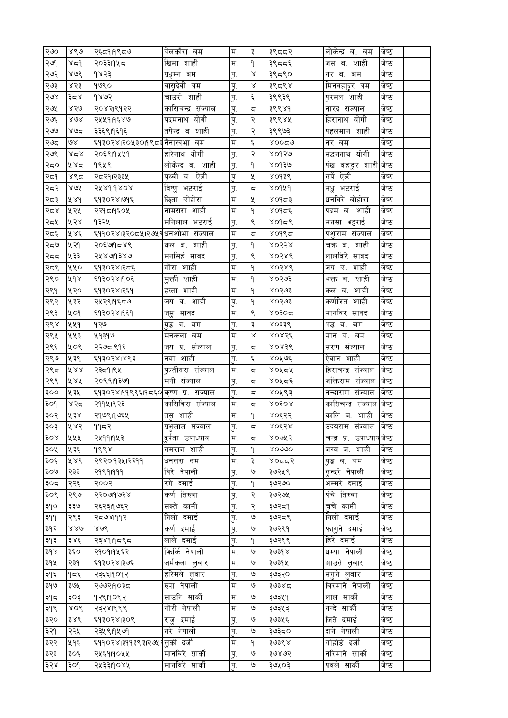| २७०          | ४९७                 | २६८११९८७                             | बेलकौरा बम         | म.          | ३                       | ३९८८२        | लोकेन्द्र ब. बम           | जष्ठ  |  |
|--------------|---------------------|--------------------------------------|--------------------|-------------|-------------------------|--------------|---------------------------|-------|--|
| २७१          | $x \in \mathcal{A}$ | २०३३।१५८                             | खिमा शाही          | म.          | ۹                       | ३९८८६        | शाही<br>जस ब.             | जेष्ठ |  |
| २७२          | 808                 | १४२३                                 | प्रधुम्न बम        | पु.         | γ                       | ३९८९०        | नर ब.<br>बम               | जेष्ठ |  |
| २७३          | ४२३                 | १७९०                                 | वासुदेवी बम        | <u>प</u> ू. | Χ                       | ३९८९४        | मिनवहा्दर बम              | जेष्ठ |  |
| २७४          | ३८४                 | १४७२                                 | चाउरो शाही         | पु.         | $\xi$                   | ३९९३९        | पुरमल शाही                | जेष्ठ |  |
| २७५          | ४२७                 | २०४२।९१२२                            | कासिचन्द्र संज्याल | पु.         | ς                       | ३९९४१        | नारद संज्याल              | जेष्ठ |  |
| २७६          | ४७४                 | २५५११९४७                             | पदमनाथ योगी        | पु.         | २                       | ३९९४५        | हिरानाथ योगी              | जेष्ठ |  |
| ২৩৩          | 802                 | ३३६९।१६१६                            | तपेन्द्र ब शाही    | पु.         | २                       | ३९९७३        | पहलमान शाही               | जेष्ठ |  |
| २७८          | ७४                  | ६१३०२४।२०५३०।१९८३नैनास्वभा बम        |                    | म.          | ද                       | 800Zg        | नर बम                     | जेष्ठ |  |
| २७९          | ४८४                 | २०६९।१५५१                            | हरिनाथ योगी        | पु.         | २                       | ४०१२७        | सद्धननाथ योगी             | जेष्ठ |  |
| २८०          | ५४८                 | १९५९                                 | लोकेन्द्र ब. शाही  | पु.         | $\mathsf{P}$            | 9508         | पख वहादुर शाही जेष्ठ      |       |  |
| २द्द9        | ४९८                 | २८२१।२३३५                            | पृथ्वी ब. ऐडी      | पु.         | Κ                       | ४०१३९        | सर्पे ऐडी                 | जेष्ठ |  |
| २८२          | 200                 | २४४१।१४०४                            | विष्णु भटराई       | <u>प</u> ू. | ς                       | ४०१५१        | मधु भटराई                 | जेष्ठ |  |
| २८३          | ४४१                 | ६१३०२४।७१६                           | छिता बोहोरा        | म.          | Κ                       | ४०१८३        | धनविरे बोहोरा             | जेष्ठ |  |
| २८४          | ५२५                 | २२१८१९०५                             | नामसरा शाही        | म.          | ۹                       | ४०१८६        | पदम ब. शाही               | जेष्ठ |  |
| २८५          | ५२४                 | १३२५                                 | मनिलाल भटराई       | पु.         | ९                       | 80d26        | मनसा भट्टराई              | जेष्ठ |  |
| २८६          | ५४६                 | ६११०२४।३२०८५।२७५९धनशोभा संज्याल      |                    | म.          | $\overline{\mathbb{C}}$ | 8006         | पशुराम संज्याल            | जेष्ठ |  |
| २द७          | ५२१                 | २०६७१८४९                             | शाही<br>कल ब.      | पु.         | ۹                       | <b>ROSSR</b> | शाही<br>चक्र ब.           | जष्ठ  |  |
| २दद          | ५३३                 | २५४७१३४७                             | मनसिहं सावद        | <u>प</u> ू. | ९                       | 80586        | लालविरे सावद              | जेष्ठ |  |
| २८९          | ५५०                 | ६१३०२४।२८६                           | गौरा शाही          | म.          | ۹                       | <b>ROSRG</b> | शाही<br>जय ब.             | जेष्ठ |  |
| २९०          | ४१४                 | ६१३०२४।१०६                           | मुक्ती शाही        | म.          | ۹                       | ४०२७३        | शाही<br>भक्त ब.           | जेष्ठ |  |
| २९१          | ५२०                 | ६१३०२४।२६१                           | शाही<br>हस्ता      | म.          | ۹                       | ४०२७३        | शाही<br>कल ब.             | जेष्ठ |  |
| २९२          | ५३२                 | २५२९।१६८७                            | जय ब. शाही         | ्प.         | ۹                       | ४०२७३        | कर्णजित<br>शाही           | जेष्ठ |  |
| २९३          | ४०१                 | ६१३०२४।६६१                           | सावद<br>जस्        | म.          | ९                       | ४०३०द        | मानविर<br>सावद            | जेष्ठ |  |
| २९४          | ५५१                 | १२७                                  | युद्ध ब. बम        | पु.         | ३                       | ४०३३९        | भद्ध ब.<br>बम             | जेष्ठ |  |
| २९५          | ५५३                 | ५१३१७                                | मनकला बम           | म.          | $\propto$               | ४०४२६        | मान ब.<br>बम              | जेष्ठ |  |
| २९६          | ५०९                 | २२७८१९१६                             | जय प्र. संज्याल    | ्प.         | $\overline{\mathbb{C}}$ | 80836        | सरण संज्याल               | जेष्ठ |  |
| २९७          | ५३९                 | ६१३०२४।४९३                           | नया शाही           | <u>प</u> ू. | ٤                       | ४०५७६        | ऐवान शाही                 | जेष्ठ |  |
| २९८          | ४४४                 | २३८१।९५                              | पुल्तीसरा संज्याल  | म.          | $\overline{\mathbb{C}}$ | ४०५८५        | हिराचन्द्र संज्याल        | जेष्ठ |  |
| २९९          | ४४४                 | २०९९।१३७१                            | मनी संज्याल        | पु.         | $\overline{\mathbb{C}}$ | ४०५८६        | जक्तिराम संज्याल          | जेष्ठ |  |
| ३००          | ५३५                 | ६१३०२४।११९९६।१८६० कृष्ण प्र. संज्याल |                    | <u>प</u> ू. | ς                       | ४०५९३        | नन्दाराम संज्याल          | जेष्ठ |  |
| ३०१          | ४२८                 | २११५।९२३                             | कासिविरा संज्याल   | म.          | ς,                      | <b>ROÉOR</b> | कासिचन्द्र संज्याल        | जेष्ठ |  |
| ३०२          | ४३४                 | २१७९।१७६५                            | शाही<br>तस्        | म.          | ۹                       | ४०६२२        | कालि ब. शाही              | जेष्ठ |  |
| ३०३          | ५४२                 | ११८२                                 | प्रभलाल संज्याल    | प.          | $\overline{\mathbf{c}}$ | ४०६२४        | उदयराम संज्याल            | जेष्ठ |  |
| 30x          | ५५५                 | २५११।१५३                             | दुर्पता उपाध्याय   | म.          | ς                       | ४०७४२        | चन्द्र प्र. उपाध्यायजेष्ठ |       |  |
| ३०५          | ५३६                 | १९९४                                 | नमराज शाही         | पु.         | ۹                       | 20000        | जग्य ब. शाही              | जेष्ठ |  |
| ३०६          | ५४९                 | २९२०११३५१२२११                        | धनसरा बम           | म.          | ३                       | 8055         | युद्ध ब. बम               | जेष्ठ |  |
| ३०७          | २३३                 | २१९१११११                             | विरे नेपाली        | <u>प</u> ू. | ৩                       | ३७२५९        | सन्दरे नेपाली             | जेष्ठ |  |
| ३०द          | २२६                 | २००२                                 | रगे दमाई           | पु.         | ۹                       | ३७२७०        | अम्मरे दमाई               | जेष्ठ |  |
| ३०९          | २९७                 | २२०७१७२४                             | कर्ण तिरुवा        | <u>प</u> ू. | २                       | ३७२७५        | पंचे तिरुवा               | जेष्ठ |  |
| ३१०          | ३३७                 | २६२३।१७६२                            | सक्ते कामी         | पु.         | २                       | ३७२८१        | चुचे कामी                 | जेष्ठ |  |
| ३११          | २९३                 | २८७४।११२                             | निलो दमाई          | <u>प</u> ू. | ٯا                      | ३७२८९        | निलो दमाई                 | जेष्ठ |  |
| ३१२          | 880                 | 808                                  | कर्ण दमाई          | पु.         | ও                       | ३७२९१        | फागुने दमाई               | जेष्ठ |  |
| ३१३          | ३४६                 | २३४१।१८९८                            | लाले दमाई          | पु.         | $\mathsf{P}$            | ३७२९९        | हिरे दमाई                 | जेष्ठ |  |
| $3d \lambda$ | ३६०                 | २१०११५६२                             | भिर्गर्क नेपाली    | म.          | ও                       | ३७३१४        | धम्या नेपाली              | जेष्ठ |  |
| ३१५          | २३१                 | ६१३०२४।३७६                           | जर्मकला लुवार      | म.          | ৩                       | ३७३१५        | आउसे लुवार                | जेष्ठ |  |
| ३१६          | १८६                 | २३६६1909२                            | हरिमले लुवार       | पु.         | ও                       | ३७३२०        | सगने लुवार                | जेष्ठ |  |
| ३१७          | ३७५                 | २७७२।१०३८                            | रुपा नेपाली        | म.          | ও                       | ३७३४८        | विरमाने नेपाली            | जेष्ठ |  |
| ३१८          | ३०३                 | १२९।१०९२                             | साउनि सार्की       | म.          | ও                       | ३७३५१        | लाल सार्की                | जेष्ठ |  |
| ३१९          | ४०९                 | २३२४।९९९                             | गौरी नेपाली        | म.          | ৩                       | ३७३५३        | नन्दे सार्की              | जेष्ठ |  |
| ३२०          | ३४९                 | ६१३०२४।३०९                           | राज दमाई           | पु.         | ও                       | ३७३५६        | जिते दमाई                 | जेष्ठ |  |
| ३२१          | २२५                 | २३५९19५७9                            | नरे नेपाली         | पु.         | ও                       | ३७३८०        | दाने नेपाली               | जेष्ठ |  |
| ३२२          | ५१६                 | ६११०२४।३११३९३।२७५ सकी दर्जी          |                    | म.          | $\mathsf{P}$            | ३७३९४        | गोहोडे दर्जी              | जेष्ठ |  |
| ३२३          | ३०६                 | २५६१।१०५५                            | मानविरे सार्की     | <u>प</u> ू. | ৩                       | ३७४७२        | नरिमाने सार्की            | जेष्ठ |  |
| ३२४          | ३०१                 | २५३३११०४५                            | मानविरे सार्की     | पु.         | ৩                       | ३७५०३        | प्रवले सार्की             | जेष्ठ |  |
|              |                     |                                      |                    |             |                         |              |                           |       |  |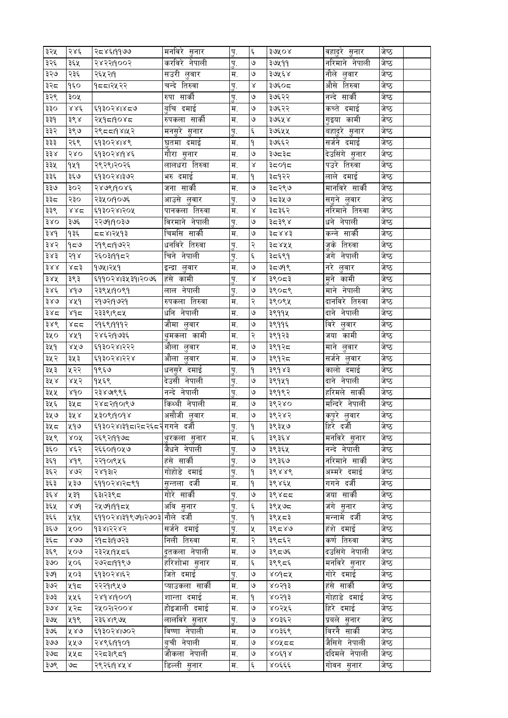| ३२५        | २४६         | २८४६199७७                                 | मनावर सनार                   | पु.         | ৼ                  | ३७५०४                 | वहादुर सुनार    | जष्ठ  |
|------------|-------------|-------------------------------------------|------------------------------|-------------|--------------------|-----------------------|-----------------|-------|
| ३२६        | ३६५         | २४२२११००२                                 | करविरे नेपाली                | पु.         | $\mathsf{G}$       | ३७५११                 | नरिमाने नेपाली  | जेष्ठ |
| ३२७        | २३६         | २६५२११                                    | सउरी लुवार                   | म.          | ও                  | ३७५६४                 | नौले लुवार      | जेष्ठ |
| ३२८        | १६०         | १८८।२५२२                                  | चन्दे तिरुवा                 | पु.         | $\propto$          | ३७६०८                 | औसे तिरुवा      | जेष्ठ |
| ३२९        | ३०५         |                                           | रुपा सार्की                  | पु.         | ও                  | ३७६२२                 | नन्दे सार्की    | जेष्ठ |
| ३३०        | १४६         | ६१३०२४।४८७                                | बुचि दमाई                    | म.          | ও                  | ३७६२२                 | कच्ते दमाई      | जेष्ठ |
| ३३१        | ३९४         | २५१८१०४८                                  | रुपकला सार्की                | म.          | ও                  | ३७६५४                 | कामी<br>गुइया   | जेष्ठ |
| ३३२        | ३९७         | २९८८१९४।५२                                | मनसुरे सुनार                 | पु.         | $\xi$              | ३७६५५                 | बहादुरे सुनार   | जेष्ठ |
| ३३३        | २६९         | ६१३०२४।४९                                 | घुतमा दमाई                   | म.          | $\mathsf{P}$       | ३७६६२                 | सर्जने दमाई     | जेष्ठ |
| ३३४        | २४०         | ६१३०२४।१४६                                | गौरा सुनार                   | म.          | ৩                  | ३७८३८                 | देउसिंगे सुनार  | जेष्ठ |
| ३३५        | 949         | २९२९।२०२६                                 | लालधरा तिरुवा                | म.          | $\propto$          | ३द०१द                 | पउरे तिरुवा     | जेष्ठ |
| ३३६        | ३६७         | ६१३०२४।३७२                                | भरु दमाई                     | म.          | $\mathsf{P}$       | ३द१२२                 | लाले दमाई       | जेष्ठ |
| ३३७        | ३०२         | २४७९।१०४६                                 | जना सार्की                   | म.          | $\mathsf{G}$       | ३८२९७                 | मानविरे सार्की  | जेष्ठ |
| ३३८        | २३०         | २३५०११०७६                                 | आउसे लुवार                   | पु.         | ও                  | ३८३५७                 | सग़ने लुवार     | जेष्ठ |
| ३३९        | ४४द         | ६१३०२४।२०५                                | पानकला तिरुवा                | म.          | γ                  | ३८३६२                 | नरिमाने तिरुवा  | जेष्ठ |
| 380        | ३७६         | २२७१।१०३७                                 | विरमाने नेपाली               | प.          | ও                  | ३८३९४                 | धने नेपाली      | जेष्ठ |
| ३४१        | १३६         | दद४।२५१३                                  | चिमसि सार्की                 | म.          | ও                  | ३८४४३                 | सार्की<br>कन्ने | जेष्ठ |
| ३४२        | 959         | २१९८१९७२२                                 | धनविरे तिरुवा                | पु.         | २                  | ३८४५५                 | जुके तिरुवा     | जेष्ठ |
| ३४३        | २१४         | २६०३।११८२                                 | चिने नेपाली                  | <u>प</u> .  | ٤                  | ३८६९१                 | नेपाली<br>जग    | जेष्ठ |
| ३४४        | ४८३         | १७५।२५१                                   | इन्द्रा लुवार                | म.          | $\mathsf{G}$       | ३८७१९                 | नरे लुवार       | जेष्ठ |
| ३४५        | ३९३         | ६११०२४।३५३१।२०७६                          | हंसे कामी                    | पु.         | $\propto$          | ३९०८३                 | कामी<br>मृने    | जेष्ठ |
| ३४६        | ४१७         | २३९५।१०९१                                 | लाल नेपाली                   | पु.         | ও                  | ३९०८९                 | माने नेपाली     | जेष्ठ |
| ३४७        | ४४१         | २१७२।१७२१                                 | रुपकला तिरुवा                | म.          | २                  | ३९०९५                 | दानविरे तिरुवा  | जेष्ठ |
| ३४८        | ४१८         | २३३९।९८४                                  | धनि नेपाली                   | म.          | ७                  | ३९११५                 | दाने नेपाली     | जेष्ठ |
| ३४९        | ४दद         | २१६९।१११२                                 | जौमा लुवार                   | म.          | ٯ                  | ३९११६                 | विरे<br>लवार    | जेष्ठ |
| ३५०        | ४४१         | २४६२।१७३६                                 | थुमकला कामी                  | म.          | $\mathbf{R}$       | ३९१२३                 | कामी<br>जया     | जेष्ठ |
| ३५१        | ४५७         | ६१३०२४।२२२                                | औला लुवार                    | म.          | ٯ                  | ३९१२८                 | माने<br>लुवार   | जेष्ठ |
| ३५२        | ३५३         |                                           | औला लुवार                    | म.          | ৩                  | ३९१२८                 | सर्जने लुवार    | जेष्ठ |
| ३५३        | ५२२         | ६१३०२४।२२४<br>१९६७                        | धनसुरे दमाई                  |             | ۹                  | ३९१४३                 | कालो दमाई       | जेष्ठ |
| ३५४        | ४५२         | १५६९                                      | देउसी नेपाली                 | पु.         | ও                  | ३९१५१                 | दाने नेपाली     | जेष्ठ |
|            | sdo         |                                           | नन्दे नेपाली                 | <u>प</u> ू. | ৩                  |                       | हरिमले साकी     | जेष्ठ |
| ३५५        |             | २३४७९९६                                   | किथ्थी नेपाली                | पु.<br>म.   | ও                  | ३९१९२<br>३९२४०        | मन्दिरे नेपाली  | जेष्ठ |
| ३५६<br>३५७ | ३५८<br>३५ ४ | २४८२।१०।९७                                | असौजी लुवार                  |             | ৩                  | ३९२४२                 | कपुरे लुवार     | जेष्ठ |
|            | ५१७         | ४३०९११०१४<br>६१३०२४।३१८।२८२६८२ गगने दर्जी |                              | म.          | $\mathsf{P}$       | ३९३५७                 | हिरे दर्जी      | जेष्ठ |
| ३५८<br>३५९ | XOX         |                                           |                              | पु.         |                    |                       | मनविरे सनार     | जेष्ठ |
|            |             | २६९२।११७८                                 | थुरकला सुनार<br>जैधने नेपाली | म.          | $\epsilon$<br>৩    | ३९३६४                 | नन्दे नेपाली    | जेष्ठ |
| ३६०        | ४६२         | २६६०।१०५७                                 | हंसे सार्की                  | पु.         | ও                  | ३९३६५                 |                 |       |
| ३६१        | ४१९         | २२१०।९५६                                  |                              | पु.         |                    | ३९३६७                 | नरिमाने सार्की  | जेष्ठ |
| ३६२        | ४७२         | २४१३।२                                    | गोहोडे दमाई                  | <u>प</u> ू. | ۹                  | ३९४४९                 | अम्मरे दमाई     | जेष्ठ |
| ३६३        | ५३७         | ६११०२४।२८९१                               | सुन्तला दर्जी                | म.          | ۹                  | ३९४६५                 | गगने दर्जी      | जेष्ठ |
| ३६ ४       | ५३१         | ६३।२३९८                                   | गोरे सार्की                  | पु.         | ৩                  | ३९४८८                 | जया सार्की      | जेष्ठ |
| ३६५        | 80d         | २५७१।११८५                                 | अवि सुनार                    | पु.         | $\boldsymbol{\xi}$ | ३९५७८                 | जंगे सुनार      | जेष्ठ |
| ३६६        | ५१५         | ६११०२४।३१९७१।२७०३ नौले दर्जी              |                              | पु.         | ۹                  | ३९५८३                 | मन्नामे दर्जी   | जेष्ठ |
| ३६७        | ४००         | १३४।२२४२                                  | सर्जने दमाई                  | पु.         | ৼ                  | ३९८४७                 | हंशे दमाई       | जेष्ठ |
| ३६८        | ४७७         | २१८३।१७२३                                 | निली तिरुवा                  | म.          | २                  | ३९८६२                 | कर्ण तिरुवा     | जेष्ठ |
| ३६९        | ५०७         | २३२५।१५८६                                 | दतकला नेपाली                 | म.          | ٯ                  | ३९८७६                 | दउसिंगे नेपाली  | जेष्ठ |
| ३७०        | ५०६         | २७२८।११९७                                 | हरिशोभा सुनार                | म.          | $\boldsymbol{\xi}$ | ३९९८६                 | मनविरे सुनार    | जेष्ठ |
| ३७९        | ५०३         | ६१३०२४।६२                                 | जिते दमाई                    | पु.         | ৩                  | $X$ 095 $X$           | गोरे दमाई       | जेष्ठ |
| ३७२        | ५१८         | २२२१।९५७                                  | प्याउकला सार्की              | म.          | ও                  | ४०२१३                 | हंसे सार्की     | जेष्ठ |
| ३७३        | ५५६         | २४१४।१००१                                 | शान्ता दमाई                  | म.          | ۹                  | ४०२१३                 | गोहाडे दमाई     | जेष्ठ |
| ३७४        | ५२८         | २५०२।२००४                                 | होइजाली दमाई                 | म.          | $\mathsf{G}$       | ४०२५६                 | हिरे दमाई       | जेष्ठ |
| ३७५        | ५१९         | २३६४।९७५                                  | लालविरे सुनार                | पु.         | ও                  | ४०३६२                 | प्रबले सुनार    | जेष्ठ |
| ३७६        | ४४७         | ६१३०२४।७०२                                | विष्णा नेपाली                | म.          | ٯ                  | ४०३६९                 | विरनै सार्की    | जेष्ठ |
| ३७७        | ५५७         | २४९६।११०१                                 | बची नेपाली                   | म.          | ও                  | ४०५८८                 | जैसिगे नेपाली   | जेष्ठ |
| ३७८        | ५५८         | २२८३।९८१                                  | जौकला नेपाली                 | म.          | ٯ                  | $X$ $O$ $\xi$ $O$ $X$ | ददिमले नेपाली   | जेष्ठ |
| ३७९        | ಅದ          | २९२६।१४५४                                 | डिल्ली सुनार                 | म.          | $\epsilon$         | ४०६६६                 | गोवन सुनार      | जेष्ठ |